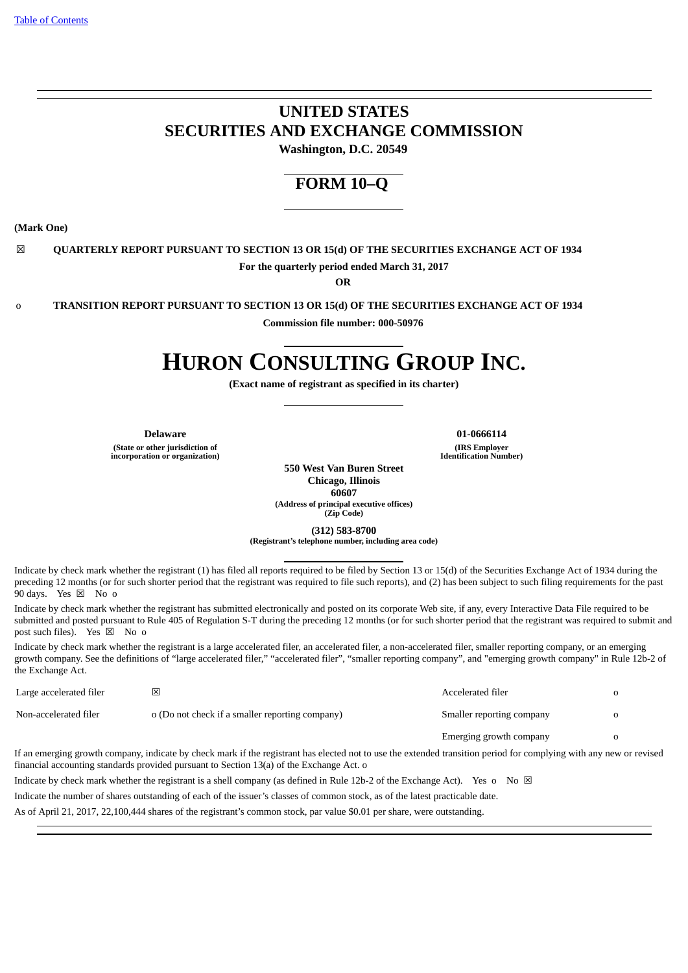# **UNITED STATES SECURITIES AND EXCHANGE COMMISSION**

**Washington, D.C. 20549**

# **FORM 10–Q**

**(Mark One)**

☒ **QUARTERLY REPORT PURSUANT TO SECTION 13 OR 15(d) OF THE SECURITIES EXCHANGE ACT OF 1934 For the quarterly period ended March 31, 2017**

**OR**

o **TRANSITION REPORT PURSUANT TO SECTION 13 OR 15(d) OF THE SECURITIES EXCHANGE ACT OF 1934**

**Commission file number: 000-50976**

# **HURON CONSULTING GROUP INC.**

**(Exact name of registrant as specified in its charter)**

**(State or other jurisdiction of incorporation or organization)**

**Delaware 01-0666114 (IRS Employer Identification Number)**

**550 West Van Buren Street Chicago, Illinois 60607 (Address of principal executive offices) (Zip Code)**

**(312) 583-8700**

**(Registrant's telephone number, including area code)**

Indicate by check mark whether the registrant (1) has filed all reports required to be filed by Section 13 or 15(d) of the Securities Exchange Act of 1934 during the preceding 12 months (or for such shorter period that the registrant was required to file such reports), and (2) has been subject to such filing requirements for the past 90 days. Yes  $\boxtimes$  No o

Indicate by check mark whether the registrant has submitted electronically and posted on its corporate Web site, if any, every Interactive Data File required to be submitted and posted pursuant to Rule 405 of Regulation S-T during the preceding 12 months (or for such shorter period that the registrant was required to submit and post such files). Yes  $\boxtimes$  No o

Indicate by check mark whether the registrant is a large accelerated filer, an accelerated filer, a non-accelerated filer, smaller reporting company, or an emerging growth company. See the definitions of "large accelerated filer," "accelerated filer", "smaller reporting company", and "emerging growth company" in Rule 12b-2 of the Exchange Act.

| Large accelerated filer | X                                                                                                                                                                                                                                                               | Accelerated filer         |  |
|-------------------------|-----------------------------------------------------------------------------------------------------------------------------------------------------------------------------------------------------------------------------------------------------------------|---------------------------|--|
| Non-accelerated filer   | o (Do not check if a smaller reporting company)                                                                                                                                                                                                                 | Smaller reporting company |  |
|                         |                                                                                                                                                                                                                                                                 | Emerging growth company   |  |
|                         | If an emerging growth company, indicate by check mark if the registrant has elected not to use the extended transition period for complying with any new or revised<br>financial accounting standards provided pursuant to Section 13(a) of the Exchange Act. o |                           |  |

Indicate by check mark whether the registrant is a shell company (as defined in Rule 12b-2 of the Exchange Act). Yes o No  $\boxtimes$ 

Indicate the number of shares outstanding of each of the issuer's classes of common stock, as of the latest practicable date.

As of April 21, 2017, 22,100,444 shares of the registrant's common stock, par value \$0.01 per share, were outstanding.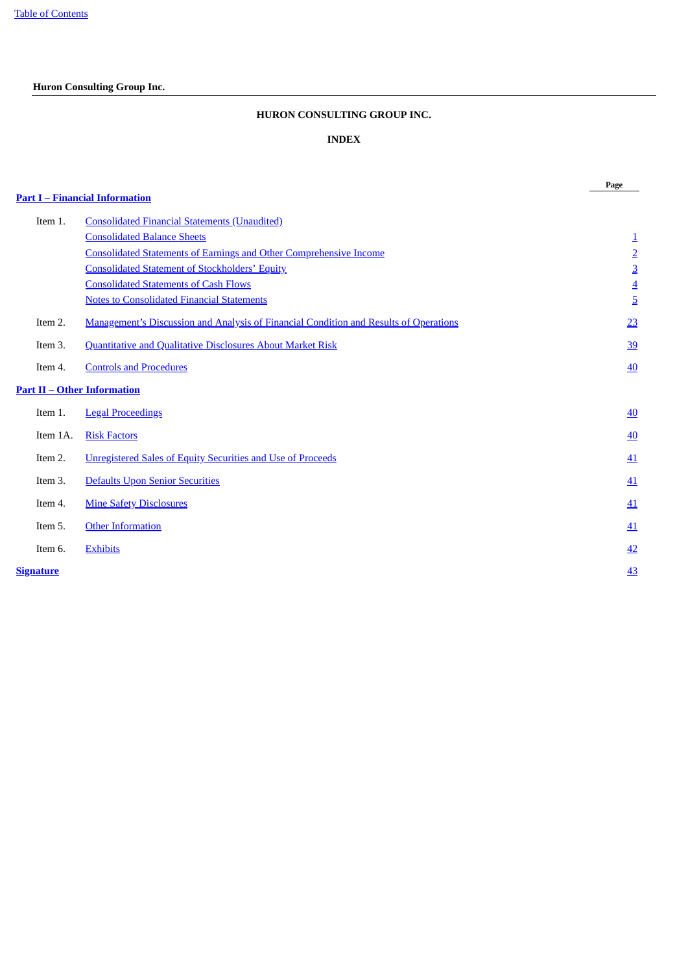# <span id="page-1-0"></span>**Huron Consulting Group Inc.**

# **HURON CONSULTING GROUP INC.**

# **INDEX**

**Page**

|           | <b>Part I – Financial Information</b>                                                        |                  |
|-----------|----------------------------------------------------------------------------------------------|------------------|
| Item 1.   | <b>Consolidated Financial Statements (Unaudited)</b>                                         |                  |
|           | <b>Consolidated Balance Sheets</b>                                                           | $\overline{1}$   |
|           | <b>Consolidated Statements of Earnings and Other Comprehensive Income</b>                    | $\overline{2}$   |
|           | <b>Consolidated Statement of Stockholders' Equity</b>                                        | $\overline{3}$   |
|           | <b>Consolidated Statements of Cash Flows</b>                                                 | $\overline{4}$   |
|           | <b>Notes to Consolidated Financial Statements</b>                                            | $\overline{5}$   |
| Item 2.   | <b>Management's Discussion and Analysis of Financial Condition and Results of Operations</b> | 23               |
| Item 3.   | Quantitative and Qualitative Disclosures About Market Risk                                   | 39               |
| Item 4.   | <b>Controls and Procedures</b>                                                               | 40               |
|           | <b>Part II – Other Information</b>                                                           |                  |
| Item 1.   | <b>Legal Proceedings</b>                                                                     | $\underline{40}$ |
| Item 1A.  | <b>Risk Factors</b>                                                                          | 40               |
| Item 2.   | <b>Unregistered Sales of Equity Securities and Use of Proceeds</b>                           | 41               |
| Item 3.   | Defaults Upon Senior Securities                                                              | 41               |
| Item 4.   | <b>Mine Safety Disclosures</b>                                                               | 41               |
| Item 5.   | <b>Other Information</b>                                                                     | 41               |
| Item 6.   | <b>Exhibits</b>                                                                              | 42               |
| Signature |                                                                                              | <u>43</u>        |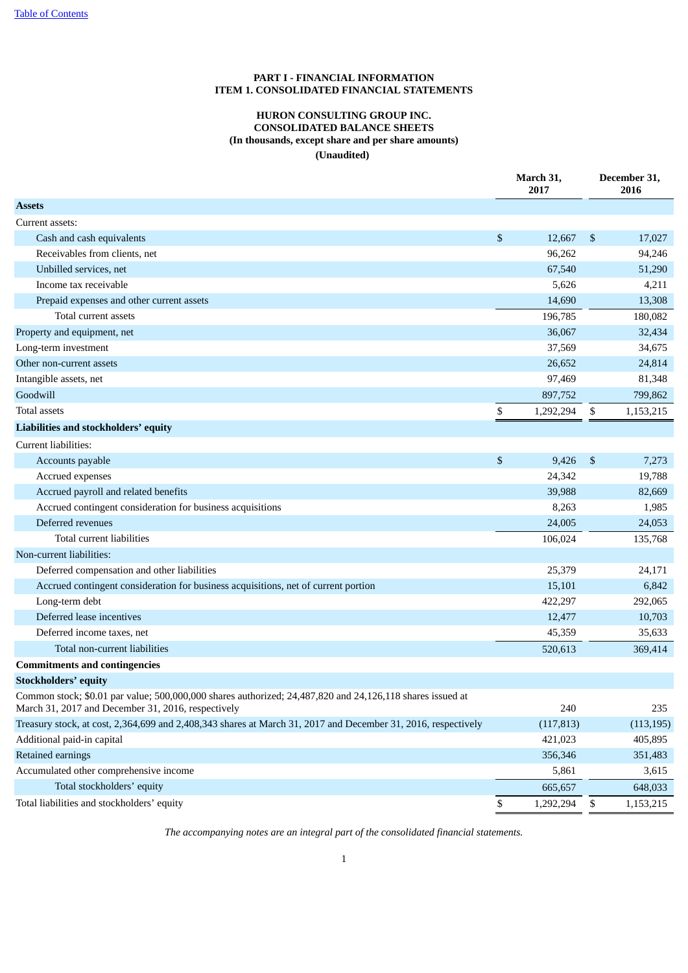# **PART I - FINANCIAL INFORMATION ITEM 1. CONSOLIDATED FINANCIAL STATEMENTS**

# **HURON CONSULTING GROUP INC. CONSOLIDATED BALANCE SHEETS (In thousands, except share and per share amounts) (Unaudited)**

<span id="page-2-2"></span><span id="page-2-1"></span><span id="page-2-0"></span>

|                                                                                                                                                                 | March 31,<br>2017 |                | December 31,<br>2016 |  |  |
|-----------------------------------------------------------------------------------------------------------------------------------------------------------------|-------------------|----------------|----------------------|--|--|
| <b>Assets</b>                                                                                                                                                   |                   |                |                      |  |  |
| Current assets:                                                                                                                                                 |                   |                |                      |  |  |
| Cash and cash equivalents                                                                                                                                       | \$<br>12,667      | $\mathfrak{S}$ | 17,027               |  |  |
| Receivables from clients, net                                                                                                                                   | 96,262            |                | 94,246               |  |  |
| Unbilled services, net                                                                                                                                          | 67,540            |                | 51,290               |  |  |
| Income tax receivable                                                                                                                                           | 5,626             |                | 4,211                |  |  |
| Prepaid expenses and other current assets                                                                                                                       | 14,690            |                | 13,308               |  |  |
| Total current assets                                                                                                                                            | 196,785           |                | 180,082              |  |  |
| Property and equipment, net                                                                                                                                     | 36,067            |                | 32,434               |  |  |
| Long-term investment                                                                                                                                            | 37,569            |                | 34,675               |  |  |
| Other non-current assets                                                                                                                                        | 26,652            |                | 24,814               |  |  |
| Intangible assets, net                                                                                                                                          | 97,469            |                | 81,348               |  |  |
| Goodwill                                                                                                                                                        | 897,752           |                | 799,862              |  |  |
| <b>Total assets</b>                                                                                                                                             | \$<br>1,292,294   | \$             | 1,153,215            |  |  |
| Liabilities and stockholders' equity                                                                                                                            |                   |                |                      |  |  |
| Current liabilities:                                                                                                                                            |                   |                |                      |  |  |
| Accounts payable                                                                                                                                                | \$<br>9,426       | \$             | 7,273                |  |  |
| Accrued expenses                                                                                                                                                | 24,342            |                | 19,788               |  |  |
| Accrued payroll and related benefits                                                                                                                            | 39,988            |                | 82,669               |  |  |
| Accrued contingent consideration for business acquisitions                                                                                                      | 8,263             |                | 1,985                |  |  |
| Deferred revenues                                                                                                                                               | 24,005            |                | 24,053               |  |  |
| Total current liabilities                                                                                                                                       | 106,024           |                | 135,768              |  |  |
| Non-current liabilities:                                                                                                                                        |                   |                |                      |  |  |
| Deferred compensation and other liabilities                                                                                                                     | 25,379            |                | 24,171               |  |  |
| Accrued contingent consideration for business acquisitions, net of current portion                                                                              | 15,101            |                | 6,842                |  |  |
| Long-term debt                                                                                                                                                  | 422,297           |                | 292,065              |  |  |
| Deferred lease incentives                                                                                                                                       | 12,477            |                | 10,703               |  |  |
| Deferred income taxes, net                                                                                                                                      | 45,359            |                | 35,633               |  |  |
| Total non-current liabilities                                                                                                                                   | 520,613           |                | 369,414              |  |  |
| <b>Commitments and contingencies</b>                                                                                                                            |                   |                |                      |  |  |
| <b>Stockholders' equity</b>                                                                                                                                     |                   |                |                      |  |  |
| Common stock; \$0.01 par value; 500,000,000 shares authorized; 24,487,820 and 24,126,118 shares issued at<br>March 31, 2017 and December 31, 2016, respectively | 240               |                | 235                  |  |  |
| Treasury stock, at cost, 2,364,699 and 2,408,343 shares at March 31, 2017 and December 31, 2016, respectively                                                   | (117, 813)        |                | (113, 195)           |  |  |
| Additional paid-in capital                                                                                                                                      | 421,023           |                | 405,895              |  |  |
| Retained earnings                                                                                                                                               | 356,346           |                | 351,483              |  |  |
| Accumulated other comprehensive income                                                                                                                          | 5,861             |                | 3,615                |  |  |
| Total stockholders' equity                                                                                                                                      | 665,657           |                | 648,033              |  |  |
| Total liabilities and stockholders' equity                                                                                                                      | \$<br>1,292,294   | \$             | 1,153,215            |  |  |

*The accompanying notes are an integral part of the consolidated financial statements.*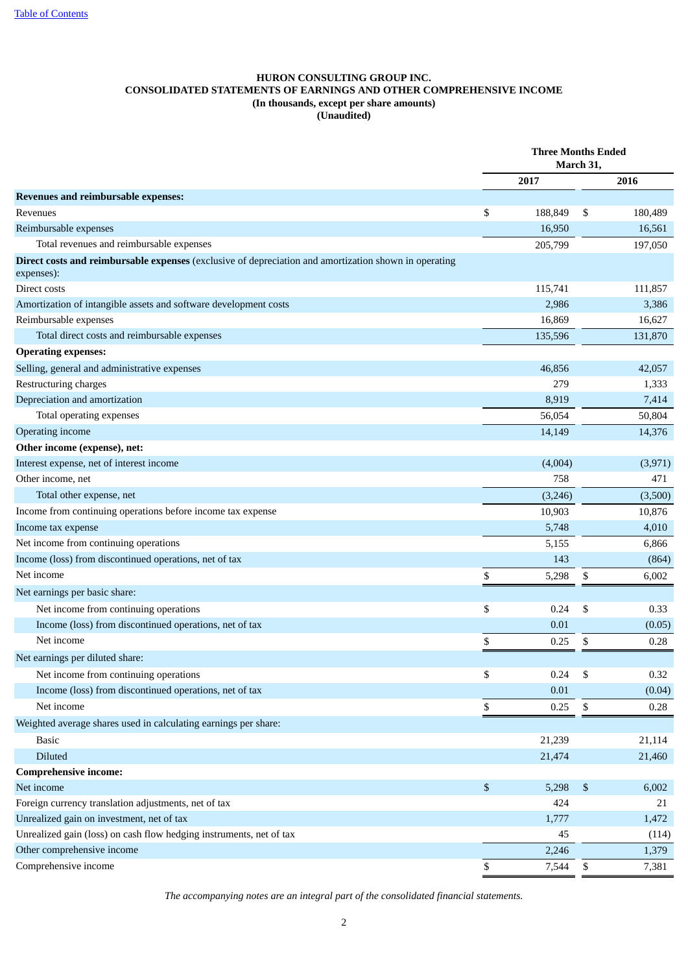# <span id="page-3-0"></span>**HURON CONSULTING GROUP INC. CONSOLIDATED STATEMENTS OF EARNINGS AND OTHER COMPREHENSIVE INCOME (In thousands, except per share amounts) (Unaudited)**

|                                                                                                                     |    | <b>Three Months Ended</b> |    |         |
|---------------------------------------------------------------------------------------------------------------------|----|---------------------------|----|---------|
|                                                                                                                     |    | 2017                      |    | 2016    |
| <b>Revenues and reimbursable expenses:</b>                                                                          |    |                           |    |         |
| Revenues                                                                                                            | \$ | 188,849                   | S  | 180,489 |
| Reimbursable expenses                                                                                               |    | 16,950                    |    | 16,561  |
| Total revenues and reimbursable expenses                                                                            |    | 205,799                   |    | 197,050 |
| Direct costs and reimbursable expenses (exclusive of depreciation and amortization shown in operating<br>expenses): |    |                           |    |         |
| Direct costs                                                                                                        |    | 115,741                   |    | 111,857 |
| Amortization of intangible assets and software development costs                                                    |    | 2,986                     |    | 3,386   |
| Reimbursable expenses                                                                                               |    | 16,869                    |    | 16,627  |
| Total direct costs and reimbursable expenses                                                                        |    | 135,596                   |    | 131,870 |
| <b>Operating expenses:</b>                                                                                          |    |                           |    |         |
| Selling, general and administrative expenses                                                                        |    | 46,856                    |    | 42,057  |
| Restructuring charges                                                                                               |    | 279                       |    | 1,333   |
| Depreciation and amortization                                                                                       |    | 8,919                     |    | 7,414   |
| Total operating expenses                                                                                            |    | 56,054                    |    | 50,804  |
| Operating income                                                                                                    |    | 14,149                    |    | 14,376  |
| Other income (expense), net:                                                                                        |    |                           |    |         |
| Interest expense, net of interest income                                                                            |    | (4,004)                   |    | (3,971) |
| Other income, net                                                                                                   |    | 758                       |    | 471     |
| Total other expense, net                                                                                            |    | (3,246)                   |    | (3,500) |
| Income from continuing operations before income tax expense                                                         |    | 10,903                    |    | 10,876  |
| Income tax expense                                                                                                  |    | 5,748                     |    | 4,010   |
| Net income from continuing operations                                                                               |    | 5,155                     |    | 6,866   |
| Income (loss) from discontinued operations, net of tax                                                              |    | 143                       |    | (864)   |
| Net income                                                                                                          | \$ | 5,298                     | \$ | 6,002   |
| Net earnings per basic share:                                                                                       |    |                           |    |         |
| Net income from continuing operations                                                                               | \$ | 0.24                      | \$ | 0.33    |
| Income (loss) from discontinued operations, net of tax                                                              |    | 0.01                      |    | (0.05)  |
| Net income                                                                                                          | \$ | 0.25                      | \$ | 0.28    |
| Net earnings per diluted share:                                                                                     |    |                           |    |         |
| Net income from continuing operations                                                                               | \$ | 0.24                      | \$ | 0.32    |
| Income (loss) from discontinued operations, net of tax                                                              |    | 0.01                      |    | (0.04)  |
| Net income                                                                                                          | \$ | 0.25                      | \$ | 0.28    |
| Weighted average shares used in calculating earnings per share:                                                     |    |                           |    |         |
| <b>Basic</b>                                                                                                        |    | 21,239                    |    | 21,114  |
| Diluted                                                                                                             |    | 21,474                    |    | 21,460  |
| <b>Comprehensive income:</b>                                                                                        |    |                           |    |         |
| Net income                                                                                                          | \$ | 5,298                     | \$ | 6,002   |
| Foreign currency translation adjustments, net of tax                                                                |    | 424                       |    | 21      |
| Unrealized gain on investment, net of tax                                                                           |    | 1,777                     |    | 1,472   |
| Unrealized gain (loss) on cash flow hedging instruments, net of tax                                                 |    | 45                        |    | (114)   |
| Other comprehensive income                                                                                          |    | 2,246                     |    | 1,379   |
| Comprehensive income                                                                                                | \$ | 7,544                     | \$ | 7,381   |
|                                                                                                                     |    |                           |    |         |

*The accompanying notes are an integral part of the consolidated financial statements.*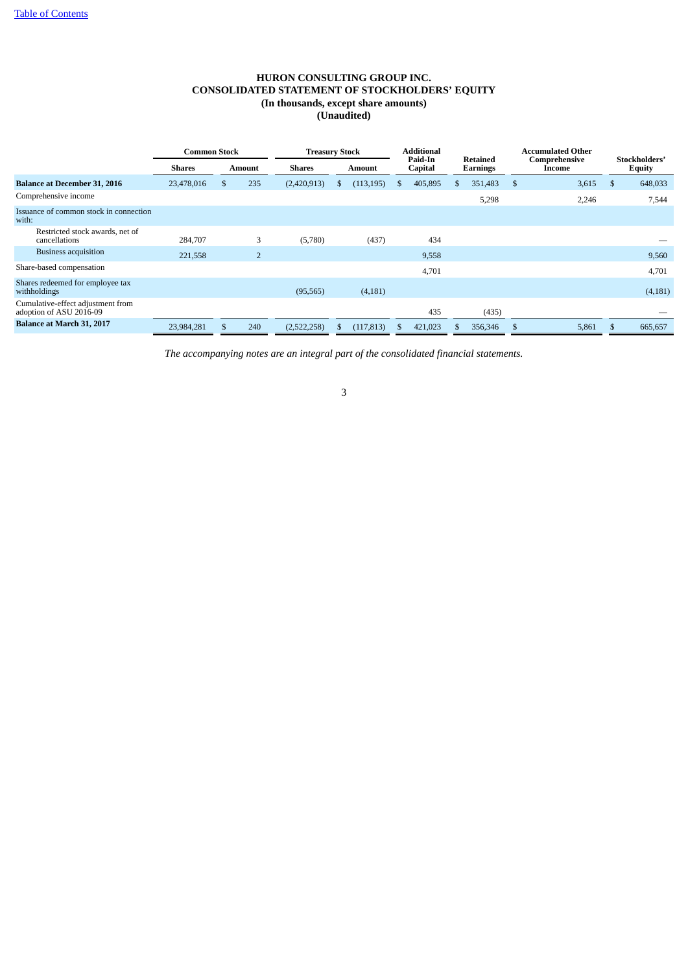# **HURON CONSULTING GROUP INC. CONSOLIDATED STATEMENT OF STOCKHOLDERS' EQUITY (In thousands, except share amounts) (Unaudited)**

<span id="page-4-0"></span>

|                                                              | <b>Common Stock</b> |          | <b>Treasury Stock</b> |               |  | Additional    |              |                    |    |                             | Accumulated Other |       |    |         |  |                         |  |                                |
|--------------------------------------------------------------|---------------------|----------|-----------------------|---------------|--|---------------|--------------|--------------------|----|-----------------------------|-------------------|-------|----|---------|--|-------------------------|--|--------------------------------|
|                                                              | <b>Shares</b>       |          | Amount                | <b>Shares</b> |  | <b>Amount</b> |              | Paid-In<br>Capital |    | Retained<br><b>Earnings</b> |                   |       |    |         |  | Comprehensive<br>Income |  | Stockholders'<br><b>Equity</b> |
| <b>Balance at December 31, 2016</b>                          | 23,478,016          | <b>S</b> | 235                   | (2,420,913)   |  | (113, 195)    | .S           | 405,895            | Æ, | 351,483                     | -S                | 3,615 | -S | 648,033 |  |                         |  |                                |
| Comprehensive income                                         |                     |          |                       |               |  |               |              |                    |    | 5,298                       |                   | 2,246 |    | 7,544   |  |                         |  |                                |
| Issuance of common stock in connection<br>with:              |                     |          |                       |               |  |               |              |                    |    |                             |                   |       |    |         |  |                         |  |                                |
| Restricted stock awards, net of<br>cancellations             | 284,707             |          | 3                     | (5,780)       |  | (437)         |              | 434                |    |                             |                   |       |    |         |  |                         |  |                                |
| <b>Business acquisition</b>                                  | 221,558             |          | $\overline{2}$        |               |  |               |              | 9,558              |    |                             |                   |       |    | 9,560   |  |                         |  |                                |
| Share-based compensation                                     |                     |          |                       |               |  |               |              | 4,701              |    |                             |                   |       |    | 4,701   |  |                         |  |                                |
| Shares redeemed for employee tax<br>withholdings             |                     |          |                       | (95, 565)     |  | (4,181)       |              |                    |    |                             |                   |       |    | (4,181) |  |                         |  |                                |
| Cumulative-effect adjustment from<br>adoption of ASU 2016-09 |                     |          |                       |               |  |               |              | 435                |    | (435)                       |                   |       |    |         |  |                         |  |                                |
| Balance at March 31, 2017                                    | 23,984,281          |          | 240                   | (2,522,258)   |  | (117, 813)    | $\mathbf{a}$ | 421,023            |    | 356,346                     | -8                | 5,861 |    | 665,657 |  |                         |  |                                |

*The accompanying notes are an integral part of the consolidated financial statements.*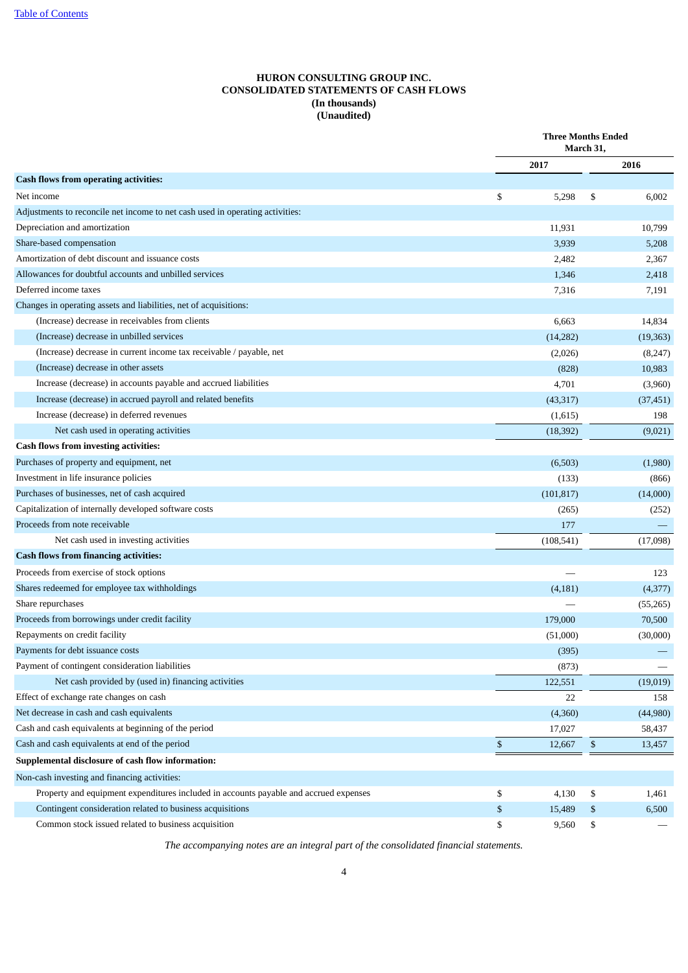# **HURON CONSULTING GROUP INC. CONSOLIDATED STATEMENTS OF CASH FLOWS (In thousands) (Unaudited)**

<span id="page-5-0"></span>

|                                                                                       |              | <b>Three Months Ended</b><br>March 31, |           |  |
|---------------------------------------------------------------------------------------|--------------|----------------------------------------|-----------|--|
|                                                                                       | 2017         |                                        | 2016      |  |
| <b>Cash flows from operating activities:</b>                                          |              |                                        |           |  |
| Net income                                                                            | \$<br>5,298  | \$                                     | 6,002     |  |
| Adjustments to reconcile net income to net cash used in operating activities:         |              |                                        |           |  |
| Depreciation and amortization                                                         | 11,931       |                                        | 10,799    |  |
| Share-based compensation                                                              | 3,939        |                                        | 5,208     |  |
| Amortization of debt discount and issuance costs                                      | 2,482        |                                        | 2,367     |  |
| Allowances for doubtful accounts and unbilled services                                | 1,346        |                                        | 2,418     |  |
| Deferred income taxes                                                                 | 7,316        |                                        | 7,191     |  |
| Changes in operating assets and liabilities, net of acquisitions:                     |              |                                        |           |  |
| (Increase) decrease in receivables from clients                                       | 6,663        |                                        | 14,834    |  |
| (Increase) decrease in unbilled services                                              | (14, 282)    |                                        | (19, 363) |  |
| (Increase) decrease in current income tax receivable / payable, net                   | (2,026)      |                                        | (8,247)   |  |
| (Increase) decrease in other assets                                                   | (828)        |                                        | 10,983    |  |
| Increase (decrease) in accounts payable and accrued liabilities                       | 4,701        |                                        | (3,960)   |  |
| Increase (decrease) in accrued payroll and related benefits                           | (43, 317)    |                                        | (37, 451) |  |
| Increase (decrease) in deferred revenues                                              | (1,615)      |                                        | 198       |  |
| Net cash used in operating activities                                                 | (18, 392)    |                                        | (9,021)   |  |
| <b>Cash flows from investing activities:</b>                                          |              |                                        |           |  |
| Purchases of property and equipment, net                                              | (6,503)      |                                        | (1,980)   |  |
| Investment in life insurance policies                                                 | (133)        |                                        | (866)     |  |
| Purchases of businesses, net of cash acquired                                         | (101, 817)   |                                        | (14,000)  |  |
| Capitalization of internally developed software costs                                 | (265)        |                                        | (252)     |  |
| Proceeds from note receivable                                                         | 177          |                                        |           |  |
| Net cash used in investing activities                                                 | (108, 541)   |                                        | (17,098)  |  |
| <b>Cash flows from financing activities:</b>                                          |              |                                        |           |  |
| Proceeds from exercise of stock options                                               |              |                                        | 123       |  |
| Shares redeemed for employee tax withholdings                                         | (4,181)      |                                        | (4,377)   |  |
| Share repurchases                                                                     |              |                                        | (55,265)  |  |
| Proceeds from borrowings under credit facility                                        | 179,000      |                                        | 70,500    |  |
| Repayments on credit facility                                                         | (51,000)     |                                        | (30,000)  |  |
| Payments for debt issuance costs                                                      | (395)        |                                        |           |  |
| Payment of contingent consideration liabilities                                       | (873)        |                                        |           |  |
| Net cash provided by (used in) financing activities                                   | 122,551      |                                        | (19,019)  |  |
| Effect of exchange rate changes on cash                                               | 22           |                                        | 158       |  |
| Net decrease in cash and cash equivalents                                             | (4,360)      |                                        | (44,980)  |  |
| Cash and cash equivalents at beginning of the period                                  | 17,027       |                                        | 58,437    |  |
| Cash and cash equivalents at end of the period                                        | \$<br>12,667 | \$                                     | 13,457    |  |
| Supplemental disclosure of cash flow information:                                     |              |                                        |           |  |
| Non-cash investing and financing activities:                                          |              |                                        |           |  |
| Property and equipment expenditures included in accounts payable and accrued expenses | \$<br>4,130  | \$                                     | 1,461     |  |
| Contingent consideration related to business acquisitions                             | \$<br>15,489 | \$                                     | 6,500     |  |
| Common stock issued related to business acquisition                                   | \$<br>9,560  | \$                                     |           |  |
|                                                                                       |              |                                        |           |  |

*The accompanying notes are an integral part of the consolidated financial statements.*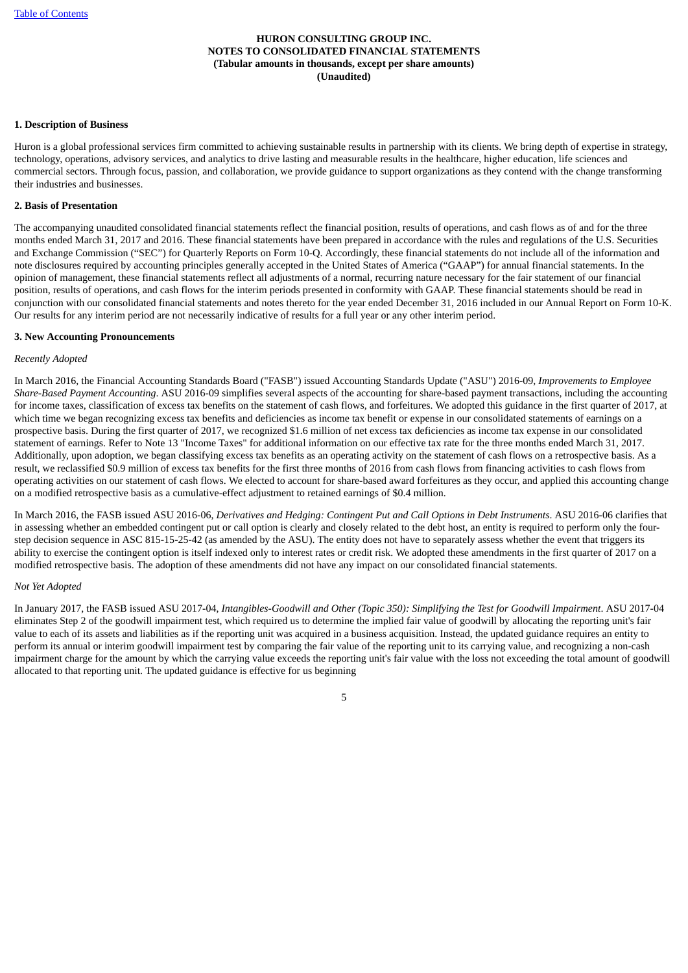## <span id="page-6-0"></span>**1. Description of Business**

Huron is a global professional services firm committed to achieving sustainable results in partnership with its clients. We bring depth of expertise in strategy, technology, operations, advisory services, and analytics to drive lasting and measurable results in the healthcare, higher education, life sciences and commercial sectors. Through focus, passion, and collaboration, we provide guidance to support organizations as they contend with the change transforming their industries and businesses.

# **2. Basis of Presentation**

The accompanying unaudited consolidated financial statements reflect the financial position, results of operations, and cash flows as of and for the three months ended March 31, 2017 and 2016. These financial statements have been prepared in accordance with the rules and regulations of the U.S. Securities and Exchange Commission ("SEC") for Quarterly Reports on Form 10-Q. Accordingly, these financial statements do not include all of the information and note disclosures required by accounting principles generally accepted in the United States of America ("GAAP") for annual financial statements. In the opinion of management, these financial statements reflect all adjustments of a normal, recurring nature necessary for the fair statement of our financial position, results of operations, and cash flows for the interim periods presented in conformity with GAAP. These financial statements should be read in conjunction with our consolidated financial statements and notes thereto for the year ended December 31, 2016 included in our Annual Report on Form 10-K. Our results for any interim period are not necessarily indicative of results for a full year or any other interim period.

#### **3. New Accounting Pronouncements**

#### *Recently Adopted*

In March 2016, the Financial Accounting Standards Board ("FASB") issued Accounting Standards Update ("ASU") 2016-09, *Improvements to Employee Share-Based Payment Accounting*. ASU 2016-09 simplifies several aspects of the accounting for share-based payment transactions, including the accounting for income taxes, classification of excess tax benefits on the statement of cash flows, and forfeitures. We adopted this guidance in the first quarter of 2017, at which time we began recognizing excess tax benefits and deficiencies as income tax benefit or expense in our consolidated statements of earnings on a prospective basis. During the first quarter of 2017, we recognized \$1.6 million of net excess tax deficiencies as income tax expense in our consolidated statement of earnings. Refer to Note 13 "Income Taxes" for additional information on our effective tax rate for the three months ended March 31, 2017. Additionally, upon adoption, we began classifying excess tax benefits as an operating activity on the statement of cash flows on a retrospective basis. As a result, we reclassified \$0.9 million of excess tax benefits for the first three months of 2016 from cash flows from financing activities to cash flows from operating activities on our statement of cash flows. We elected to account for share-based award forfeitures as they occur, and applied this accounting change on a modified retrospective basis as a cumulative-effect adjustment to retained earnings of \$0.4 million.

In March 2016, the FASB issued ASU 2016-06, Derivatives and Hedaing: Contingent Put and Call Options in Debt Instruments. ASU 2016-06 clarifies that in assessing whether an embedded contingent put or call option is clearly and closely related to the debt host, an entity is required to perform only the fourstep decision sequence in ASC 815-15-25-42 (as amended by the ASU). The entity does not have to separately assess whether the event that triggers its ability to exercise the contingent option is itself indexed only to interest rates or credit risk. We adopted these amendments in the first quarter of 2017 on a modified retrospective basis. The adoption of these amendments did not have any impact on our consolidated financial statements.

#### *Not Yet Adopted*

In January 2017, the FASB issued ASU 2017-04, *Intangibles-Goodwill and Other (Topic 350): Simplifying the Test for Goodwill Impairment*. ASU 2017-04 eliminates Step 2 of the goodwill impairment test, which required us to determine the implied fair value of goodwill by allocating the reporting unit's fair value to each of its assets and liabilities as if the reporting unit was acquired in a business acquisition. Instead, the updated guidance requires an entity to perform its annual or interim goodwill impairment test by comparing the fair value of the reporting unit to its carrying value, and recognizing a non-cash impairment charge for the amount by which the carrying value exceeds the reporting unit's fair value with the loss not exceeding the total amount of goodwill allocated to that reporting unit. The updated guidance is effective for us beginning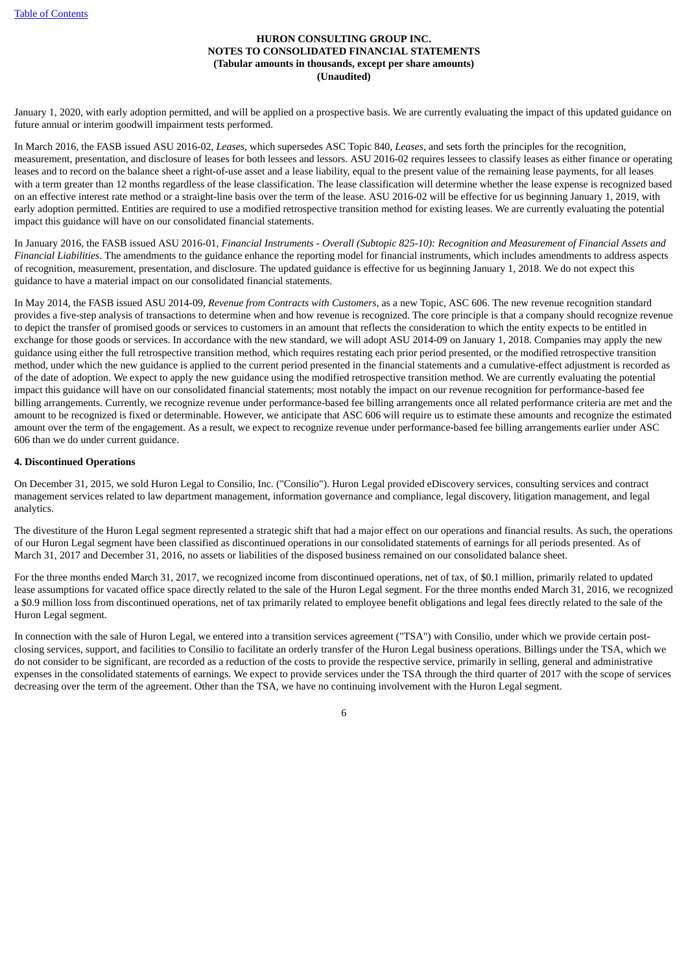January 1, 2020, with early adoption permitted, and will be applied on a prospective basis. We are currently evaluating the impact of this updated guidance on future annual or interim goodwill impairment tests performed.

In March 2016, the FASB issued ASU 2016-02, *Leases*, which supersedes ASC Topic 840, *Leases*, and sets forth the principles for the recognition, measurement, presentation, and disclosure of leases for both lessees and lessors. ASU 2016-02 requires lessees to classify leases as either finance or operating leases and to record on the balance sheet a right-of-use asset and a lease liability, equal to the present value of the remaining lease payments, for all leases with a term greater than 12 months regardless of the lease classification. The lease classification will determine whether the lease expense is recognized based on an effective interest rate method or a straight-line basis over the term of the lease. ASU 2016-02 will be effective for us beginning January 1, 2019, with early adoption permitted. Entities are required to use a modified retrospective transition method for existing leases. We are currently evaluating the potential impact this guidance will have on our consolidated financial statements.

In January 2016, the FASB issued ASU 2016-01, Financial Instruments - Overall (Subtopic 825-10): Recognition and Measurement of Financial Assets and *Financial Liabilities*. The amendments to the guidance enhance the reporting model for financial instruments, which includes amendments to address aspects of recognition, measurement, presentation, and disclosure. The updated guidance is effective for us beginning January 1, 2018. We do not expect this guidance to have a material impact on our consolidated financial statements.

In May 2014, the FASB issued ASU 2014-09, *Revenue from Contracts with Customers,* as a new Topic*,* ASC 606. The new revenue recognition standard provides a five-step analysis of transactions to determine when and how revenue is recognized. The core principle is that a company should recognize revenue to depict the transfer of promised goods or services to customers in an amount that reflects the consideration to which the entity expects to be entitled in exchange for those goods or services. In accordance with the new standard, we will adopt ASU 2014-09 on January 1, 2018. Companies may apply the new guidance using either the full retrospective transition method, which requires restating each prior period presented, or the modified retrospective transition method, under which the new guidance is applied to the current period presented in the financial statements and a cumulative-effect adjustment is recorded as of the date of adoption. We expect to apply the new guidance using the modified retrospective transition method. We are currently evaluating the potential impact this guidance will have on our consolidated financial statements; most notably the impact on our revenue recognition for performance-based fee billing arrangements. Currently, we recognize revenue under performance-based fee billing arrangements once all related performance criteria are met and the amount to be recognized is fixed or determinable. However, we anticipate that ASC 606 will require us to estimate these amounts and recognize the estimated amount over the term of the engagement. As a result, we expect to recognize revenue under performance-based fee billing arrangements earlier under ASC 606 than we do under current guidance.

# **4. Discontinued Operations**

On December 31, 2015, we sold Huron Legal to Consilio, Inc. ("Consilio"). Huron Legal provided eDiscovery services, consulting services and contract management services related to law department management, information governance and compliance, legal discovery, litigation management, and legal analytics.

The divestiture of the Huron Legal segment represented a strategic shift that had a major effect on our operations and financial results. As such, the operations of our Huron Legal segment have been classified as discontinued operations in our consolidated statements of earnings for all periods presented. As of March 31, 2017 and December 31, 2016, no assets or liabilities of the disposed business remained on our consolidated balance sheet.

For the three months ended March 31, 2017, we recognized income from discontinued operations, net of tax, of \$0.1 million, primarily related to updated lease assumptions for vacated office space directly related to the sale of the Huron Legal segment. For the three months ended March 31, 2016, we recognized a \$0.9 million loss from discontinued operations, net of tax primarily related to employee benefit obligations and legal fees directly related to the sale of the Huron Legal segment.

In connection with the sale of Huron Legal, we entered into a transition services agreement ("TSA") with Consilio, under which we provide certain postclosing services, support, and facilities to Consilio to facilitate an orderly transfer of the Huron Legal business operations. Billings under the TSA, which we do not consider to be significant, are recorded as a reduction of the costs to provide the respective service, primarily in selling, general and administrative expenses in the consolidated statements of earnings. We expect to provide services under the TSA through the third quarter of 2017 with the scope of services decreasing over the term of the agreement. Other than the TSA, we have no continuing involvement with the Huron Legal segment.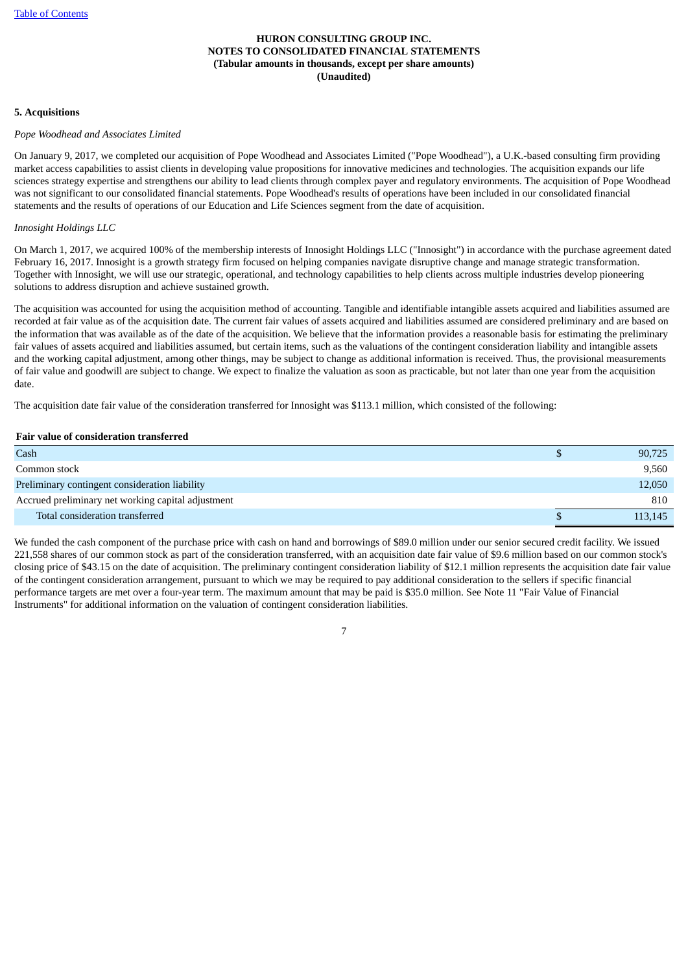# **5. Acquisitions**

## *Pope Woodhead and Associates Limited*

On January 9, 2017, we completed our acquisition of Pope Woodhead and Associates Limited ("Pope Woodhead"), a U.K.-based consulting firm providing market access capabilities to assist clients in developing value propositions for innovative medicines and technologies. The acquisition expands our life sciences strategy expertise and strengthens our ability to lead clients through complex payer and regulatory environments. The acquisition of Pope Woodhead was not significant to our consolidated financial statements. Pope Woodhead's results of operations have been included in our consolidated financial statements and the results of operations of our Education and Life Sciences segment from the date of acquisition.

## *Innosight Holdings LLC*

On March 1, 2017, we acquired 100% of the membership interests of Innosight Holdings LLC ("Innosight") in accordance with the purchase agreement dated February 16, 2017. Innosight is a growth strategy firm focused on helping companies navigate disruptive change and manage strategic transformation. Together with Innosight, we will use our strategic, operational, and technology capabilities to help clients across multiple industries develop pioneering solutions to address disruption and achieve sustained growth.

The acquisition was accounted for using the acquisition method of accounting. Tangible and identifiable intangible assets acquired and liabilities assumed are recorded at fair value as of the acquisition date. The current fair values of assets acquired and liabilities assumed are considered preliminary and are based on the information that was available as of the date of the acquisition. We believe that the information provides a reasonable basis for estimating the preliminary fair values of assets acquired and liabilities assumed, but certain items, such as the valuations of the contingent consideration liability and intangible assets and the working capital adjustment, among other things, may be subject to change as additional information is received. Thus, the provisional measurements of fair value and goodwill are subject to change. We expect to finalize the valuation as soon as practicable, but not later than one year from the acquisition date.

The acquisition date fair value of the consideration transferred for Innosight was \$113.1 million, which consisted of the following:

#### **Fair value of consideration transferred**

| Cash                                               | 90,725  |
|----------------------------------------------------|---------|
| Common stock                                       | 9,560   |
| Preliminary contingent consideration liability     | 12,050  |
| Accrued preliminary net working capital adjustment | 810     |
| Total consideration transferred                    | 113,145 |

We funded the cash component of the purchase price with cash on hand and borrowings of \$89.0 million under our senior secured credit facility. We issued 221,558 shares of our common stock as part of the consideration transferred, with an acquisition date fair value of \$9.6 million based on our common stock's closing price of \$43.15 on the date of acquisition. The preliminary contingent consideration liability of \$12.1 million represents the acquisition date fair value of the contingent consideration arrangement, pursuant to which we may be required to pay additional consideration to the sellers if specific financial performance targets are met over a four-year term. The maximum amount that may be paid is \$35.0 million. See Note 11 "Fair Value of Financial Instruments" for additional information on the valuation of contingent consideration liabilities.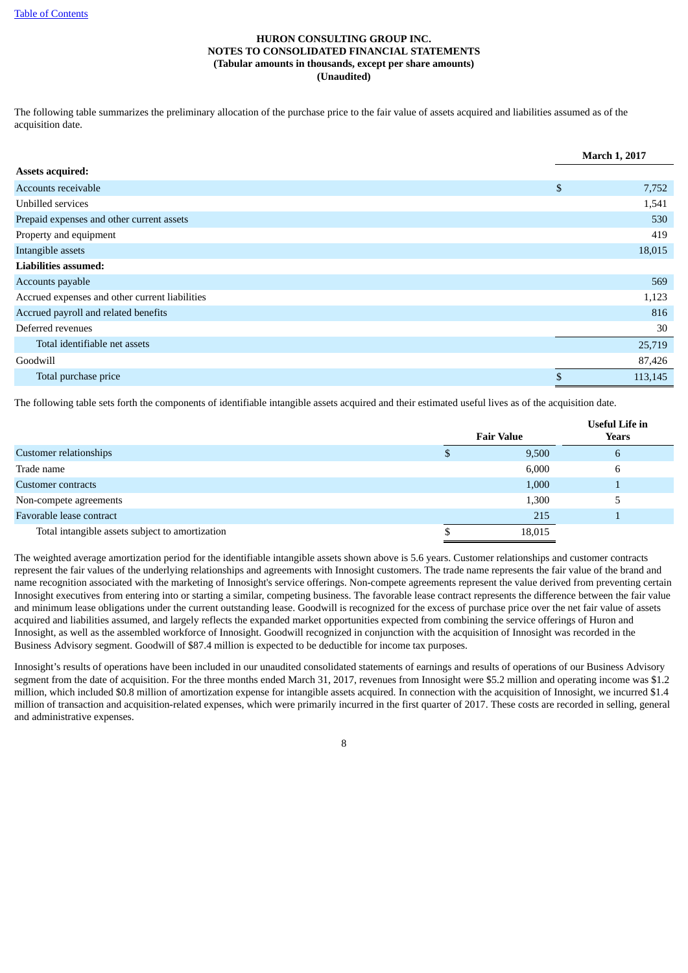The following table summarizes the preliminary allocation of the purchase price to the fair value of assets acquired and liabilities assumed as of the acquisition date.

|                                                | <b>March 1, 2017</b> |
|------------------------------------------------|----------------------|
| <b>Assets acquired:</b>                        |                      |
| Accounts receivable                            | \$<br>7,752          |
| Unbilled services                              | 1,541                |
| Prepaid expenses and other current assets      | 530                  |
| Property and equipment                         | 419                  |
| Intangible assets                              | 18,015               |
| Liabilities assumed:                           |                      |
| Accounts payable                               | 569                  |
| Accrued expenses and other current liabilities | 1,123                |
| Accrued payroll and related benefits           | 816                  |
| Deferred revenues                              | 30                   |
| Total identifiable net assets                  | 25,719               |
| Goodwill                                       | 87,426               |
| Total purchase price                           | \$<br>113,145        |

The following table sets forth the components of identifiable intangible assets acquired and their estimated useful lives as of the acquisition date.

|                                                 |                   | <b>Useful Life in</b> |
|-------------------------------------------------|-------------------|-----------------------|
|                                                 | <b>Fair Value</b> | Years                 |
| Customer relationships                          | 9,500             | $\mathfrak b$         |
| Trade name                                      | 6,000             | 6                     |
| Customer contracts                              | 1,000             |                       |
| Non-compete agreements                          | 1,300             |                       |
| Favorable lease contract                        | 215               |                       |
| Total intangible assets subject to amortization | 18,015            |                       |

The weighted average amortization period for the identifiable intangible assets shown above is 5.6 years. Customer relationships and customer contracts represent the fair values of the underlying relationships and agreements with Innosight customers. The trade name represents the fair value of the brand and name recognition associated with the marketing of Innosight's service offerings. Non-compete agreements represent the value derived from preventing certain Innosight executives from entering into or starting a similar, competing business. The favorable lease contract represents the difference between the fair value and minimum lease obligations under the current outstanding lease. Goodwill is recognized for the excess of purchase price over the net fair value of assets acquired and liabilities assumed, and largely reflects the expanded market opportunities expected from combining the service offerings of Huron and Innosight, as well as the assembled workforce of Innosight. Goodwill recognized in conjunction with the acquisition of Innosight was recorded in the Business Advisory segment. Goodwill of \$87.4 million is expected to be deductible for income tax purposes.

Innosight's results of operations have been included in our unaudited consolidated statements of earnings and results of operations of our Business Advisory segment from the date of acquisition. For the three months ended March 31, 2017, revenues from Innosight were \$5.2 million and operating income was \$1.2 million, which included \$0.8 million of amortization expense for intangible assets acquired. In connection with the acquisition of Innosight, we incurred \$1.4 million of transaction and acquisition-related expenses, which were primarily incurred in the first quarter of 2017. These costs are recorded in selling, general and administrative expenses.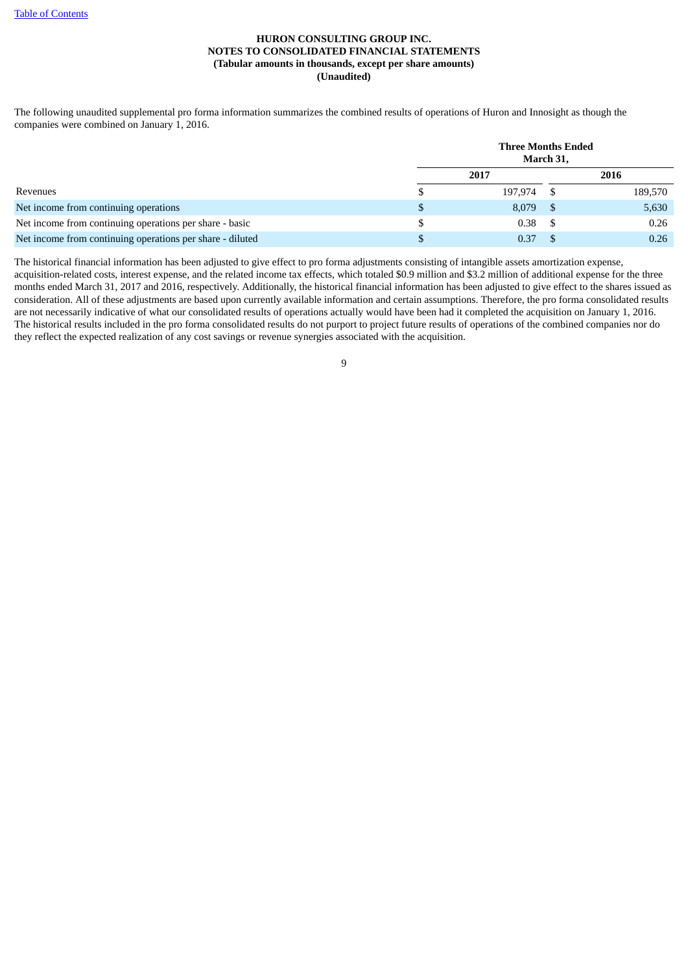The following unaudited supplemental pro forma information summarizes the combined results of operations of Huron and Innosight as though the companies were combined on January 1, 2016.

|                                                           | <b>Three Months Ended</b><br>March 31, |  |         |  |  |  |  |
|-----------------------------------------------------------|----------------------------------------|--|---------|--|--|--|--|
|                                                           | 2017                                   |  | 2016    |  |  |  |  |
| Revenues                                                  | \$<br>197,974                          |  | 189,570 |  |  |  |  |
| Net income from continuing operations                     | \$<br>8,079                            |  | 5,630   |  |  |  |  |
| Net income from continuing operations per share - basic   | \$<br>0.38                             |  | 0.26    |  |  |  |  |
| Net income from continuing operations per share - diluted | \$<br>0.37                             |  | 0.26    |  |  |  |  |

The historical financial information has been adjusted to give effect to pro forma adjustments consisting of intangible assets amortization expense, acquisition-related costs, interest expense, and the related income tax effects, which totaled \$0.9 million and \$3.2 million of additional expense for the three months ended March 31, 2017 and 2016, respectively. Additionally, the historical financial information has been adjusted to give effect to the shares issued as consideration. All of these adjustments are based upon currently available information and certain assumptions. Therefore, the pro forma consolidated results are not necessarily indicative of what our consolidated results of operations actually would have been had it completed the acquisition on January 1, 2016. The historical results included in the pro forma consolidated results do not purport to project future results of operations of the combined companies nor do they reflect the expected realization of any cost savings or revenue synergies associated with the acquisition.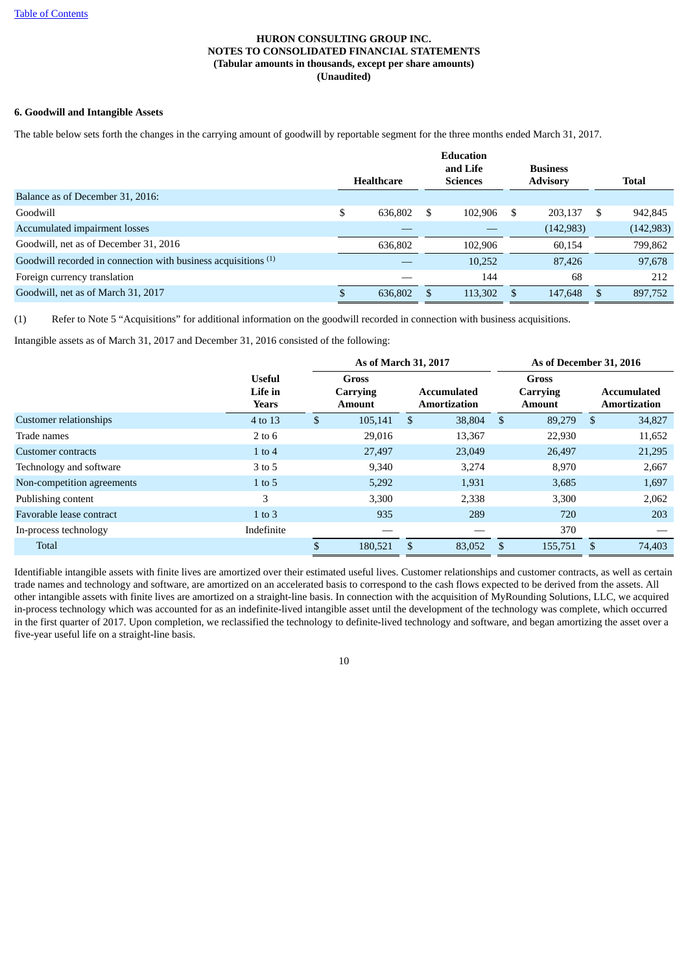# **6. Goodwill and Intangible Assets**

The table below sets forth the changes in the carrying amount of goodwill by reportable segment for the three months ended March 31, 2017.

|                                                                           | <b>Healthcare</b> |         | <b>Education</b><br>and Life<br><b>Sciences</b> |         | <b>Business</b><br><b>Advisory</b> |            | <b>Total</b>  |
|---------------------------------------------------------------------------|-------------------|---------|-------------------------------------------------|---------|------------------------------------|------------|---------------|
| Balance as of December 31, 2016:                                          |                   |         |                                                 |         |                                    |            |               |
| Goodwill                                                                  |                   | 636.802 | S                                               | 102.906 | S                                  | 203.137    | \$<br>942,845 |
| Accumulated impairment losses                                             |                   |         |                                                 |         |                                    | (142, 983) | (142, 983)    |
| Goodwill, net as of December 31, 2016                                     |                   | 636,802 |                                                 | 102,906 |                                    | 60,154     | 799,862       |
| Goodwill recorded in connection with business acquisitions <sup>(1)</sup> |                   |         |                                                 | 10,252  |                                    | 87,426     | 97,678        |
| Foreign currency translation                                              |                   |         |                                                 | 144     |                                    | 68         | 212           |
| Goodwill, net as of March 31, 2017                                        |                   | 636,802 |                                                 | 113,302 |                                    | 147,648    | 897,752       |

(1) Refer to Note 5 "Acquisitions" for additional information on the goodwill recorded in connection with business acquisitions.

Intangible assets as of March 31, 2017 and December 31, 2016 consisted of the following:

|                            |                                   | As of March 31, 2017 |                                           |     |                                    |               | As of December 31, 2016            |      |                                           |
|----------------------------|-----------------------------------|----------------------|-------------------------------------------|-----|------------------------------------|---------------|------------------------------------|------|-------------------------------------------|
|                            | <b>Useful</b><br>Life in<br>Years |                      | <b>Gross</b><br>Carrying<br><b>Amount</b> |     | Accumulated<br><b>Amortization</b> |               | Gross<br>Carrying<br><b>Amount</b> |      | <b>Accumulated</b><br><b>Amortization</b> |
| Customer relationships     | 4 to 13                           | \$                   | 105,141                                   | -S  | 38,804                             | <sup>\$</sup> | 89,279                             | - \$ | 34,827                                    |
| Trade names                | $2$ to $6$                        |                      | 29,016                                    |     | 13,367                             |               | 22,930                             |      | 11,652                                    |
| Customer contracts         | $1$ to $4$                        |                      | 27,497                                    |     | 23,049                             |               | 26,497                             |      | 21,295                                    |
| Technology and software    | 3 to 5                            |                      | 9,340                                     |     | 3,274                              |               | 8,970                              |      | 2,667                                     |
| Non-competition agreements | $1$ to 5                          |                      | 5,292                                     |     | 1,931                              |               | 3,685                              |      | 1,697                                     |
| Publishing content         | 3                                 |                      | 3.300                                     |     | 2,338                              |               | 3,300                              |      | 2,062                                     |
| Favorable lease contract   | $1$ to $3$                        |                      | 935                                       |     | 289                                |               | 720                                |      | 203                                       |
| In-process technology      | Indefinite                        |                      |                                           |     |                                    |               | 370                                |      |                                           |
| Total                      |                                   | \$                   | 180,521                                   | \$. | 83,052                             | \$.           | 155,751                            | - \$ | 74,403                                    |

Identifiable intangible assets with finite lives are amortized over their estimated useful lives. Customer relationships and customer contracts, as well as certain trade names and technology and software, are amortized on an accelerated basis to correspond to the cash flows expected to be derived from the assets. All other intangible assets with finite lives are amortized on a straight-line basis. In connection with the acquisition of MyRounding Solutions, LLC, we acquired in-process technology which was accounted for as an indefinite-lived intangible asset until the development of the technology was complete, which occurred in the first quarter of 2017. Upon completion, we reclassified the technology to definite-lived technology and software, and began amortizing the asset over a five-year useful life on a straight-line basis.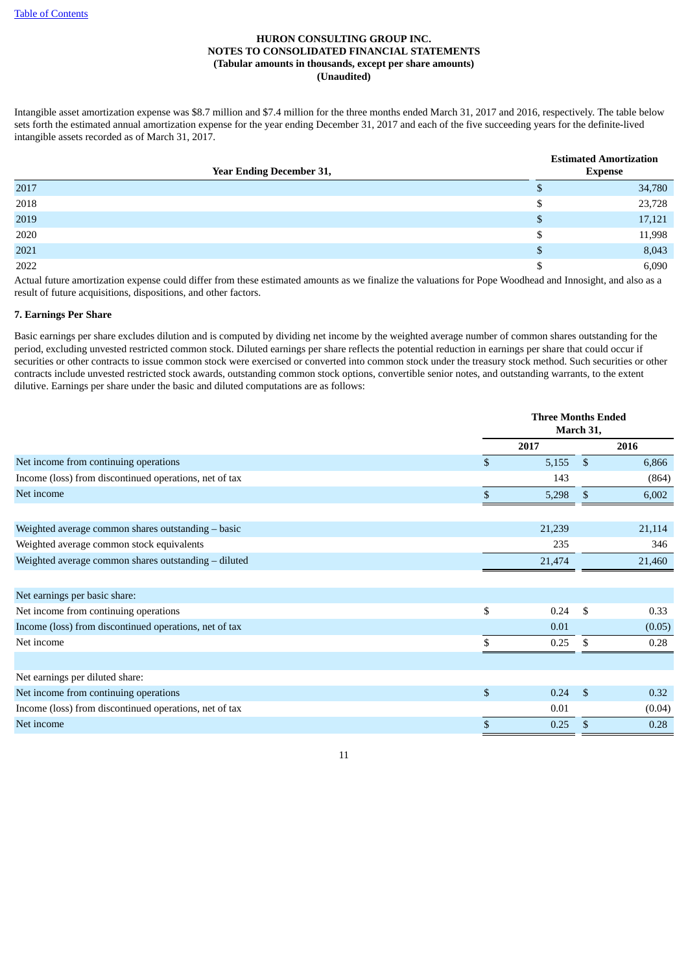Intangible asset amortization expense was \$8.7 million and \$7.4 million for the three months ended March 31, 2017 and 2016, respectively. The table below sets forth the estimated annual amortization expense for the year ending December 31, 2017 and each of the five succeeding years for the definite-lived intangible assets recorded as of March 31, 2017.

| <b>Year Ending December 31,</b> |               | <b>Estimated Amortization</b><br><b>Expense</b> |
|---------------------------------|---------------|-------------------------------------------------|
| 2017                            | ۰D            | 34,780                                          |
| 2018                            | \$            | 23,728                                          |
| 2019                            | <sup>S</sup>  | 17,121                                          |
| 2020                            | S.            | 11,998                                          |
| 2021                            | <sup>\$</sup> | 8,043                                           |
| 2022                            | S             | 6,090                                           |

Actual future amortization expense could differ from these estimated amounts as we finalize the valuations for Pope Woodhead and Innosight, and also as a result of future acquisitions, dispositions, and other factors.

# **7. Earnings Per Share**

Basic earnings per share excludes dilution and is computed by dividing net income by the weighted average number of common shares outstanding for the period, excluding unvested restricted common stock. Diluted earnings per share reflects the potential reduction in earnings per share that could occur if securities or other contracts to issue common stock were exercised or converted into common stock under the treasury stock method. Such securities or other contracts include unvested restricted stock awards, outstanding common stock options, convertible senior notes, and outstanding warrants, to the extent dilutive. Earnings per share under the basic and diluted computations are as follows:

| 2017<br>2016<br>Net income from continuing operations<br>$\mathbb{S}$<br>5,155<br>$\mathbf{\hat{S}}$<br>Income (loss) from discontinued operations, net of tax<br>143<br>Net income<br>$\mathfrak{L}$<br>5,298<br>\$<br>Weighted average common shares outstanding - basic<br>21,239<br>21,114<br>Weighted average common stock equivalents<br>235<br>Weighted average common shares outstanding - diluted<br>21,474<br>Net earnings per basic share:<br>\$<br>Net income from continuing operations<br>0.24<br>- \$<br>Income (loss) from discontinued operations, net of tax<br>0.01<br>Net income<br>\$<br>0.25<br>\$<br>Net earnings per diluted share:<br>\$<br>Net income from continuing operations<br>0.24<br>$\mathbf{\hat{s}}$<br>Income (loss) from discontinued operations, net of tax<br>0.01 |            | <b>Three Months Ended</b><br>March 31, |   |        |  |  |
|------------------------------------------------------------------------------------------------------------------------------------------------------------------------------------------------------------------------------------------------------------------------------------------------------------------------------------------------------------------------------------------------------------------------------------------------------------------------------------------------------------------------------------------------------------------------------------------------------------------------------------------------------------------------------------------------------------------------------------------------------------------------------------------------------------|------------|----------------------------------------|---|--------|--|--|
|                                                                                                                                                                                                                                                                                                                                                                                                                                                                                                                                                                                                                                                                                                                                                                                                            |            |                                        |   |        |  |  |
|                                                                                                                                                                                                                                                                                                                                                                                                                                                                                                                                                                                                                                                                                                                                                                                                            |            |                                        |   | 6,866  |  |  |
|                                                                                                                                                                                                                                                                                                                                                                                                                                                                                                                                                                                                                                                                                                                                                                                                            |            |                                        |   | (864)  |  |  |
|                                                                                                                                                                                                                                                                                                                                                                                                                                                                                                                                                                                                                                                                                                                                                                                                            |            |                                        |   | 6,002  |  |  |
|                                                                                                                                                                                                                                                                                                                                                                                                                                                                                                                                                                                                                                                                                                                                                                                                            |            |                                        |   |        |  |  |
|                                                                                                                                                                                                                                                                                                                                                                                                                                                                                                                                                                                                                                                                                                                                                                                                            |            |                                        |   | 346    |  |  |
|                                                                                                                                                                                                                                                                                                                                                                                                                                                                                                                                                                                                                                                                                                                                                                                                            |            |                                        |   | 21,460 |  |  |
|                                                                                                                                                                                                                                                                                                                                                                                                                                                                                                                                                                                                                                                                                                                                                                                                            |            |                                        |   |        |  |  |
|                                                                                                                                                                                                                                                                                                                                                                                                                                                                                                                                                                                                                                                                                                                                                                                                            |            |                                        |   | 0.33   |  |  |
|                                                                                                                                                                                                                                                                                                                                                                                                                                                                                                                                                                                                                                                                                                                                                                                                            |            |                                        |   | (0.05) |  |  |
|                                                                                                                                                                                                                                                                                                                                                                                                                                                                                                                                                                                                                                                                                                                                                                                                            |            |                                        |   | 0.28   |  |  |
|                                                                                                                                                                                                                                                                                                                                                                                                                                                                                                                                                                                                                                                                                                                                                                                                            |            |                                        |   |        |  |  |
|                                                                                                                                                                                                                                                                                                                                                                                                                                                                                                                                                                                                                                                                                                                                                                                                            |            |                                        |   | 0.32   |  |  |
|                                                                                                                                                                                                                                                                                                                                                                                                                                                                                                                                                                                                                                                                                                                                                                                                            |            |                                        |   | (0.04) |  |  |
|                                                                                                                                                                                                                                                                                                                                                                                                                                                                                                                                                                                                                                                                                                                                                                                                            | Net income | \$<br>0.25                             | S | 0.28   |  |  |

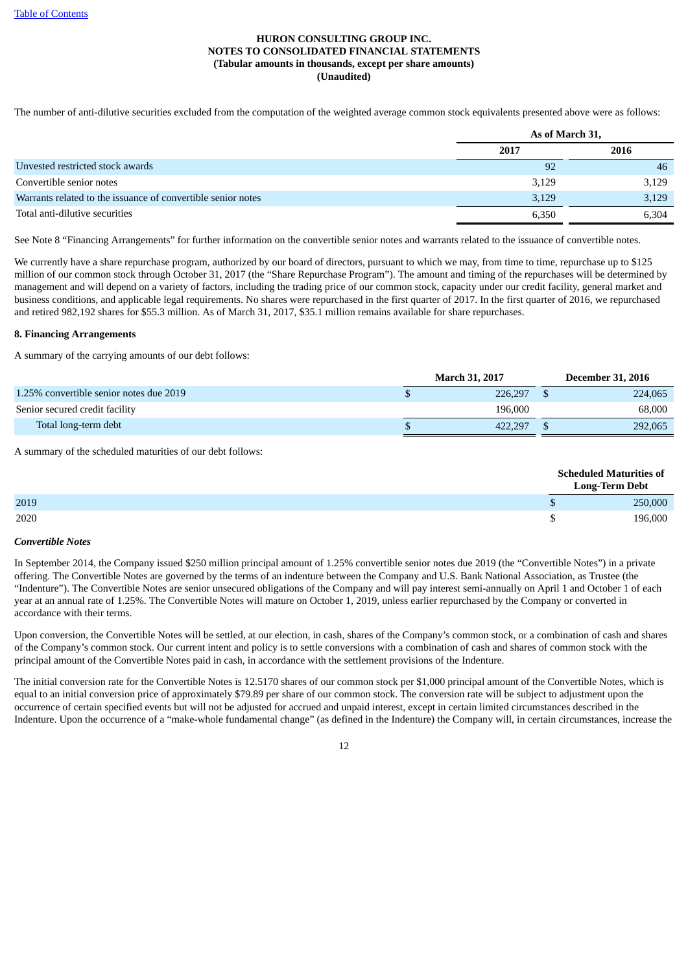The number of anti-dilutive securities excluded from the computation of the weighted average common stock equivalents presented above were as follows:

|                                                              | As of March 31, |       |  |  |
|--------------------------------------------------------------|-----------------|-------|--|--|
|                                                              | 2017            | 2016  |  |  |
| Unvested restricted stock awards                             | 92              | -46   |  |  |
| Convertible senior notes                                     | 3,129           | 3,129 |  |  |
| Warrants related to the issuance of convertible senior notes | 3,129           | 3,129 |  |  |
| Total anti-dilutive securities                               | 6,350           | 6.304 |  |  |

See Note 8 "Financing Arrangements" for further information on the convertible senior notes and warrants related to the issuance of convertible notes.

We currently have a share repurchase program, authorized by our board of directors, pursuant to which we may, from time to time, repurchase up to \$125 million of our common stock through October 31, 2017 (the "Share Repurchase Program"). The amount and timing of the repurchases will be determined by management and will depend on a variety of factors, including the trading price of our common stock, capacity under our credit facility, general market and business conditions, and applicable legal requirements. No shares were repurchased in the first quarter of 2017. In the first quarter of 2016, we repurchased and retired 982,192 shares for \$55.3 million. As of March 31, 2017, \$35.1 million remains available for share repurchases.

#### **8. Financing Arrangements**

A summary of the carrying amounts of our debt follows:

|                                         | <b>March 31, 2017</b> | <b>December 31, 2016</b> |
|-----------------------------------------|-----------------------|--------------------------|
| 1.25% convertible senior notes due 2019 | 226,297               | 224,065                  |
| Senior secured credit facility          | 196.000               | 68,000                   |
| Total long-term debt                    | 422.297               | 292,065                  |

A summary of the scheduled maturities of our debt follows:

|      | <b>Scheduled Maturities of</b><br><b>Long-Term Debt</b> |  |  |
|------|---------------------------------------------------------|--|--|
| 2019 | 250,000                                                 |  |  |
| 2020 | 196.000                                                 |  |  |

#### *Convertible Notes*

In September 2014, the Company issued \$250 million principal amount of 1.25% convertible senior notes due 2019 (the "Convertible Notes") in a private offering. The Convertible Notes are governed by the terms of an indenture between the Company and U.S. Bank National Association, as Trustee (the "Indenture"). The Convertible Notes are senior unsecured obligations of the Company and will pay interest semi-annually on April 1 and October 1 of each year at an annual rate of 1.25%. The Convertible Notes will mature on October 1, 2019, unless earlier repurchased by the Company or converted in accordance with their terms.

Upon conversion, the Convertible Notes will be settled, at our election, in cash, shares of the Company's common stock, or a combination of cash and shares of the Company's common stock. Our current intent and policy is to settle conversions with a combination of cash and shares of common stock with the principal amount of the Convertible Notes paid in cash, in accordance with the settlement provisions of the Indenture.

The initial conversion rate for the Convertible Notes is 12.5170 shares of our common stock per \$1,000 principal amount of the Convertible Notes, which is equal to an initial conversion price of approximately \$79.89 per share of our common stock. The conversion rate will be subject to adjustment upon the occurrence of certain specified events but will not be adjusted for accrued and unpaid interest, except in certain limited circumstances described in the Indenture. Upon the occurrence of a "make-whole fundamental change" (as defined in the Indenture) the Company will, in certain circumstances, increase the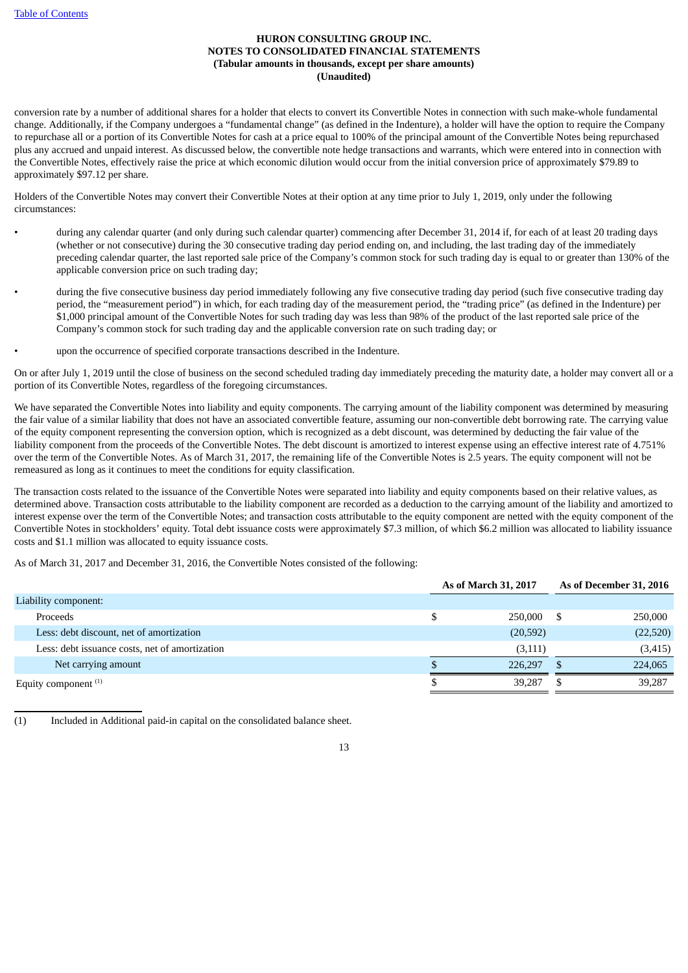conversion rate by a number of additional shares for a holder that elects to convert its Convertible Notes in connection with such make-whole fundamental change. Additionally, if the Company undergoes a "fundamental change" (as defined in the Indenture), a holder will have the option to require the Company to repurchase all or a portion of its Convertible Notes for cash at a price equal to 100% of the principal amount of the Convertible Notes being repurchased plus any accrued and unpaid interest. As discussed below, the convertible note hedge transactions and warrants, which were entered into in connection with the Convertible Notes, effectively raise the price at which economic dilution would occur from the initial conversion price of approximately \$79.89 to approximately \$97.12 per share.

Holders of the Convertible Notes may convert their Convertible Notes at their option at any time prior to July 1, 2019, only under the following circumstances:

- during any calendar quarter (and only during such calendar quarter) commencing after December 31, 2014 if, for each of at least 20 trading days (whether or not consecutive) during the 30 consecutive trading day period ending on, and including, the last trading day of the immediately preceding calendar quarter, the last reported sale price of the Company's common stock for such trading day is equal to or greater than 130% of the applicable conversion price on such trading day;
- during the five consecutive business day period immediately following any five consecutive trading day period (such five consecutive trading day period, the "measurement period") in which, for each trading day of the measurement period, the "trading price" (as defined in the Indenture) per \$1,000 principal amount of the Convertible Notes for such trading day was less than 98% of the product of the last reported sale price of the Company's common stock for such trading day and the applicable conversion rate on such trading day; or
- upon the occurrence of specified corporate transactions described in the Indenture.

On or after July 1, 2019 until the close of business on the second scheduled trading day immediately preceding the maturity date, a holder may convert all or a portion of its Convertible Notes, regardless of the foregoing circumstances.

We have separated the Convertible Notes into liability and equity components. The carrying amount of the liability component was determined by measuring the fair value of a similar liability that does not have an associated convertible feature, assuming our non-convertible debt borrowing rate. The carrying value of the equity component representing the conversion option, which is recognized as a debt discount, was determined by deducting the fair value of the liability component from the proceeds of the Convertible Notes. The debt discount is amortized to interest expense using an effective interest rate of 4.751% over the term of the Convertible Notes. As of March 31, 2017, the remaining life of the Convertible Notes is 2.5 years. The equity component will not be remeasured as long as it continues to meet the conditions for equity classification.

The transaction costs related to the issuance of the Convertible Notes were separated into liability and equity components based on their relative values, as determined above. Transaction costs attributable to the liability component are recorded as a deduction to the carrying amount of the liability and amortized to interest expense over the term of the Convertible Notes; and transaction costs attributable to the equity component are netted with the equity component of the Convertible Notes in stockholders' equity. Total debt issuance costs were approximately \$7.3 million, of which \$6.2 million was allocated to liability issuance costs and \$1.1 million was allocated to equity issuance costs.

As of March 31, 2017 and December 31, 2016, the Convertible Notes consisted of the following:

|                                                |   | As of March 31, 2017 | As of December 31, 2016 |          |  |
|------------------------------------------------|---|----------------------|-------------------------|----------|--|
| Liability component:                           |   |                      |                         |          |  |
| Proceeds                                       | S | 250,000              | - S                     | 250,000  |  |
| Less: debt discount, net of amortization       |   | (20, 592)            |                         | (22,520) |  |
| Less: debt issuance costs, net of amortization |   | (3, 111)             |                         | (3, 415) |  |
| Net carrying amount                            |   | 226,297              |                         | 224,065  |  |
| Equity component $(1)$                         |   | 39.287               |                         | 39,287   |  |

(1) Included in Additional paid-in capital on the consolidated balance sheet.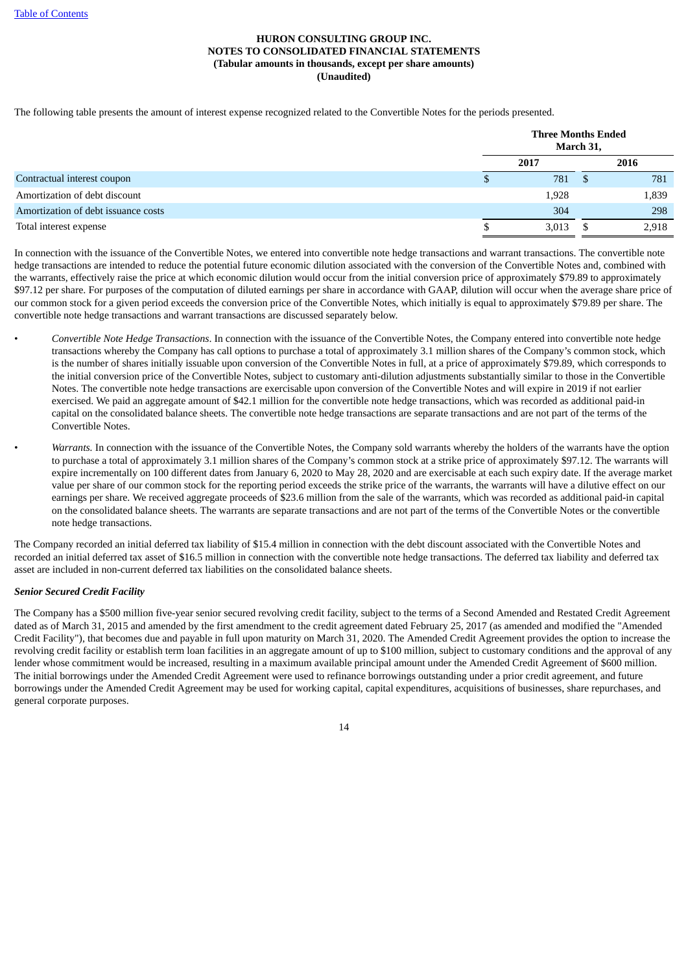The following table presents the amount of interest expense recognized related to the Convertible Notes for the periods presented.

|                                     | <b>Three Months Ended</b> | March 31, |       |
|-------------------------------------|---------------------------|-----------|-------|
|                                     | 2017                      |           | 2016  |
| Contractual interest coupon         | 781                       |           | 781   |
| Amortization of debt discount       | 1,928                     |           | 1,839 |
| Amortization of debt issuance costs | 304                       |           | 298   |
| Total interest expense              | 3,013                     |           | 2,918 |

In connection with the issuance of the Convertible Notes, we entered into convertible note hedge transactions and warrant transactions. The convertible note hedge transactions are intended to reduce the potential future economic dilution associated with the conversion of the Convertible Notes and, combined with the warrants, effectively raise the price at which economic dilution would occur from the initial conversion price of approximately \$79.89 to approximately \$97.12 per share. For purposes of the computation of diluted earnings per share in accordance with GAAP, dilution will occur when the average share price of our common stock for a given period exceeds the conversion price of the Convertible Notes, which initially is equal to approximately \$79.89 per share. The convertible note hedge transactions and warrant transactions are discussed separately below.

- *Convertible Note Hedge Transactions*. In connection with the issuance of the Convertible Notes, the Company entered into convertible note hedge transactions whereby the Company has call options to purchase a total of approximately 3.1 million shares of the Company's common stock, which is the number of shares initially issuable upon conversion of the Convertible Notes in full, at a price of approximately \$79.89, which corresponds to the initial conversion price of the Convertible Notes, subject to customary anti-dilution adjustments substantially similar to those in the Convertible Notes. The convertible note hedge transactions are exercisable upon conversion of the Convertible Notes and will expire in 2019 if not earlier exercised. We paid an aggregate amount of \$42.1 million for the convertible note hedge transactions, which was recorded as additional paid-in capital on the consolidated balance sheets. The convertible note hedge transactions are separate transactions and are not part of the terms of the Convertible Notes.
- *Warrants.* In connection with the issuance of the Convertible Notes, the Company sold warrants whereby the holders of the warrants have the option to purchase a total of approximately 3.1 million shares of the Company's common stock at a strike price of approximately \$97.12. The warrants will expire incrementally on 100 different dates from January 6, 2020 to May 28, 2020 and are exercisable at each such expiry date. If the average market value per share of our common stock for the reporting period exceeds the strike price of the warrants, the warrants will have a dilutive effect on our earnings per share. We received aggregate proceeds of \$23.6 million from the sale of the warrants, which was recorded as additional paid-in capital on the consolidated balance sheets. The warrants are separate transactions and are not part of the terms of the Convertible Notes or the convertible note hedge transactions.

The Company recorded an initial deferred tax liability of \$15.4 million in connection with the debt discount associated with the Convertible Notes and recorded an initial deferred tax asset of \$16.5 million in connection with the convertible note hedge transactions. The deferred tax liability and deferred tax asset are included in non-current deferred tax liabilities on the consolidated balance sheets.

# *Senior Secured Credit Facility*

The Company has a \$500 million five-year senior secured revolving credit facility, subject to the terms of a Second Amended and Restated Credit Agreement dated as of March 31, 2015 and amended by the first amendment to the credit agreement dated February 25, 2017 (as amended and modified the "Amended Credit Facility"), that becomes due and payable in full upon maturity on March 31, 2020. The Amended Credit Agreement provides the option to increase the revolving credit facility or establish term loan facilities in an aggregate amount of up to \$100 million, subject to customary conditions and the approval of any lender whose commitment would be increased, resulting in a maximum available principal amount under the Amended Credit Agreement of \$600 million. The initial borrowings under the Amended Credit Agreement were used to refinance borrowings outstanding under a prior credit agreement, and future borrowings under the Amended Credit Agreement may be used for working capital, capital expenditures, acquisitions of businesses, share repurchases, and general corporate purposes.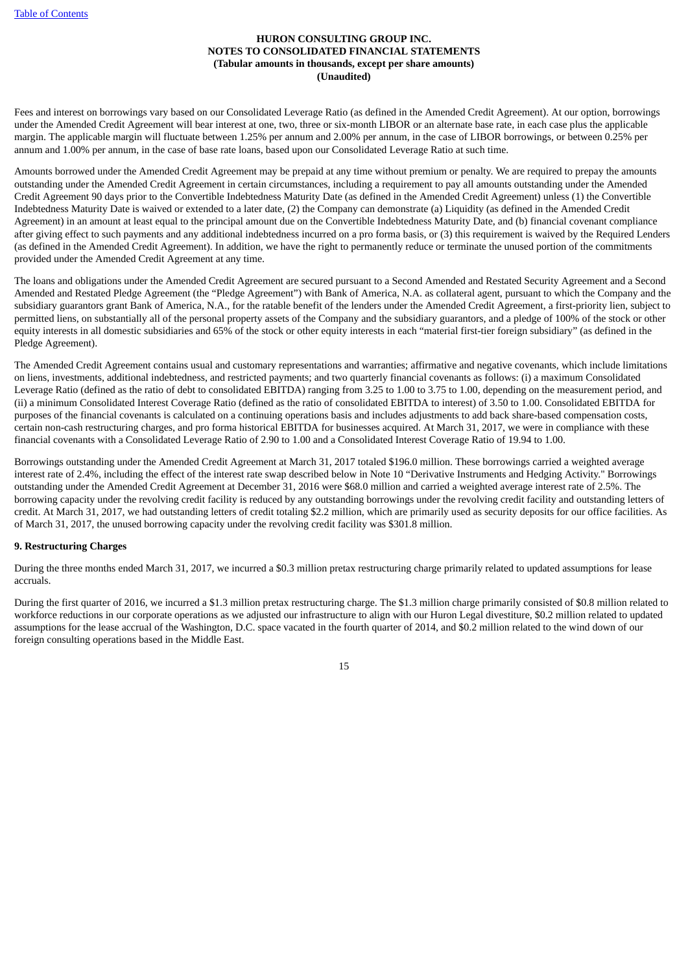Fees and interest on borrowings vary based on our Consolidated Leverage Ratio (as defined in the Amended Credit Agreement). At our option, borrowings under the Amended Credit Agreement will bear interest at one, two, three or six-month LIBOR or an alternate base rate, in each case plus the applicable margin. The applicable margin will fluctuate between 1.25% per annum and 2.00% per annum, in the case of LIBOR borrowings, or between 0.25% per annum and 1.00% per annum, in the case of base rate loans, based upon our Consolidated Leverage Ratio at such time.

Amounts borrowed under the Amended Credit Agreement may be prepaid at any time without premium or penalty. We are required to prepay the amounts outstanding under the Amended Credit Agreement in certain circumstances, including a requirement to pay all amounts outstanding under the Amended Credit Agreement 90 days prior to the Convertible Indebtedness Maturity Date (as defined in the Amended Credit Agreement) unless (1) the Convertible Indebtedness Maturity Date is waived or extended to a later date, (2) the Company can demonstrate (a) Liquidity (as defined in the Amended Credit Agreement) in an amount at least equal to the principal amount due on the Convertible Indebtedness Maturity Date, and (b) financial covenant compliance after giving effect to such payments and any additional indebtedness incurred on a pro forma basis, or (3) this requirement is waived by the Required Lenders (as defined in the Amended Credit Agreement). In addition, we have the right to permanently reduce or terminate the unused portion of the commitments provided under the Amended Credit Agreement at any time.

The loans and obligations under the Amended Credit Agreement are secured pursuant to a Second Amended and Restated Security Agreement and a Second Amended and Restated Pledge Agreement (the "Pledge Agreement") with Bank of America, N.A. as collateral agent, pursuant to which the Company and the subsidiary guarantors grant Bank of America, N.A., for the ratable benefit of the lenders under the Amended Credit Agreement, a first-priority lien, subject to permitted liens, on substantially all of the personal property assets of the Company and the subsidiary guarantors, and a pledge of 100% of the stock or other equity interests in all domestic subsidiaries and 65% of the stock or other equity interests in each "material first-tier foreign subsidiary" (as defined in the Pledge Agreement).

The Amended Credit Agreement contains usual and customary representations and warranties; affirmative and negative covenants, which include limitations on liens, investments, additional indebtedness, and restricted payments; and two quarterly financial covenants as follows: (i) a maximum Consolidated Leverage Ratio (defined as the ratio of debt to consolidated EBITDA) ranging from 3.25 to 1.00 to 3.75 to 1.00, depending on the measurement period, and (ii) a minimum Consolidated Interest Coverage Ratio (defined as the ratio of consolidated EBITDA to interest) of 3.50 to 1.00. Consolidated EBITDA for purposes of the financial covenants is calculated on a continuing operations basis and includes adjustments to add back share-based compensation costs, certain non-cash restructuring charges, and pro forma historical EBITDA for businesses acquired. At March 31, 2017, we were in compliance with these financial covenants with a Consolidated Leverage Ratio of 2.90 to 1.00 and a Consolidated Interest Coverage Ratio of 19.94 to 1.00.

Borrowings outstanding under the Amended Credit Agreement at March 31, 2017 totaled \$196.0 million. These borrowings carried a weighted average interest rate of 2.4%, including the effect of the interest rate swap described below in Note 10 "Derivative Instruments and Hedging Activity." Borrowings outstanding under the Amended Credit Agreement at December 31, 2016 were \$68.0 million and carried a weighted average interest rate of 2.5%. The borrowing capacity under the revolving credit facility is reduced by any outstanding borrowings under the revolving credit facility and outstanding letters of credit. At March 31, 2017, we had outstanding letters of credit totaling \$2.2 million, which are primarily used as security deposits for our office facilities. As of March 31, 2017, the unused borrowing capacity under the revolving credit facility was \$301.8 million.

# **9. Restructuring Charges**

During the three months ended March 31, 2017, we incurred a \$0.3 million pretax restructuring charge primarily related to updated assumptions for lease accruals.

During the first quarter of 2016, we incurred a \$1.3 million pretax restructuring charge. The \$1.3 million charge primarily consisted of \$0.8 million related to workforce reductions in our corporate operations as we adjusted our infrastructure to align with our Huron Legal divestiture, \$0.2 million related to updated assumptions for the lease accrual of the Washington, D.C. space vacated in the fourth quarter of 2014, and \$0.2 million related to the wind down of our foreign consulting operations based in the Middle East.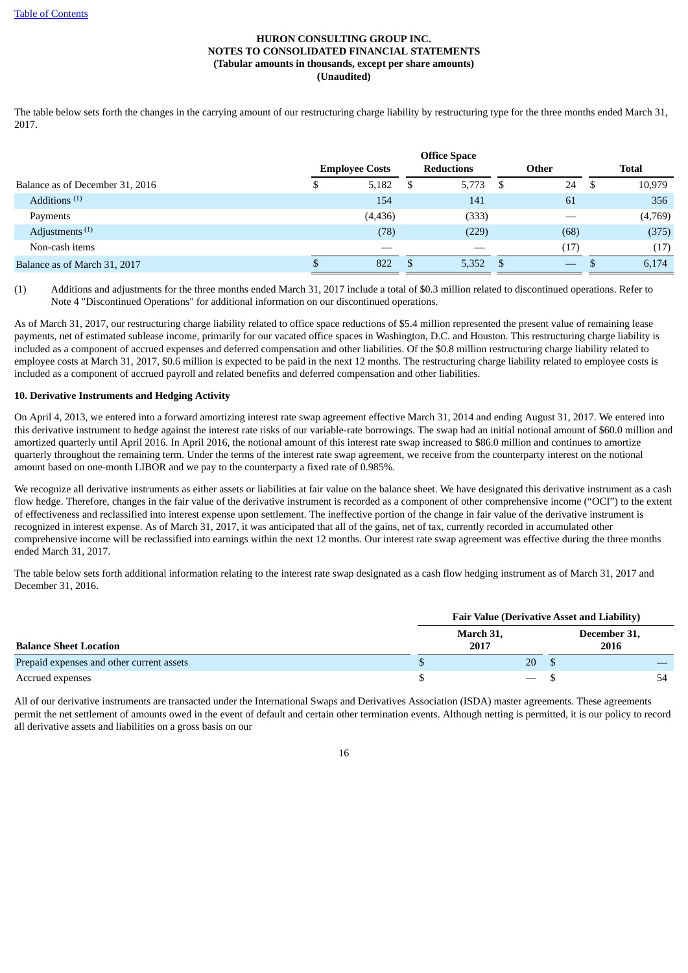The table below sets forth the changes in the carrying amount of our restructuring charge liability by restructuring type for the three months ended March 31, 2017.

|                                 |                       |   | <b>Office Space</b> |    |       |      |              |
|---------------------------------|-----------------------|---|---------------------|----|-------|------|--------------|
|                                 | <b>Employee Costs</b> |   | <b>Reductions</b>   |    | Other |      | <b>Total</b> |
| Balance as of December 31, 2016 | \$<br>5,182           | S | 5,773               | S  | 24    | - \$ | 10,979       |
| Additions $(1)$                 | 154                   |   | 141                 |    | 61    |      | 356          |
| Payments                        | (4, 436)              |   | (333)               |    |       |      | (4,769)      |
| Adjustments <sup>(1)</sup>      | (78)                  |   | (229)               |    | (68)  |      | (375)        |
| Non-cash items                  | __                    |   |                     |    | (17)  |      | (17)         |
| Balance as of March 31, 2017    | 822                   | S | 5,352               | -S |       |      | 6,174        |

(1) Additions and adjustments for the three months ended March 31, 2017 include a total of \$0.3 million related to discontinued operations. Refer to Note 4 "Discontinued Operations" for additional information on our discontinued operations.

As of March 31, 2017, our restructuring charge liability related to office space reductions of \$5.4 million represented the present value of remaining lease payments, net of estimated sublease income, primarily for our vacated office spaces in Washington, D.C. and Houston. This restructuring charge liability is included as a component of accrued expenses and deferred compensation and other liabilities. Of the \$0.8 million restructuring charge liability related to employee costs at March 31, 2017, \$0.6 million is expected to be paid in the next 12 months. The restructuring charge liability related to employee costs is included as a component of accrued payroll and related benefits and deferred compensation and other liabilities.

#### **10. Derivative Instruments and Hedging Activity**

On April 4, 2013, we entered into a forward amortizing interest rate swap agreement effective March 31, 2014 and ending August 31, 2017. We entered into this derivative instrument to hedge against the interest rate risks of our variable-rate borrowings. The swap had an initial notional amount of \$60.0 million and amortized quarterly until April 2016. In April 2016, the notional amount of this interest rate swap increased to \$86.0 million and continues to amortize quarterly throughout the remaining term. Under the terms of the interest rate swap agreement, we receive from the counterparty interest on the notional amount based on one-month LIBOR and we pay to the counterparty a fixed rate of 0.985%.

We recognize all derivative instruments as either assets or liabilities at fair value on the balance sheet. We have designated this derivative instrument as a cash flow hedge. Therefore, changes in the fair value of the derivative instrument is recorded as a component of other comprehensive income ("OCI") to the extent of effectiveness and reclassified into interest expense upon settlement. The ineffective portion of the change in fair value of the derivative instrument is recognized in interest expense. As of March 31, 2017, it was anticipated that all of the gains, net of tax, currently recorded in accumulated other comprehensive income will be reclassified into earnings within the next 12 months. Our interest rate swap agreement was effective during the three months ended March 31, 2017.

The table below sets forth additional information relating to the interest rate swap designated as a cash flow hedging instrument as of March 31, 2017 and December 31, 2016.

|                                           | <b>Fair Value (Derivative Asset and Liability)</b> |                                 |  |                      |  |  |  |  |  |
|-------------------------------------------|----------------------------------------------------|---------------------------------|--|----------------------|--|--|--|--|--|
| <b>Balance Sheet Location</b>             | March 31,<br>2017                                  |                                 |  | December 31,<br>2016 |  |  |  |  |  |
| Prepaid expenses and other current assets |                                                    | 20                              |  |                      |  |  |  |  |  |
| Accrued expenses                          |                                                    | $\hspace{0.1mm}-\hspace{0.1mm}$ |  |                      |  |  |  |  |  |

All of our derivative instruments are transacted under the International Swaps and Derivatives Association (ISDA) master agreements. These agreements permit the net settlement of amounts owed in the event of default and certain other termination events. Although netting is permitted, it is our policy to record all derivative assets and liabilities on a gross basis on our

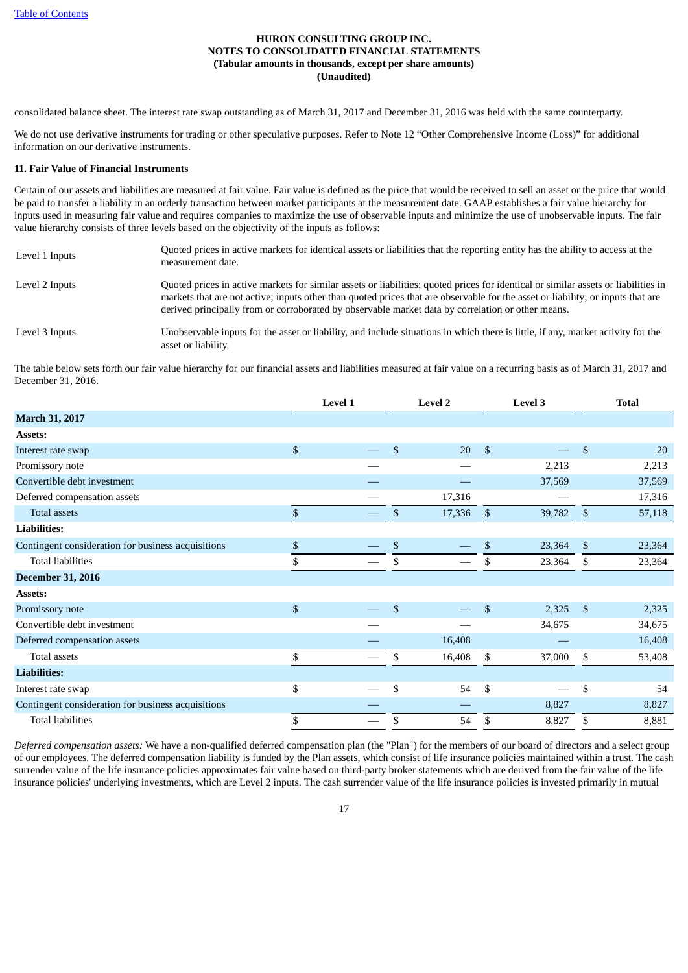consolidated balance sheet. The interest rate swap outstanding as of March 31, 2017 and December 31, 2016 was held with the same counterparty.

We do not use derivative instruments for trading or other speculative purposes. Refer to Note 12 "Other Comprehensive Income (Loss)" for additional information on our derivative instruments.

#### **11. Fair Value of Financial Instruments**

Certain of our assets and liabilities are measured at fair value. Fair value is defined as the price that would be received to sell an asset or the price that would be paid to transfer a liability in an orderly transaction between market participants at the measurement date. GAAP establishes a fair value hierarchy for inputs used in measuring fair value and requires companies to maximize the use of observable inputs and minimize the use of unobservable inputs. The fair value hierarchy consists of three levels based on the objectivity of the inputs as follows:

| Level 1 Inputs | Quoted prices in active markets for identical assets or liabilities that the reporting entity has the ability to access at the<br>measurement date.                                                                                                                                                                                                                        |
|----------------|----------------------------------------------------------------------------------------------------------------------------------------------------------------------------------------------------------------------------------------------------------------------------------------------------------------------------------------------------------------------------|
| Level 2 Inputs | Quoted prices in active markets for similar assets or liabilities; quoted prices for identical or similar assets or liabilities in<br>markets that are not active; inputs other than quoted prices that are observable for the asset or liability; or inputs that are<br>derived principally from or corroborated by observable market data by correlation or other means. |
| Level 3 Inputs | Unobservable inputs for the asset or liability, and include situations in which there is little, if any, market activity for the<br>asset or liability.                                                                                                                                                                                                                    |

The table below sets forth our fair value hierarchy for our financial assets and liabilities measured at fair value on a recurring basis as of March 31, 2017 and December 31, 2016.

|                                                    | Level 1 | <b>Level 2</b> |                | <b>Level 3</b> |                | <b>Total</b> |
|----------------------------------------------------|---------|----------------|----------------|----------------|----------------|--------------|
| March 31, 2017                                     |         |                |                |                |                |              |
| Assets:                                            |         |                |                |                |                |              |
| Interest rate swap                                 | \$      | \$<br>20       | $\mathfrak{S}$ |                | \$             | 20           |
| Promissory note                                    |         |                |                | 2,213          |                | 2,213        |
| Convertible debt investment                        |         |                |                | 37,569         |                | 37,569       |
| Deferred compensation assets                       |         | 17,316         |                |                |                | 17,316       |
| Total assets                                       | \$      | \$<br>17,336   | $\mathbf{s}$   | 39,782         | \$             | 57,118       |
| <b>Liabilities:</b>                                |         |                |                |                |                |              |
| Contingent consideration for business acquisitions | \$      | \$             | \$             | 23,364         | \$             | 23,364       |
| <b>Total liabilities</b>                           | \$      | \$             | \$             | 23,364         | \$             | 23,364       |
| <b>December 31, 2016</b>                           |         |                |                |                |                |              |
| <b>Assets:</b>                                     |         |                |                |                |                |              |
| Promissory note                                    | \$      | \$             | $\mathfrak{S}$ | 2,325          | $\mathfrak{S}$ | 2,325        |
| Convertible debt investment                        |         |                |                | 34,675         |                | 34,675       |
| Deferred compensation assets                       |         | 16,408         |                |                |                | 16,408       |
| Total assets                                       | \$      | \$<br>16,408   | \$             | 37,000         | \$             | 53,408       |
| <b>Liabilities:</b>                                |         |                |                |                |                |              |
| Interest rate swap                                 | \$      | \$<br>54       | \$             |                | \$             | 54           |
| Contingent consideration for business acquisitions |         |                |                | 8,827          |                | 8,827        |
| <b>Total liabilities</b>                           | \$      | \$<br>54       | \$             | 8,827          | \$             | 8,881        |

*Deferred compensation assets:* We have a non-qualified deferred compensation plan (the "Plan") for the members of our board of directors and a select group of our employees. The deferred compensation liability is funded by the Plan assets, which consist of life insurance policies maintained within a trust. The cash surrender value of the life insurance policies approximates fair value based on third-party broker statements which are derived from the fair value of the life insurance policies' underlying investments, which are Level 2 inputs. The cash surrender value of the life insurance policies is invested primarily in mutual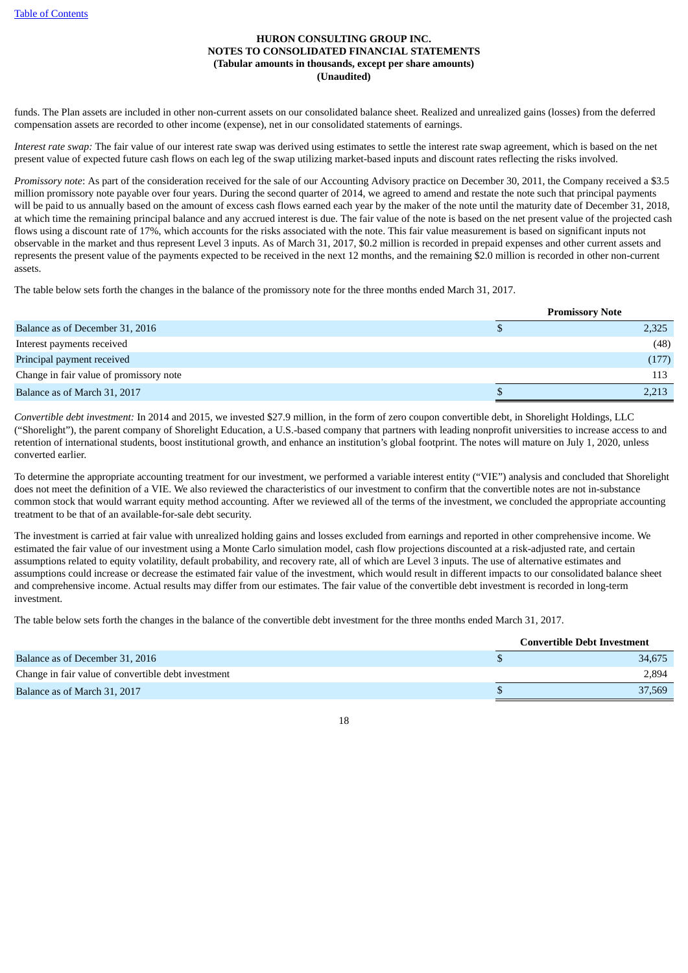funds. The Plan assets are included in other non-current assets on our consolidated balance sheet. Realized and unrealized gains (losses) from the deferred compensation assets are recorded to other income (expense), net in our consolidated statements of earnings.

*Interest rate swap:* The fair value of our interest rate swap was derived using estimates to settle the interest rate swap agreement, which is based on the net present value of expected future cash flows on each leg of the swap utilizing market-based inputs and discount rates reflecting the risks involved.

*Promissory note*: As part of the consideration received for the sale of our Accounting Advisory practice on December 30, 2011, the Company received a \$3.5 million promissory note payable over four years. During the second quarter of 2014, we agreed to amend and restate the note such that principal payments will be paid to us annually based on the amount of excess cash flows earned each year by the maker of the note until the maturity date of December 31, 2018, at which time the remaining principal balance and any accrued interest is due. The fair value of the note is based on the net present value of the projected cash flows using a discount rate of 17%, which accounts for the risks associated with the note. This fair value measurement is based on significant inputs not observable in the market and thus represent Level 3 inputs. As of March 31, 2017, \$0.2 million is recorded in prepaid expenses and other current assets and represents the present value of the payments expected to be received in the next 12 months, and the remaining \$2.0 million is recorded in other non-current assets.

The table below sets forth the changes in the balance of the promissory note for the three months ended March 31, 2017.

|                                         | <b>Promissory Note</b> |  |
|-----------------------------------------|------------------------|--|
| Balance as of December 31, 2016         | 2,325                  |  |
| Interest payments received              | (48)                   |  |
| Principal payment received              | (177)                  |  |
| Change in fair value of promissory note | 113                    |  |
| Balance as of March 31, 2017            | 2,213                  |  |

*Convertible debt investment:* In 2014 and 2015, we invested \$27.9 million, in the form of zero coupon convertible debt, in Shorelight Holdings, LLC ("Shorelight"), the parent company of Shorelight Education, a U.S.-based company that partners with leading nonprofit universities to increase access to and retention of international students, boost institutional growth, and enhance an institution's global footprint. The notes will mature on July 1, 2020, unless converted earlier.

To determine the appropriate accounting treatment for our investment, we performed a variable interest entity ("VIE") analysis and concluded that Shorelight does not meet the definition of a VIE. We also reviewed the characteristics of our investment to confirm that the convertible notes are not in-substance common stock that would warrant equity method accounting. After we reviewed all of the terms of the investment, we concluded the appropriate accounting treatment to be that of an available-for-sale debt security.

The investment is carried at fair value with unrealized holding gains and losses excluded from earnings and reported in other comprehensive income. We estimated the fair value of our investment using a Monte Carlo simulation model, cash flow projections discounted at a risk-adjusted rate, and certain assumptions related to equity volatility, default probability, and recovery rate, all of which are Level 3 inputs. The use of alternative estimates and assumptions could increase or decrease the estimated fair value of the investment, which would result in different impacts to our consolidated balance sheet and comprehensive income. Actual results may differ from our estimates. The fair value of the convertible debt investment is recorded in long-term investment.

The table below sets forth the changes in the balance of the convertible debt investment for the three months ended March 31, 2017.

|                                                     | <b>Convertible Debt Investment</b> |
|-----------------------------------------------------|------------------------------------|
| Balance as of December 31, 2016                     | 34,675                             |
| Change in fair value of convertible debt investment | 2,894                              |
| Balance as of March 31, 2017                        | 37,569                             |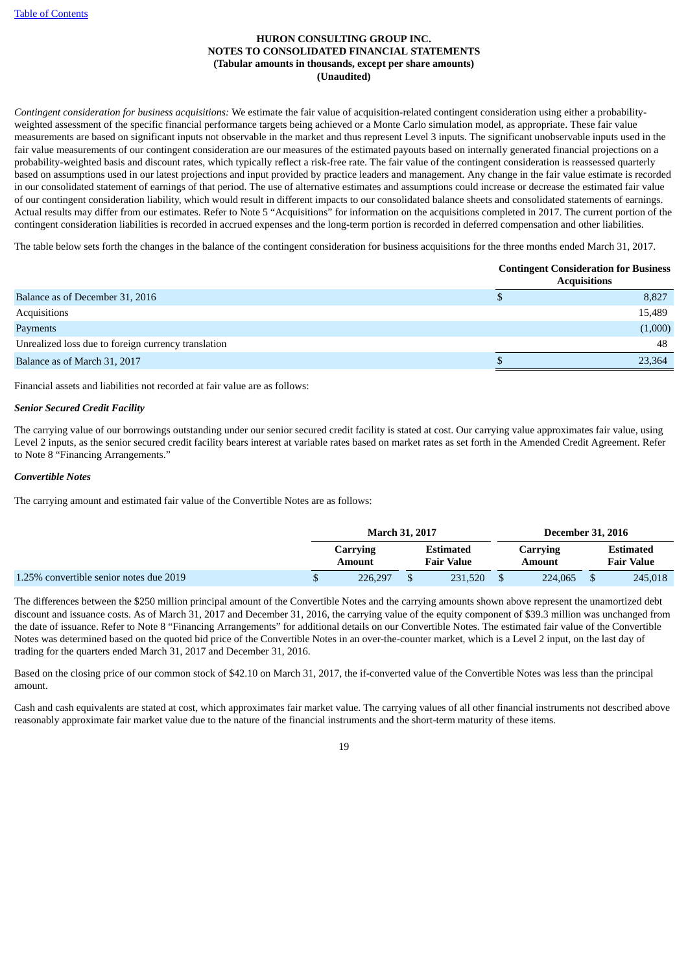*Contingent consideration for business acquisitions:* We estimate the fair value of acquisition-related contingent consideration using either a probabilityweighted assessment of the specific financial performance targets being achieved or a Monte Carlo simulation model, as appropriate. These fair value measurements are based on significant inputs not observable in the market and thus represent Level 3 inputs. The significant unobservable inputs used in the fair value measurements of our contingent consideration are our measures of the estimated payouts based on internally generated financial projections on a probability-weighted basis and discount rates, which typically reflect a risk-free rate. The fair value of the contingent consideration is reassessed quarterly based on assumptions used in our latest projections and input provided by practice leaders and management. Any change in the fair value estimate is recorded in our consolidated statement of earnings of that period. The use of alternative estimates and assumptions could increase or decrease the estimated fair value of our contingent consideration liability, which would result in different impacts to our consolidated balance sheets and consolidated statements of earnings. Actual results may differ from our estimates. Refer to Note 5 "Acquisitions" for information on the acquisitions completed in 2017. The current portion of the contingent consideration liabilities is recorded in accrued expenses and the long-term portion is recorded in deferred compensation and other liabilities.

The table below sets forth the changes in the balance of the contingent consideration for business acquisitions for the three months ended March 31, 2017.

|                                                     | <b>Contingent Consideration for Business</b><br><b>Acquisitions</b> |  |  |  |  |  |
|-----------------------------------------------------|---------------------------------------------------------------------|--|--|--|--|--|
| Balance as of December 31, 2016                     | 8,827                                                               |  |  |  |  |  |
| Acquisitions                                        | 15,489                                                              |  |  |  |  |  |
| Payments                                            | (1,000)                                                             |  |  |  |  |  |
| Unrealized loss due to foreign currency translation | 48                                                                  |  |  |  |  |  |
| Balance as of March 31, 2017                        | 23,364                                                              |  |  |  |  |  |

Financial assets and liabilities not recorded at fair value are as follows:

# *Senior Secured Credit Facility*

The carrying value of our borrowings outstanding under our senior secured credit facility is stated at cost. Our carrying value approximates fair value, using Level 2 inputs, as the senior secured credit facility bears interest at variable rates based on market rates as set forth in the Amended Credit Agreement. Refer to Note 8 "Financing Arrangements."

#### *Convertible Notes*

The carrying amount and estimated fair value of the Convertible Notes are as follows:

|                                         | <b>March 31, 2017</b> |  |                                |  | <b>December 31, 2016</b> |                                |
|-----------------------------------------|-----------------------|--|--------------------------------|--|--------------------------|--------------------------------|
|                                         | Carrying<br>Amount    |  | Estimated<br><b>Fair Value</b> |  | Carrving<br>Amount       | Estimated<br><b>Fair Value</b> |
| 1.25% convertible senior notes due 2019 | 226.297               |  | 231,520                        |  | 224,065                  | 245,018                        |

The differences between the \$250 million principal amount of the Convertible Notes and the carrying amounts shown above represent the unamortized debt discount and issuance costs. As of March 31, 2017 and December 31, 2016, the carrying value of the equity component of \$39.3 million was unchanged from the date of issuance. Refer to Note 8 "Financing Arrangements" for additional details on our Convertible Notes. The estimated fair value of the Convertible Notes was determined based on the quoted bid price of the Convertible Notes in an over-the-counter market, which is a Level 2 input, on the last day of trading for the quarters ended March 31, 2017 and December 31, 2016.

Based on the closing price of our common stock of \$42.10 on March 31, 2017, the if-converted value of the Convertible Notes was less than the principal amount.

Cash and cash equivalents are stated at cost, which approximates fair market value. The carrying values of all other financial instruments not described above reasonably approximate fair market value due to the nature of the financial instruments and the short-term maturity of these items.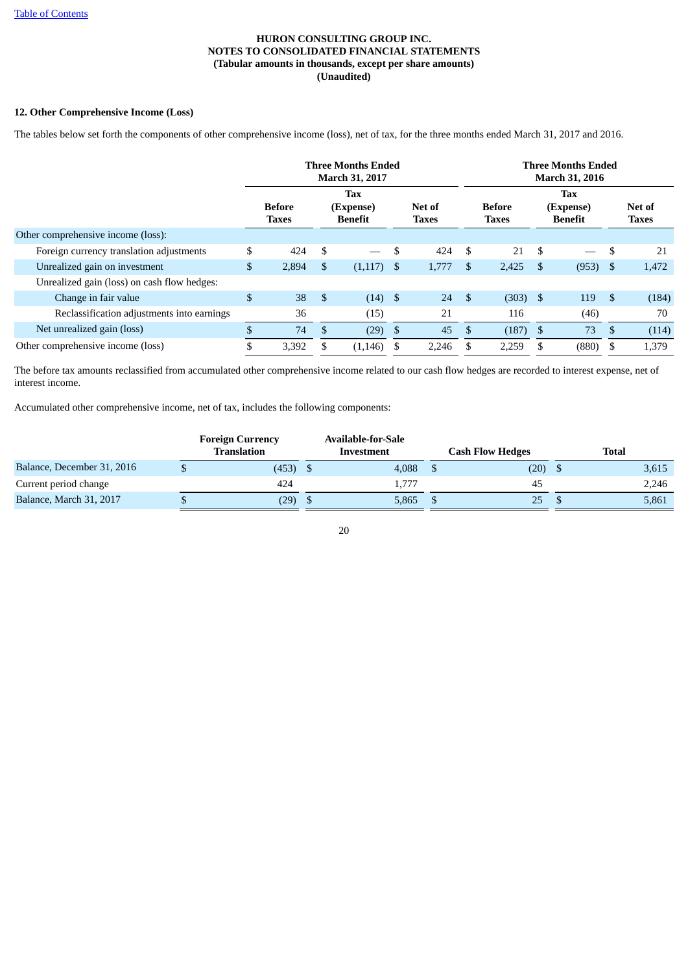# **12. Other Comprehensive Income (Loss)**

The tables below set forth the components of other comprehensive income (loss), net of tax, for the three months ended March 31, 2017 and 2016.

|                                             | <b>Three Months Ended</b><br>March 31, 2017 |                               |    |                                           |      |                        |     |                               |            | <b>Three Months Ended</b><br><b>March 31, 2016</b> |               |                        |
|---------------------------------------------|---------------------------------------------|-------------------------------|----|-------------------------------------------|------|------------------------|-----|-------------------------------|------------|----------------------------------------------------|---------------|------------------------|
|                                             |                                             | <b>Before</b><br><b>Taxes</b> |    | <b>Tax</b><br>(Expense)<br><b>Benefit</b> |      | Net of<br><b>Taxes</b> |     | <b>Before</b><br><b>Taxes</b> |            | <b>Tax</b><br>(Expense)<br>Benefit                 |               | Net of<br><b>Taxes</b> |
| Other comprehensive income (loss):          |                                             |                               |    |                                           |      |                        |     |                               |            |                                                    |               |                        |
| Foreign currency translation adjustments    | \$                                          | 424                           | \$ |                                           | \$   | 424                    | \$. | 21                            | \$         |                                                    | <sup>\$</sup> | 21                     |
| Unrealized gain on investment               | $\mathfrak{S}$                              | 2,894                         | \$ | (1,117)                                   | - \$ | 1,777                  | -\$ | 2,425                         | -S         | $(953)$ \$                                         |               | 1,472                  |
| Unrealized gain (loss) on cash flow hedges: |                                             |                               |    |                                           |      |                        |     |                               |            |                                                    |               |                        |
| Change in fair value                        | \$                                          | 38                            | \$ | $(14)$ \$                                 |      | 24                     | -\$ | $(303)$ \$                    |            | 119                                                | -\$           | (184)                  |
| Reclassification adjustments into earnings  |                                             | 36                            |    | (15)                                      |      | 21                     |     | 116                           |            | (46)                                               |               | 70                     |
| Net unrealized gain (loss)                  | $\mathcal{S}$                               | 74                            | \$ | (29)                                      | \$   | 45                     | \$  | (187)                         | $^{\circ}$ | 73                                                 | \$            | (114)                  |
| Other comprehensive income (loss)           | \$                                          | 3,392                         |    | (1, 146)                                  | S    | 2,246                  |     | 2,259                         | \$.        | (880)                                              | - \$          | 1,379                  |

The before tax amounts reclassified from accumulated other comprehensive income related to our cash flow hedges are recorded to interest expense, net of interest income.

Accumulated other comprehensive income, net of tax, includes the following components:

|                            | <b>Foreign Currency</b><br>Translation | <b>Available-for-Sale</b><br>Investment | <b>Cash Flow Hedges</b> | <b>Total</b> |
|----------------------------|----------------------------------------|-----------------------------------------|-------------------------|--------------|
| Balance, December 31, 2016 | (453)                                  | 4.088                                   | (20)                    | 3,615        |
| Current period change      | 424                                    | 1.777                                   | 45                      | 2,246        |
| Balance, March 31, 2017    | (29)                                   | 5,865                                   | 25                      | 5,861        |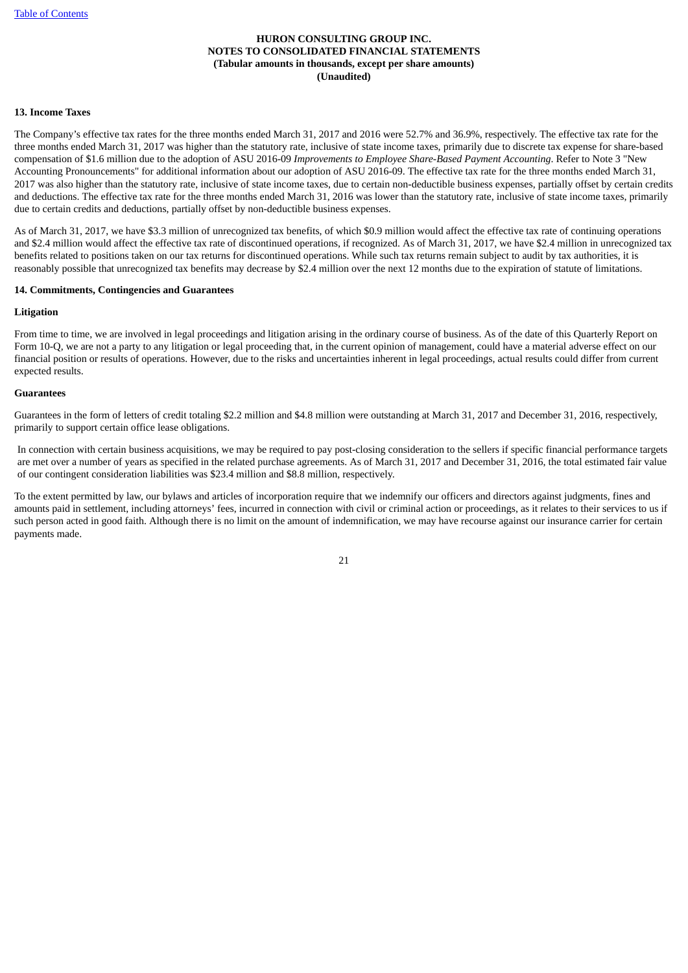# **13. Income Taxes**

The Company's effective tax rates for the three months ended March 31, 2017 and 2016 were 52.7% and 36.9%, respectively. The effective tax rate for the three months ended March 31, 2017 was higher than the statutory rate, inclusive of state income taxes, primarily due to discrete tax expense for share-based compensation of \$1.6 million due to the adoption of ASU 2016-09 *Improvements to Employee Share-Based Payment Accounting*. Refer to Note 3 "New Accounting Pronouncements" for additional information about our adoption of ASU 2016-09. The effective tax rate for the three months ended March 31, 2017 was also higher than the statutory rate, inclusive of state income taxes, due to certain non-deductible business expenses, partially offset by certain credits and deductions. The effective tax rate for the three months ended March 31, 2016 was lower than the statutory rate, inclusive of state income taxes, primarily due to certain credits and deductions, partially offset by non-deductible business expenses.

As of March 31, 2017, we have \$3.3 million of unrecognized tax benefits, of which \$0.9 million would affect the effective tax rate of continuing operations and \$2.4 million would affect the effective tax rate of discontinued operations, if recognized. As of March 31, 2017, we have \$2.4 million in unrecognized tax benefits related to positions taken on our tax returns for discontinued operations. While such tax returns remain subject to audit by tax authorities, it is reasonably possible that unrecognized tax benefits may decrease by \$2.4 million over the next 12 months due to the expiration of statute of limitations.

#### **14. Commitments, Contingencies and Guarantees**

#### **Litigation**

From time to time, we are involved in legal proceedings and litigation arising in the ordinary course of business. As of the date of this Quarterly Report on Form 10-Q, we are not a party to any litigation or legal proceeding that, in the current opinion of management, could have a material adverse effect on our financial position or results of operations. However, due to the risks and uncertainties inherent in legal proceedings, actual results could differ from current expected results.

#### **Guarantees**

Guarantees in the form of letters of credit totaling \$2.2 million and \$4.8 million were outstanding at March 31, 2017 and December 31, 2016, respectively, primarily to support certain office lease obligations.

In connection with certain business acquisitions, we may be required to pay post-closing consideration to the sellers if specific financial performance targets are met over a number of years as specified in the related purchase agreements. As of March 31, 2017 and December 31, 2016, the total estimated fair value of our contingent consideration liabilities was \$23.4 million and \$8.8 million, respectively.

To the extent permitted by law, our bylaws and articles of incorporation require that we indemnify our officers and directors against judgments, fines and amounts paid in settlement, including attorneys' fees, incurred in connection with civil or criminal action or proceedings, as it relates to their services to us if such person acted in good faith. Although there is no limit on the amount of indemnification, we may have recourse against our insurance carrier for certain payments made.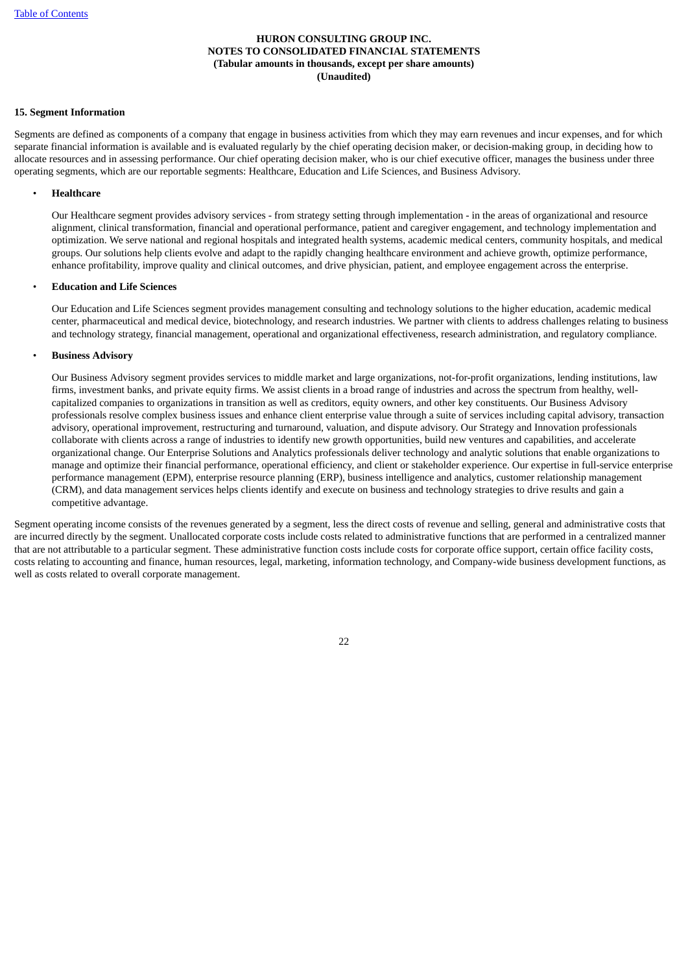# **15. Segment Information**

Segments are defined as components of a company that engage in business activities from which they may earn revenues and incur expenses, and for which separate financial information is available and is evaluated regularly by the chief operating decision maker, or decision-making group, in deciding how to allocate resources and in assessing performance. Our chief operating decision maker, who is our chief executive officer, manages the business under three operating segments, which are our reportable segments: Healthcare, Education and Life Sciences, and Business Advisory.

#### • **Healthcare**

Our Healthcare segment provides advisory services - from strategy setting through implementation - in the areas of organizational and resource alignment, clinical transformation, financial and operational performance, patient and caregiver engagement, and technology implementation and optimization. We serve national and regional hospitals and integrated health systems, academic medical centers, community hospitals, and medical groups. Our solutions help clients evolve and adapt to the rapidly changing healthcare environment and achieve growth, optimize performance, enhance profitability, improve quality and clinical outcomes, and drive physician, patient, and employee engagement across the enterprise.

## • **Education and Life Sciences**

Our Education and Life Sciences segment provides management consulting and technology solutions to the higher education, academic medical center, pharmaceutical and medical device, biotechnology, and research industries. We partner with clients to address challenges relating to business and technology strategy, financial management, operational and organizational effectiveness, research administration, and regulatory compliance.

#### • **Business Advisory**

Our Business Advisory segment provides services to middle market and large organizations, not-for-profit organizations, lending institutions, law firms, investment banks, and private equity firms. We assist clients in a broad range of industries and across the spectrum from healthy, wellcapitalized companies to organizations in transition as well as creditors, equity owners, and other key constituents. Our Business Advisory professionals resolve complex business issues and enhance client enterprise value through a suite of services including capital advisory, transaction advisory, operational improvement, restructuring and turnaround, valuation, and dispute advisory. Our Strategy and Innovation professionals collaborate with clients across a range of industries to identify new growth opportunities, build new ventures and capabilities, and accelerate organizational change. Our Enterprise Solutions and Analytics professionals deliver technology and analytic solutions that enable organizations to manage and optimize their financial performance, operational efficiency, and client or stakeholder experience. Our expertise in full-service enterprise performance management (EPM), enterprise resource planning (ERP), business intelligence and analytics, customer relationship management (CRM), and data management services helps clients identify and execute on business and technology strategies to drive results and gain a competitive advantage.

Segment operating income consists of the revenues generated by a segment, less the direct costs of revenue and selling, general and administrative costs that are incurred directly by the segment. Unallocated corporate costs include costs related to administrative functions that are performed in a centralized manner that are not attributable to a particular segment. These administrative function costs include costs for corporate office support, certain office facility costs, costs relating to accounting and finance, human resources, legal, marketing, information technology, and Company-wide business development functions, as well as costs related to overall corporate management.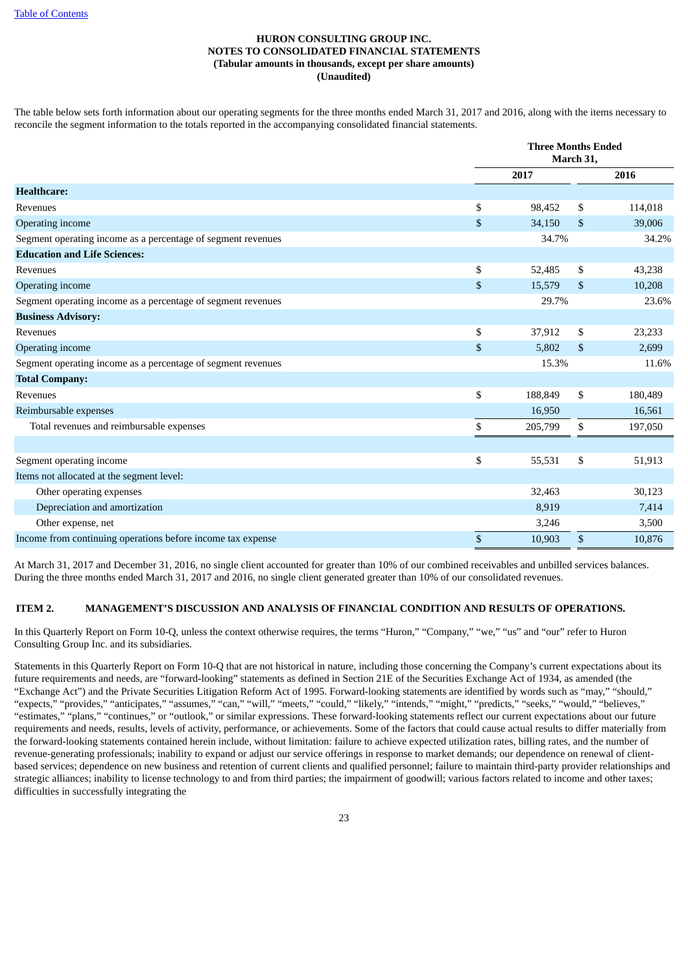The table below sets forth information about our operating segments for the three months ended March 31, 2017 and 2016, along with the items necessary to reconcile the segment information to the totals reported in the accompanying consolidated financial statements.

|                                                              | <b>Three Months Ended</b><br>March 31, |    |         |  |
|--------------------------------------------------------------|----------------------------------------|----|---------|--|
|                                                              | 2017                                   |    | 2016    |  |
| <b>Healthcare:</b>                                           |                                        |    |         |  |
| Revenues                                                     | \$<br>98,452                           | \$ | 114,018 |  |
| Operating income                                             | \$<br>34,150                           | \$ | 39,006  |  |
| Segment operating income as a percentage of segment revenues | 34.7%                                  |    | 34.2%   |  |
| <b>Education and Life Sciences:</b>                          |                                        |    |         |  |
| Revenues                                                     | \$<br>52,485                           | \$ | 43,238  |  |
| Operating income                                             | \$<br>15,579                           | \$ | 10,208  |  |
| Segment operating income as a percentage of segment revenues | 29.7%                                  |    | 23.6%   |  |
| <b>Business Advisory:</b>                                    |                                        |    |         |  |
| Revenues                                                     | \$<br>37,912                           | \$ | 23,233  |  |
| Operating income                                             | \$<br>5,802                            | \$ | 2,699   |  |
| Segment operating income as a percentage of segment revenues | 15.3%                                  |    | 11.6%   |  |
| <b>Total Company:</b>                                        |                                        |    |         |  |
| Revenues                                                     | \$<br>188,849                          | \$ | 180,489 |  |
| Reimbursable expenses                                        | 16,950                                 |    | 16,561  |  |
| Total revenues and reimbursable expenses                     | \$<br>205,799                          | \$ | 197,050 |  |
|                                                              |                                        |    |         |  |
| Segment operating income                                     | \$<br>55,531                           | \$ | 51,913  |  |
| Items not allocated at the segment level:                    |                                        |    |         |  |
| Other operating expenses                                     | 32,463                                 |    | 30,123  |  |
| Depreciation and amortization                                | 8,919                                  |    | 7,414   |  |
| Other expense, net                                           | 3,246                                  |    | 3,500   |  |
| Income from continuing operations before income tax expense  | \$<br>10,903                           | \$ | 10,876  |  |

At March 31, 2017 and December 31, 2016, no single client accounted for greater than 10% of our combined receivables and unbilled services balances. During the three months ended March 31, 2017 and 2016, no single client generated greater than 10% of our consolidated revenues.

# <span id="page-24-0"></span>**ITEM 2. MANAGEMENT'S DISCUSSION AND ANALYSIS OF FINANCIAL CONDITION AND RESULTS OF OPERATIONS.**

In this Quarterly Report on Form 10-Q, unless the context otherwise requires, the terms "Huron," "Company," "we," "us" and "our" refer to Huron Consulting Group Inc. and its subsidiaries.

Statements in this Quarterly Report on Form 10-Q that are not historical in nature, including those concerning the Company's current expectations about its future requirements and needs, are "forward-looking" statements as defined in Section 21E of the Securities Exchange Act of 1934, as amended (the "Exchange Act") and the Private Securities Litigation Reform Act of 1995. Forward-looking statements are identified by words such as "may," "should," "expects," "provides," "anticipates," "assumes," "can," "will," "meets," "could," "likely," "intends," "might," "predicts," "seeks," "would," "believes," "estimates," "plans," "continues," or "outlook," or similar expressions. These forward-looking statements reflect our current expectations about our future requirements and needs, results, levels of activity, performance, or achievements. Some of the factors that could cause actual results to differ materially from the forward-looking statements contained herein include, without limitation: failure to achieve expected utilization rates, billing rates, and the number of revenue-generating professionals; inability to expand or adjust our service offerings in response to market demands; our dependence on renewal of clientbased services; dependence on new business and retention of current clients and qualified personnel; failure to maintain third-party provider relationships and strategic alliances; inability to license technology to and from third parties; the impairment of goodwill; various factors related to income and other taxes; difficulties in successfully integrating the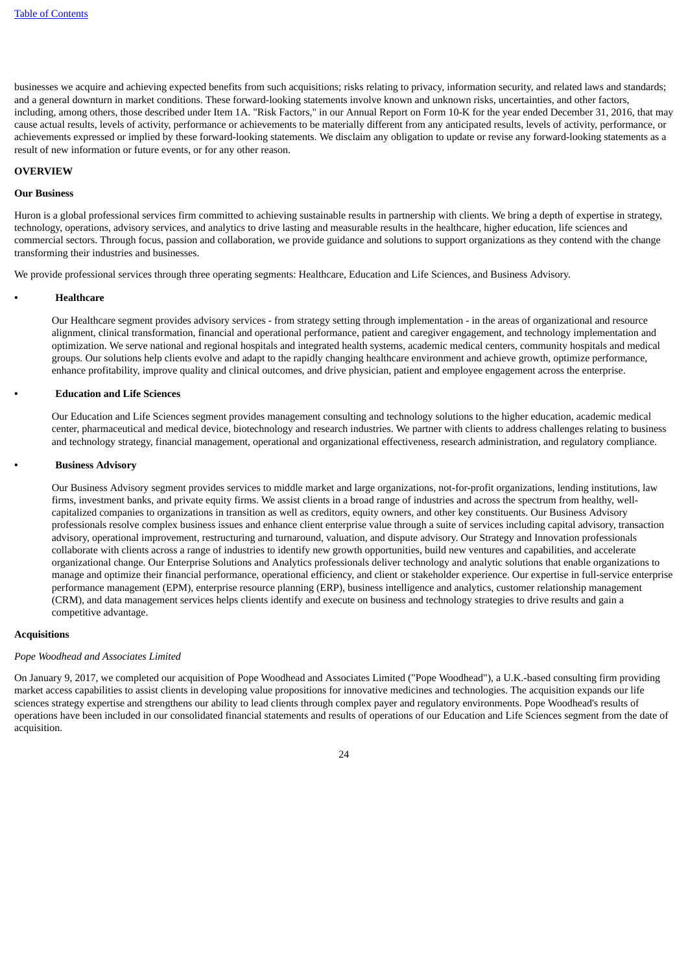businesses we acquire and achieving expected benefits from such acquisitions; risks relating to privacy, information security, and related laws and standards; and a general downturn in market conditions. These forward-looking statements involve known and unknown risks, uncertainties, and other factors, including, among others, those described under Item 1A. "Risk Factors," in our Annual Report on Form 10-K for the year ended December 31, 2016, that may cause actual results, levels of activity, performance or achievements to be materially different from any anticipated results, levels of activity, performance, or achievements expressed or implied by these forward-looking statements. We disclaim any obligation to update or revise any forward-looking statements as a result of new information or future events, or for any other reason.

#### **OVERVIEW**

#### **Our Business**

Huron is a global professional services firm committed to achieving sustainable results in partnership with clients. We bring a depth of expertise in strategy, technology, operations, advisory services, and analytics to drive lasting and measurable results in the healthcare, higher education, life sciences and commercial sectors. Through focus, passion and collaboration, we provide guidance and solutions to support organizations as they contend with the change transforming their industries and businesses.

We provide professional services through three operating segments: Healthcare, Education and Life Sciences, and Business Advisory.

#### **• Healthcare**

Our Healthcare segment provides advisory services - from strategy setting through implementation - in the areas of organizational and resource alignment, clinical transformation, financial and operational performance, patient and caregiver engagement, and technology implementation and optimization. We serve national and regional hospitals and integrated health systems, academic medical centers, community hospitals and medical groups. Our solutions help clients evolve and adapt to the rapidly changing healthcare environment and achieve growth, optimize performance, enhance profitability, improve quality and clinical outcomes, and drive physician, patient and employee engagement across the enterprise.

#### **• Education and Life Sciences**

Our Education and Life Sciences segment provides management consulting and technology solutions to the higher education, academic medical center, pharmaceutical and medical device, biotechnology and research industries. We partner with clients to address challenges relating to business and technology strategy, financial management, operational and organizational effectiveness, research administration, and regulatory compliance.

#### **• Business Advisory**

Our Business Advisory segment provides services to middle market and large organizations, not-for-profit organizations, lending institutions, law firms, investment banks, and private equity firms. We assist clients in a broad range of industries and across the spectrum from healthy, wellcapitalized companies to organizations in transition as well as creditors, equity owners, and other key constituents. Our Business Advisory professionals resolve complex business issues and enhance client enterprise value through a suite of services including capital advisory, transaction advisory, operational improvement, restructuring and turnaround, valuation, and dispute advisory. Our Strategy and Innovation professionals collaborate with clients across a range of industries to identify new growth opportunities, build new ventures and capabilities, and accelerate organizational change. Our Enterprise Solutions and Analytics professionals deliver technology and analytic solutions that enable organizations to manage and optimize their financial performance, operational efficiency, and client or stakeholder experience. Our expertise in full-service enterprise performance management (EPM), enterprise resource planning (ERP), business intelligence and analytics, customer relationship management (CRM), and data management services helps clients identify and execute on business and technology strategies to drive results and gain a competitive advantage.

# **Acquisitions**

#### *Pope Woodhead and Associates Limited*

On January 9, 2017, we completed our acquisition of Pope Woodhead and Associates Limited ("Pope Woodhead"), a U.K.-based consulting firm providing market access capabilities to assist clients in developing value propositions for innovative medicines and technologies. The acquisition expands our life sciences strategy expertise and strengthens our ability to lead clients through complex payer and regulatory environments. Pope Woodhead's results of operations have been included in our consolidated financial statements and results of operations of our Education and Life Sciences segment from the date of acquisition.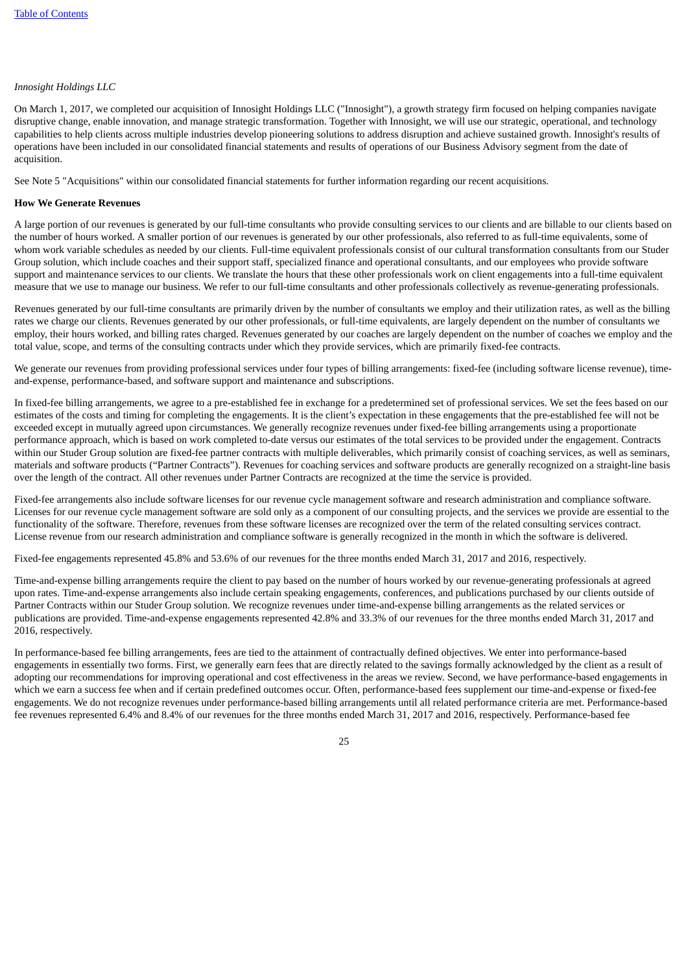# *Innosight Holdings LLC*

On March 1, 2017, we completed our acquisition of Innosight Holdings LLC ("Innosight"), a growth strategy firm focused on helping companies navigate disruptive change, enable innovation, and manage strategic transformation. Together with Innosight, we will use our strategic, operational, and technology capabilities to help clients across multiple industries develop pioneering solutions to address disruption and achieve sustained growth. Innosight's results of operations have been included in our consolidated financial statements and results of operations of our Business Advisory segment from the date of acquisition.

See Note 5 "Acquisitions" within our consolidated financial statements for further information regarding our recent acquisitions.

#### **How We Generate Revenues**

A large portion of our revenues is generated by our full-time consultants who provide consulting services to our clients and are billable to our clients based on the number of hours worked. A smaller portion of our revenues is generated by our other professionals, also referred to as full-time equivalents, some of whom work variable schedules as needed by our clients. Full-time equivalent professionals consist of our cultural transformation consultants from our Studer Group solution, which include coaches and their support staff, specialized finance and operational consultants, and our employees who provide software support and maintenance services to our clients. We translate the hours that these other professionals work on client engagements into a full-time equivalent measure that we use to manage our business. We refer to our full-time consultants and other professionals collectively as revenue-generating professionals.

Revenues generated by our full-time consultants are primarily driven by the number of consultants we employ and their utilization rates, as well as the billing rates we charge our clients. Revenues generated by our other professionals, or full-time equivalents, are largely dependent on the number of consultants we employ, their hours worked, and billing rates charged. Revenues generated by our coaches are largely dependent on the number of coaches we employ and the total value, scope, and terms of the consulting contracts under which they provide services, which are primarily fixed-fee contracts.

We generate our revenues from providing professional services under four types of billing arrangements: fixed-fee (including software license revenue), timeand-expense, performance-based, and software support and maintenance and subscriptions.

In fixed-fee billing arrangements, we agree to a pre-established fee in exchange for a predetermined set of professional services. We set the fees based on our estimates of the costs and timing for completing the engagements. It is the client's expectation in these engagements that the pre-established fee will not be exceeded except in mutually agreed upon circumstances. We generally recognize revenues under fixed-fee billing arrangements using a proportionate performance approach, which is based on work completed to-date versus our estimates of the total services to be provided under the engagement. Contracts within our Studer Group solution are fixed-fee partner contracts with multiple deliverables, which primarily consist of coaching services, as well as seminars, materials and software products ("Partner Contracts"). Revenues for coaching services and software products are generally recognized on a straight-line basis over the length of the contract. All other revenues under Partner Contracts are recognized at the time the service is provided.

Fixed-fee arrangements also include software licenses for our revenue cycle management software and research administration and compliance software. Licenses for our revenue cycle management software are sold only as a component of our consulting projects, and the services we provide are essential to the functionality of the software. Therefore, revenues from these software licenses are recognized over the term of the related consulting services contract. License revenue from our research administration and compliance software is generally recognized in the month in which the software is delivered.

Fixed-fee engagements represented 45.8% and 53.6% of our revenues for the three months ended March 31, 2017 and 2016, respectively.

Time-and-expense billing arrangements require the client to pay based on the number of hours worked by our revenue-generating professionals at agreed upon rates. Time-and-expense arrangements also include certain speaking engagements, conferences, and publications purchased by our clients outside of Partner Contracts within our Studer Group solution. We recognize revenues under time-and-expense billing arrangements as the related services or publications are provided. Time-and-expense engagements represented 42.8% and 33.3% of our revenues for the three months ended March 31, 2017 and 2016, respectively.

In performance-based fee billing arrangements, fees are tied to the attainment of contractually defined objectives. We enter into performance-based engagements in essentially two forms. First, we generally earn fees that are directly related to the savings formally acknowledged by the client as a result of adopting our recommendations for improving operational and cost effectiveness in the areas we review. Second, we have performance-based engagements in which we earn a success fee when and if certain predefined outcomes occur. Often, performance-based fees supplement our time-and-expense or fixed-fee engagements. We do not recognize revenues under performance-based billing arrangements until all related performance criteria are met. Performance-based fee revenues represented 6.4% and 8.4% of our revenues for the three months ended March 31, 2017 and 2016, respectively. Performance-based fee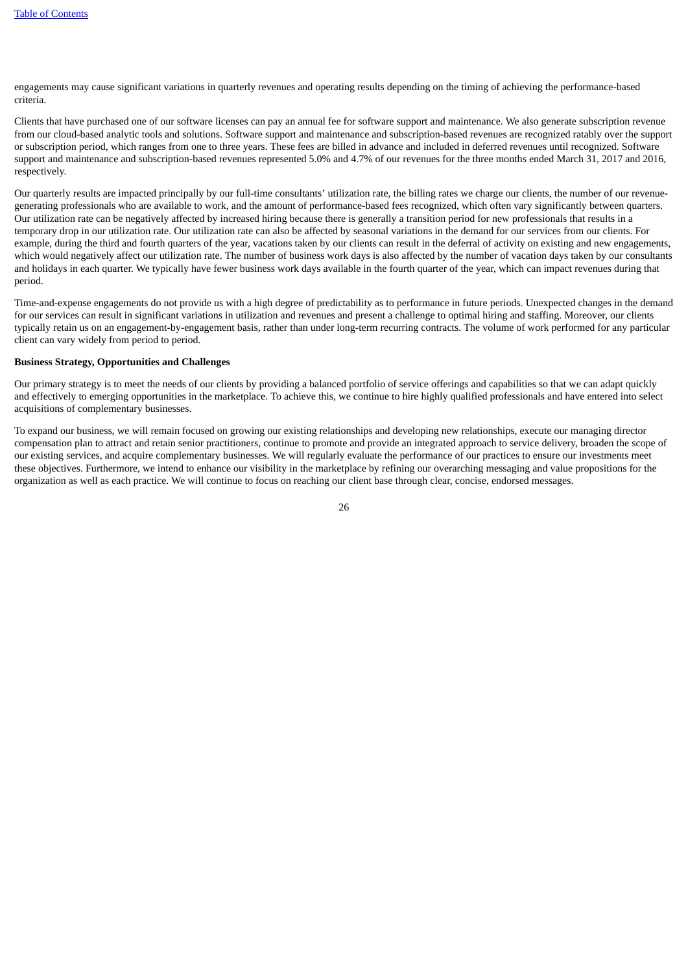engagements may cause significant variations in quarterly revenues and operating results depending on the timing of achieving the performance-based criteria.

Clients that have purchased one of our software licenses can pay an annual fee for software support and maintenance. We also generate subscription revenue from our cloud-based analytic tools and solutions. Software support and maintenance and subscription-based revenues are recognized ratably over the support or subscription period, which ranges from one to three years. These fees are billed in advance and included in deferred revenues until recognized. Software support and maintenance and subscription-based revenues represented 5.0% and 4.7% of our revenues for the three months ended March 31, 2017 and 2016, respectively.

Our quarterly results are impacted principally by our full-time consultants' utilization rate, the billing rates we charge our clients, the number of our revenuegenerating professionals who are available to work, and the amount of performance-based fees recognized, which often vary significantly between quarters. Our utilization rate can be negatively affected by increased hiring because there is generally a transition period for new professionals that results in a temporary drop in our utilization rate. Our utilization rate can also be affected by seasonal variations in the demand for our services from our clients. For example, during the third and fourth quarters of the year, vacations taken by our clients can result in the deferral of activity on existing and new engagements, which would negatively affect our utilization rate. The number of business work days is also affected by the number of vacation days taken by our consultants and holidays in each quarter. We typically have fewer business work days available in the fourth quarter of the year, which can impact revenues during that period.

Time-and-expense engagements do not provide us with a high degree of predictability as to performance in future periods. Unexpected changes in the demand for our services can result in significant variations in utilization and revenues and present a challenge to optimal hiring and staffing. Moreover, our clients typically retain us on an engagement-by-engagement basis, rather than under long-term recurring contracts. The volume of work performed for any particular client can vary widely from period to period.

#### **Business Strategy, Opportunities and Challenges**

Our primary strategy is to meet the needs of our clients by providing a balanced portfolio of service offerings and capabilities so that we can adapt quickly and effectively to emerging opportunities in the marketplace. To achieve this, we continue to hire highly qualified professionals and have entered into select acquisitions of complementary businesses.

To expand our business, we will remain focused on growing our existing relationships and developing new relationships, execute our managing director compensation plan to attract and retain senior practitioners, continue to promote and provide an integrated approach to service delivery, broaden the scope of our existing services, and acquire complementary businesses. We will regularly evaluate the performance of our practices to ensure our investments meet these objectives. Furthermore, we intend to enhance our visibility in the marketplace by refining our overarching messaging and value propositions for the organization as well as each practice. We will continue to focus on reaching our client base through clear, concise, endorsed messages.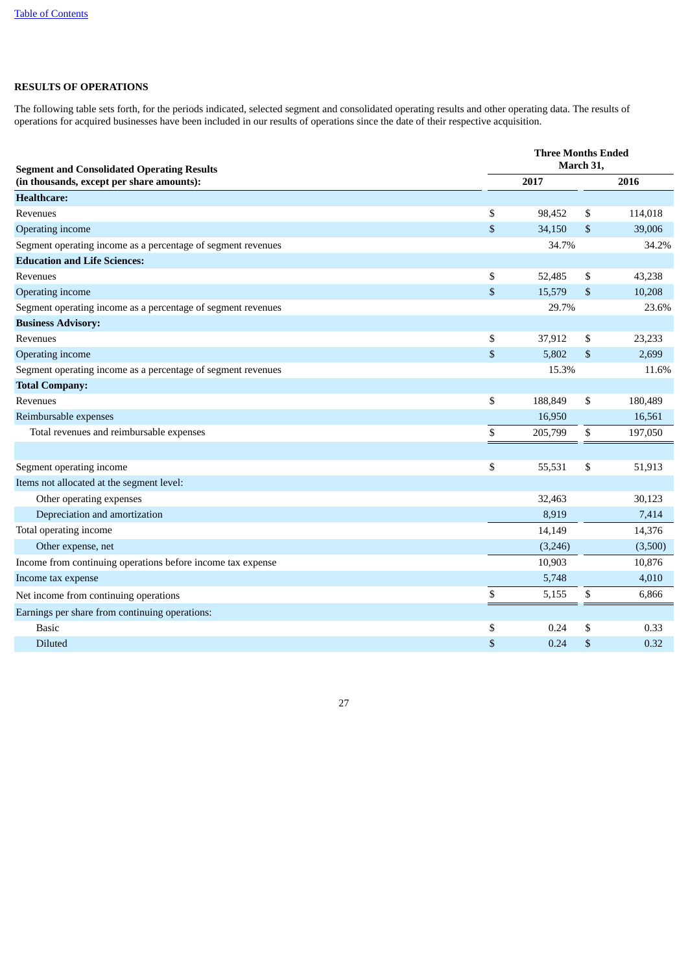# **RESULTS OF OPERATIONS**

The following table sets forth, for the periods indicated, selected segment and consolidated operating results and other operating data. The results of operations for acquired businesses have been included in our results of operations since the date of their respective acquisition.

| <b>Segment and Consolidated Operating Results</b>            | <b>Three Months Ended</b><br>March 31. |         |    |         |  |  |  |  |
|--------------------------------------------------------------|----------------------------------------|---------|----|---------|--|--|--|--|
| (in thousands, except per share amounts):                    |                                        | 2017    |    | 2016    |  |  |  |  |
| <b>Healthcare:</b>                                           |                                        |         |    |         |  |  |  |  |
| Revenues                                                     | \$                                     | 98,452  | \$ | 114,018 |  |  |  |  |
| Operating income                                             | \$                                     | 34,150  | \$ | 39,006  |  |  |  |  |
| Segment operating income as a percentage of segment revenues |                                        | 34.7%   |    | 34.2%   |  |  |  |  |
| <b>Education and Life Sciences:</b>                          |                                        |         |    |         |  |  |  |  |
| <b>Revenues</b>                                              | \$                                     | 52,485  | \$ | 43,238  |  |  |  |  |
| Operating income                                             | \$                                     | 15,579  | \$ | 10,208  |  |  |  |  |
| Segment operating income as a percentage of segment revenues |                                        | 29.7%   |    | 23.6%   |  |  |  |  |
| <b>Business Advisory:</b>                                    |                                        |         |    |         |  |  |  |  |
| Revenues                                                     | \$                                     | 37,912  | \$ | 23,233  |  |  |  |  |
| Operating income                                             | \$                                     | 5,802   | \$ | 2,699   |  |  |  |  |
| Segment operating income as a percentage of segment revenues |                                        | 15.3%   |    | 11.6%   |  |  |  |  |
| <b>Total Company:</b>                                        |                                        |         |    |         |  |  |  |  |
| Revenues                                                     | \$                                     | 188,849 | \$ | 180,489 |  |  |  |  |
| Reimbursable expenses                                        |                                        | 16,950  |    | 16,561  |  |  |  |  |
| Total revenues and reimbursable expenses                     | \$                                     | 205,799 | \$ | 197,050 |  |  |  |  |
|                                                              |                                        |         |    |         |  |  |  |  |
| Segment operating income                                     | \$                                     | 55,531  | \$ | 51,913  |  |  |  |  |
| Items not allocated at the segment level:                    |                                        |         |    |         |  |  |  |  |
| Other operating expenses                                     |                                        | 32,463  |    | 30,123  |  |  |  |  |
| Depreciation and amortization                                |                                        | 8,919   |    | 7,414   |  |  |  |  |
| Total operating income                                       |                                        | 14,149  |    | 14,376  |  |  |  |  |
| Other expense, net                                           |                                        | (3,246) |    | (3,500) |  |  |  |  |
| Income from continuing operations before income tax expense  |                                        | 10,903  |    | 10,876  |  |  |  |  |
| Income tax expense                                           |                                        | 5,748   |    | 4,010   |  |  |  |  |
| Net income from continuing operations                        | \$                                     | 5,155   | \$ | 6,866   |  |  |  |  |
| Earnings per share from continuing operations:               |                                        |         |    |         |  |  |  |  |
| <b>Basic</b>                                                 | \$                                     | 0.24    | \$ | 0.33    |  |  |  |  |
| Diluted                                                      | \$                                     | 0.24    | \$ | 0.32    |  |  |  |  |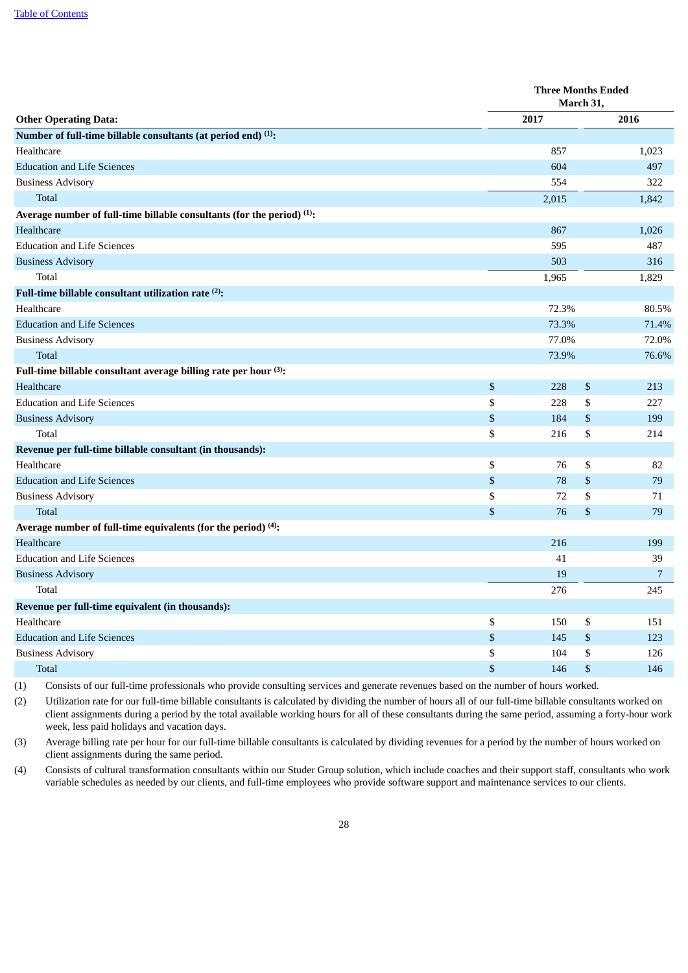|                                                                                    | <b>Three Months Ended</b><br>March 31, |    |                |  |  |  |
|------------------------------------------------------------------------------------|----------------------------------------|----|----------------|--|--|--|
| <b>Other Operating Data:</b>                                                       | 2017                                   |    | 2016           |  |  |  |
| Number of full-time billable consultants (at period end) (1):                      |                                        |    |                |  |  |  |
| Healthcare                                                                         | 857                                    |    | 1,023          |  |  |  |
| <b>Education and Life Sciences</b>                                                 | 604                                    |    | 497            |  |  |  |
| <b>Business Advisory</b>                                                           | 554                                    |    | 322            |  |  |  |
| Total                                                                              | 2,015                                  |    | 1,842          |  |  |  |
| Average number of full-time billable consultants (for the period) <sup>(1)</sup> : |                                        |    |                |  |  |  |
| Healthcare                                                                         | 867                                    |    | 1,026          |  |  |  |
| <b>Education and Life Sciences</b>                                                 | 595                                    |    | 487            |  |  |  |
| <b>Business Advisory</b>                                                           | 503                                    |    | 316            |  |  |  |
| Total                                                                              | 1,965                                  |    | 1,829          |  |  |  |
| Full-time billable consultant utilization rate <sup>(2)</sup> :                    |                                        |    |                |  |  |  |
| Healthcare                                                                         | 72.3%                                  |    | 80.5%          |  |  |  |
| <b>Education and Life Sciences</b>                                                 | 73.3%                                  |    | 71.4%          |  |  |  |
| <b>Business Advisory</b>                                                           | 77.0%                                  |    | 72.0%          |  |  |  |
| <b>Total</b>                                                                       | 73.9%                                  |    | 76.6%          |  |  |  |
| Full-time billable consultant average billing rate per hour (3):                   |                                        |    |                |  |  |  |
| <b>Healthcare</b>                                                                  | \$<br>228                              | \$ | 213            |  |  |  |
| <b>Education and Life Sciences</b>                                                 | \$<br>228                              | \$ | 227            |  |  |  |
| <b>Business Advisory</b>                                                           | \$<br>184                              | \$ | 199            |  |  |  |
| Total                                                                              | \$<br>216                              | \$ | 214            |  |  |  |
| Revenue per full-time billable consultant (in thousands):                          |                                        |    |                |  |  |  |
| Healthcare                                                                         | \$<br>76                               | \$ | 82             |  |  |  |
| <b>Education and Life Sciences</b>                                                 | \$<br>78                               | \$ | 79             |  |  |  |
| <b>Business Advisory</b>                                                           | \$<br>72                               | \$ | 71             |  |  |  |
| <b>Total</b>                                                                       | \$<br>76                               | \$ | 79             |  |  |  |
| Average number of full-time equivalents (for the period) $(4)$ :                   |                                        |    |                |  |  |  |
| Healthcare                                                                         | 216                                    |    | 199            |  |  |  |
| <b>Education and Life Sciences</b>                                                 | 41                                     |    | 39             |  |  |  |
| <b>Business Advisory</b>                                                           | 19                                     |    | $\overline{7}$ |  |  |  |
| Total                                                                              | 276                                    |    | 245            |  |  |  |
| Revenue per full-time equivalent (in thousands):                                   |                                        |    |                |  |  |  |
| Healthcare                                                                         | \$<br>150                              | \$ | 151            |  |  |  |
| <b>Education and Life Sciences</b>                                                 | \$<br>145                              | \$ | 123            |  |  |  |
| <b>Business Advisory</b>                                                           | \$<br>104                              | \$ | 126            |  |  |  |
| Total                                                                              | \$<br>146                              | \$ | 146            |  |  |  |

(1) Consists of our full-time professionals who provide consulting services and generate revenues based on the number of hours worked.

(2) Utilization rate for our full-time billable consultants is calculated by dividing the number of hours all of our full-time billable consultants worked on client assignments during a period by the total available working hours for all of these consultants during the same period, assuming a forty-hour work week, less paid holidays and vacation days.

(3) Average billing rate per hour for our full-time billable consultants is calculated by dividing revenues for a period by the number of hours worked on client assignments during the same period.

(4) Consists of cultural transformation consultants within our Studer Group solution, which include coaches and their support staff, consultants who work variable schedules as needed by our clients, and full-time employees who provide software support and maintenance services to our clients.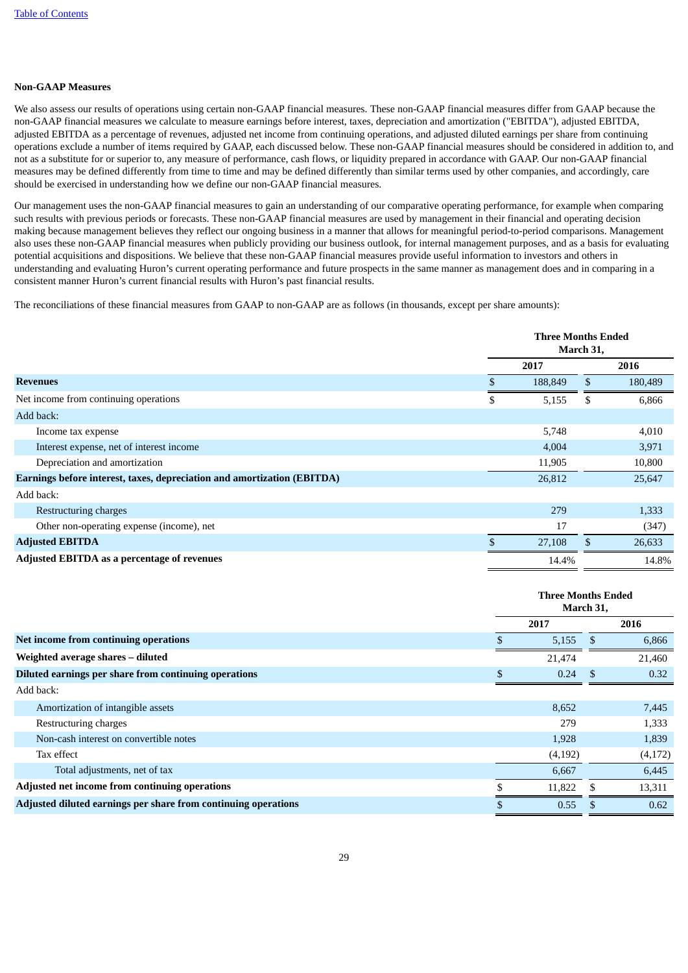# **Non-GAAP Measures**

We also assess our results of operations using certain non-GAAP financial measures. These non-GAAP financial measures differ from GAAP because the non-GAAP financial measures we calculate to measure earnings before interest, taxes, depreciation and amortization ("EBITDA"), adjusted EBITDA, adjusted EBITDA as a percentage of revenues, adjusted net income from continuing operations, and adjusted diluted earnings per share from continuing operations exclude a number of items required by GAAP, each discussed below. These non-GAAP financial measures should be considered in addition to, and not as a substitute for or superior to, any measure of performance, cash flows, or liquidity prepared in accordance with GAAP. Our non-GAAP financial measures may be defined differently from time to time and may be defined differently than similar terms used by other companies, and accordingly, care should be exercised in understanding how we define our non-GAAP financial measures.

Our management uses the non-GAAP financial measures to gain an understanding of our comparative operating performance, for example when comparing such results with previous periods or forecasts. These non-GAAP financial measures are used by management in their financial and operating decision making because management believes they reflect our ongoing business in a manner that allows for meaningful period-to-period comparisons. Management also uses these non-GAAP financial measures when publicly providing our business outlook, for internal management purposes, and as a basis for evaluating potential acquisitions and dispositions. We believe that these non-GAAP financial measures provide useful information to investors and others in understanding and evaluating Huron's current operating performance and future prospects in the same manner as management does and in comparing in a consistent manner Huron's current financial results with Huron's past financial results.

The reconciliations of these financial measures from GAAP to non-GAAP are as follows (in thousands, except per share amounts):

| <b>Three Months Ended</b><br>March 31, |         |     |         |  |  |  |
|----------------------------------------|---------|-----|---------|--|--|--|
|                                        | 2017    |     | 2016    |  |  |  |
|                                        | 188,849 | \$. | 180,489 |  |  |  |
| \$                                     | 5,155   | \$  | 6,866   |  |  |  |
|                                        |         |     |         |  |  |  |
|                                        | 5,748   |     | 4,010   |  |  |  |
|                                        | 4,004   |     | 3,971   |  |  |  |
|                                        | 11,905  |     | 10,800  |  |  |  |
|                                        | 26,812  |     | 25,647  |  |  |  |
|                                        |         |     |         |  |  |  |
|                                        | 279     |     | 1,333   |  |  |  |
|                                        | 17      |     | (347)   |  |  |  |
|                                        | 27,108  | £.  | 26,633  |  |  |  |
|                                        | 14.4%   |     | 14.8%   |  |  |  |
|                                        |         |     |         |  |  |  |

|                                                                | <b>Three Months Ended</b><br>March 31, |         |    |         |
|----------------------------------------------------------------|----------------------------------------|---------|----|---------|
|                                                                |                                        | 2017    |    | 2016    |
| Net income from continuing operations                          |                                        | 5,155   | -S | 6,866   |
| Weighted average shares – diluted                              |                                        | 21,474  |    | 21,460  |
| Diluted earnings per share from continuing operations          |                                        | 0.24    | -S | 0.32    |
| Add back:                                                      |                                        |         |    |         |
| Amortization of intangible assets                              |                                        | 8,652   |    | 7,445   |
| Restructuring charges                                          |                                        | 279     |    | 1,333   |
| Non-cash interest on convertible notes                         |                                        | 1,928   |    | 1,839   |
| Tax effect                                                     |                                        | (4,192) |    | (4,172) |
| Total adjustments, net of tax                                  |                                        | 6,667   |    | 6,445   |
| Adjusted net income from continuing operations                 |                                        | 11,822  |    | 13,311  |
| Adjusted diluted earnings per share from continuing operations |                                        | 0.55    |    | 0.62    |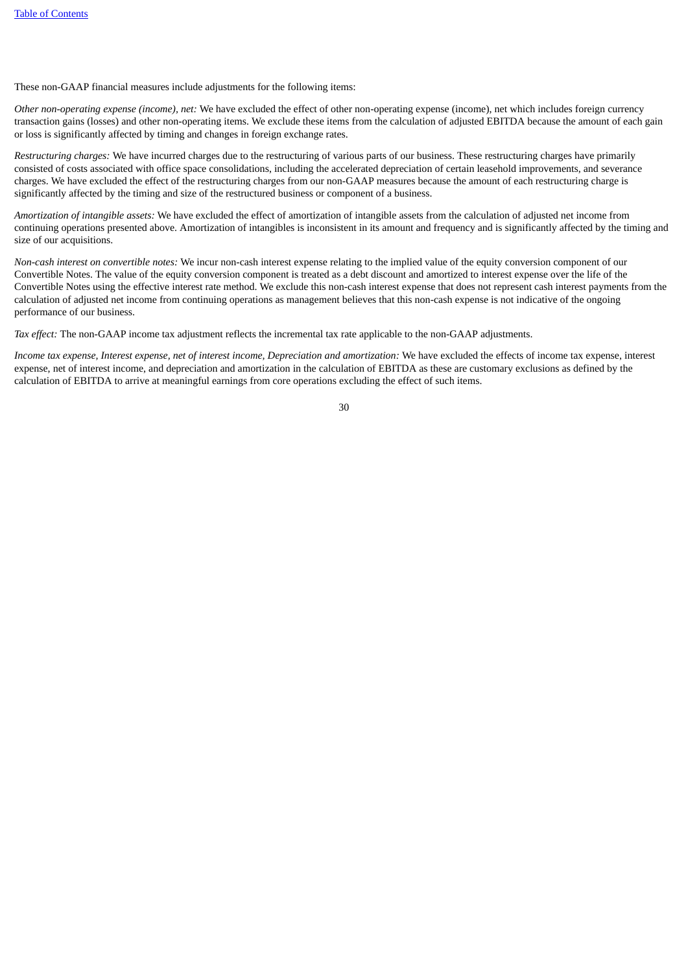These non-GAAP financial measures include adjustments for the following items:

*Other non-operating expense (income), net:* We have excluded the effect of other non-operating expense (income), net which includes foreign currency transaction gains (losses) and other non-operating items. We exclude these items from the calculation of adjusted EBITDA because the amount of each gain or loss is significantly affected by timing and changes in foreign exchange rates.

*Restructuring charges:* We have incurred charges due to the restructuring of various parts of our business. These restructuring charges have primarily consisted of costs associated with office space consolidations, including the accelerated depreciation of certain leasehold improvements, and severance charges. We have excluded the effect of the restructuring charges from our non-GAAP measures because the amount of each restructuring charge is significantly affected by the timing and size of the restructured business or component of a business.

*Amortization of intangible assets:* We have excluded the effect of amortization of intangible assets from the calculation of adjusted net income from continuing operations presented above. Amortization of intangibles is inconsistent in its amount and frequency and is significantly affected by the timing and size of our acquisitions.

*Non-cash interest on convertible notes:* We incur non-cash interest expense relating to the implied value of the equity conversion component of our Convertible Notes. The value of the equity conversion component is treated as a debt discount and amortized to interest expense over the life of the Convertible Notes using the effective interest rate method. We exclude this non-cash interest expense that does not represent cash interest payments from the calculation of adjusted net income from continuing operations as management believes that this non-cash expense is not indicative of the ongoing performance of our business.

*Tax effect:* The non-GAAP income tax adjustment reflects the incremental tax rate applicable to the non-GAAP adjustments.

Income tax expense, Interest expense, net of interest income, Depreciation and amortization: We have excluded the effects of income tax expense, interest expense, net of interest income, and depreciation and amortization in the calculation of EBITDA as these are customary exclusions as defined by the calculation of EBITDA to arrive at meaningful earnings from core operations excluding the effect of such items.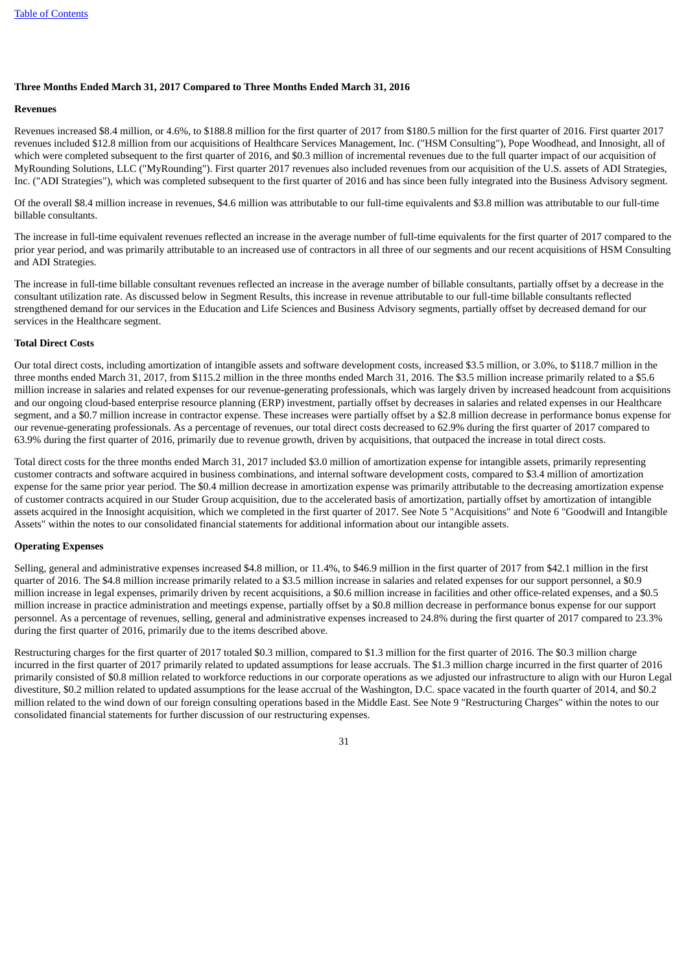# **Three Months Ended March 31, 2017 Compared to Three Months Ended March 31, 2016**

#### **Revenues**

Revenues increased \$8.4 million, or 4.6%, to \$188.8 million for the first quarter of 2017 from \$180.5 million for the first quarter of 2016. First quarter 2017 revenues included \$12.8 million from our acquisitions of Healthcare Services Management, Inc. ("HSM Consulting"), Pope Woodhead, and Innosight, all of which were completed subsequent to the first quarter of 2016, and \$0.3 million of incremental revenues due to the full quarter impact of our acquisition of MyRounding Solutions, LLC ("MyRounding"). First quarter 2017 revenues also included revenues from our acquisition of the U.S. assets of ADI Strategies, Inc. ("ADI Strategies"), which was completed subsequent to the first quarter of 2016 and has since been fully integrated into the Business Advisory segment.

Of the overall \$8.4 million increase in revenues, \$4.6 million was attributable to our full-time equivalents and \$3.8 million was attributable to our full-time billable consultants.

The increase in full-time equivalent revenues reflected an increase in the average number of full-time equivalents for the first quarter of 2017 compared to the prior year period, and was primarily attributable to an increased use of contractors in all three of our segments and our recent acquisitions of HSM Consulting and ADI Strategies.

The increase in full-time billable consultant revenues reflected an increase in the average number of billable consultants, partially offset by a decrease in the consultant utilization rate. As discussed below in Segment Results, this increase in revenue attributable to our full-time billable consultants reflected strengthened demand for our services in the Education and Life Sciences and Business Advisory segments, partially offset by decreased demand for our services in the Healthcare segment.

#### **Total Direct Costs**

Our total direct costs, including amortization of intangible assets and software development costs, increased \$3.5 million, or 3.0%, to \$118.7 million in the three months ended March 31, 2017, from \$115.2 million in the three months ended March 31, 2016. The \$3.5 million increase primarily related to a \$5.6 million increase in salaries and related expenses for our revenue-generating professionals, which was largely driven by increased headcount from acquisitions and our ongoing cloud-based enterprise resource planning (ERP) investment, partially offset by decreases in salaries and related expenses in our Healthcare segment, and a \$0.7 million increase in contractor expense. These increases were partially offset by a \$2.8 million decrease in performance bonus expense for our revenue-generating professionals. As a percentage of revenues, our total direct costs decreased to 62.9% during the first quarter of 2017 compared to 63.9% during the first quarter of 2016, primarily due to revenue growth, driven by acquisitions, that outpaced the increase in total direct costs.

Total direct costs for the three months ended March 31, 2017 included \$3.0 million of amortization expense for intangible assets, primarily representing customer contracts and software acquired in business combinations, and internal software development costs, compared to \$3.4 million of amortization expense for the same prior year period. The \$0.4 million decrease in amortization expense was primarily attributable to the decreasing amortization expense of customer contracts acquired in our Studer Group acquisition, due to the accelerated basis of amortization, partially offset by amortization of intangible assets acquired in the Innosight acquisition, which we completed in the first quarter of 2017. See Note 5 "Acquisitions" and Note 6 "Goodwill and Intangible Assets" within the notes to our consolidated financial statements for additional information about our intangible assets.

#### **Operating Expenses**

Selling, general and administrative expenses increased \$4.8 million, or 11.4%, to \$46.9 million in the first quarter of 2017 from \$42.1 million in the first quarter of 2016. The \$4.8 million increase primarily related to a \$3.5 million increase in salaries and related expenses for our support personnel, a \$0.9 million increase in legal expenses, primarily driven by recent acquisitions, a \$0.6 million increase in facilities and other office-related expenses, and a \$0.5 million increase in practice administration and meetings expense, partially offset by a \$0.8 million decrease in performance bonus expense for our support personnel. As a percentage of revenues, selling, general and administrative expenses increased to 24.8% during the first quarter of 2017 compared to 23.3% during the first quarter of 2016, primarily due to the items described above.

Restructuring charges for the first quarter of 2017 totaled \$0.3 million, compared to \$1.3 million for the first quarter of 2016. The \$0.3 million charge incurred in the first quarter of 2017 primarily related to updated assumptions for lease accruals. The \$1.3 million charge incurred in the first quarter of 2016 primarily consisted of \$0.8 million related to workforce reductions in our corporate operations as we adjusted our infrastructure to align with our Huron Legal divestiture, \$0.2 million related to updated assumptions for the lease accrual of the Washington, D.C. space vacated in the fourth quarter of 2014, and \$0.2 million related to the wind down of our foreign consulting operations based in the Middle East. See Note 9 "Restructuring Charges" within the notes to our consolidated financial statements for further discussion of our restructuring expenses.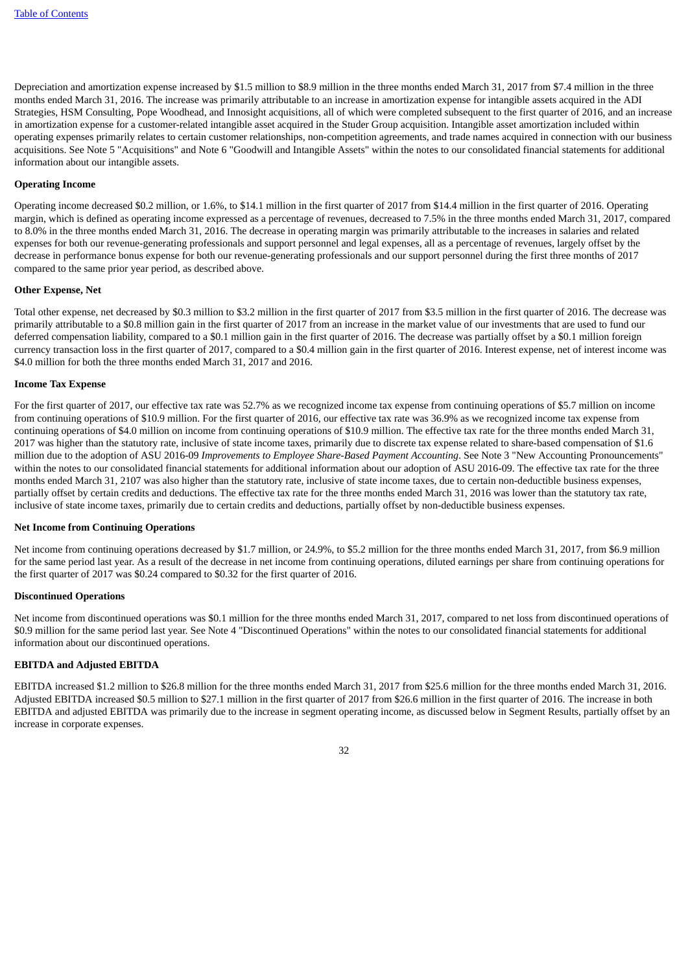Depreciation and amortization expense increased by \$1.5 million to \$8.9 million in the three months ended March 31, 2017 from \$7.4 million in the three months ended March 31, 2016. The increase was primarily attributable to an increase in amortization expense for intangible assets acquired in the ADI Strategies, HSM Consulting, Pope Woodhead, and Innosight acquisitions, all of which were completed subsequent to the first quarter of 2016, and an increase in amortization expense for a customer-related intangible asset acquired in the Studer Group acquisition. Intangible asset amortization included within operating expenses primarily relates to certain customer relationships, non-competition agreements, and trade names acquired in connection with our business acquisitions. See Note 5 "Acquisitions" and Note 6 "Goodwill and Intangible Assets" within the notes to our consolidated financial statements for additional information about our intangible assets.

#### **Operating Income**

Operating income decreased \$0.2 million, or 1.6%, to \$14.1 million in the first quarter of 2017 from \$14.4 million in the first quarter of 2016. Operating margin, which is defined as operating income expressed as a percentage of revenues, decreased to 7.5% in the three months ended March 31, 2017, compared to 8.0% in the three months ended March 31, 2016. The decrease in operating margin was primarily attributable to the increases in salaries and related expenses for both our revenue-generating professionals and support personnel and legal expenses, all as a percentage of revenues, largely offset by the decrease in performance bonus expense for both our revenue-generating professionals and our support personnel during the first three months of 2017 compared to the same prior year period, as described above.

#### **Other Expense, Net**

Total other expense, net decreased by \$0.3 million to \$3.2 million in the first quarter of 2017 from \$3.5 million in the first quarter of 2016. The decrease was primarily attributable to a \$0.8 million gain in the first quarter of 2017 from an increase in the market value of our investments that are used to fund our deferred compensation liability, compared to a \$0.1 million gain in the first quarter of 2016. The decrease was partially offset by a \$0.1 million foreign currency transaction loss in the first quarter of 2017, compared to a \$0.4 million gain in the first quarter of 2016. Interest expense, net of interest income was \$4.0 million for both the three months ended March 31, 2017 and 2016.

#### **Income Tax Expense**

For the first quarter of 2017, our effective tax rate was 52.7% as we recognized income tax expense from continuing operations of \$5.7 million on income from continuing operations of \$10.9 million. For the first quarter of 2016, our effective tax rate was 36.9% as we recognized income tax expense from continuing operations of \$4.0 million on income from continuing operations of \$10.9 million. The effective tax rate for the three months ended March 31, 2017 was higher than the statutory rate, inclusive of state income taxes, primarily due to discrete tax expense related to share-based compensation of \$1.6 million due to the adoption of ASU 2016-09 *Improvements to Employee Share-Based Payment Accounting*. See Note 3 "New Accounting Pronouncements" within the notes to our consolidated financial statements for additional information about our adoption of ASU 2016-09. The effective tax rate for the three months ended March 31, 2107 was also higher than the statutory rate, inclusive of state income taxes, due to certain non-deductible business expenses, partially offset by certain credits and deductions. The effective tax rate for the three months ended March 31, 2016 was lower than the statutory tax rate, inclusive of state income taxes, primarily due to certain credits and deductions, partially offset by non-deductible business expenses.

#### **Net Income from Continuing Operations**

Net income from continuing operations decreased by \$1.7 million, or 24.9%, to \$5.2 million for the three months ended March 31, 2017, from \$6.9 million for the same period last year. As a result of the decrease in net income from continuing operations, diluted earnings per share from continuing operations for the first quarter of 2017 was \$0.24 compared to \$0.32 for the first quarter of 2016.

#### **Discontinued Operations**

Net income from discontinued operations was \$0.1 million for the three months ended March 31, 2017, compared to net loss from discontinued operations of \$0.9 million for the same period last year. See Note 4 "Discontinued Operations" within the notes to our consolidated financial statements for additional information about our discontinued operations.

#### **EBITDA and Adjusted EBITDA**

EBITDA increased \$1.2 million to \$26.8 million for the three months ended March 31, 2017 from \$25.6 million for the three months ended March 31, 2016. Adjusted EBITDA increased \$0.5 million to \$27.1 million in the first quarter of 2017 from \$26.6 million in the first quarter of 2016. The increase in both EBITDA and adjusted EBITDA was primarily due to the increase in segment operating income, as discussed below in Segment Results, partially offset by an increase in corporate expenses.

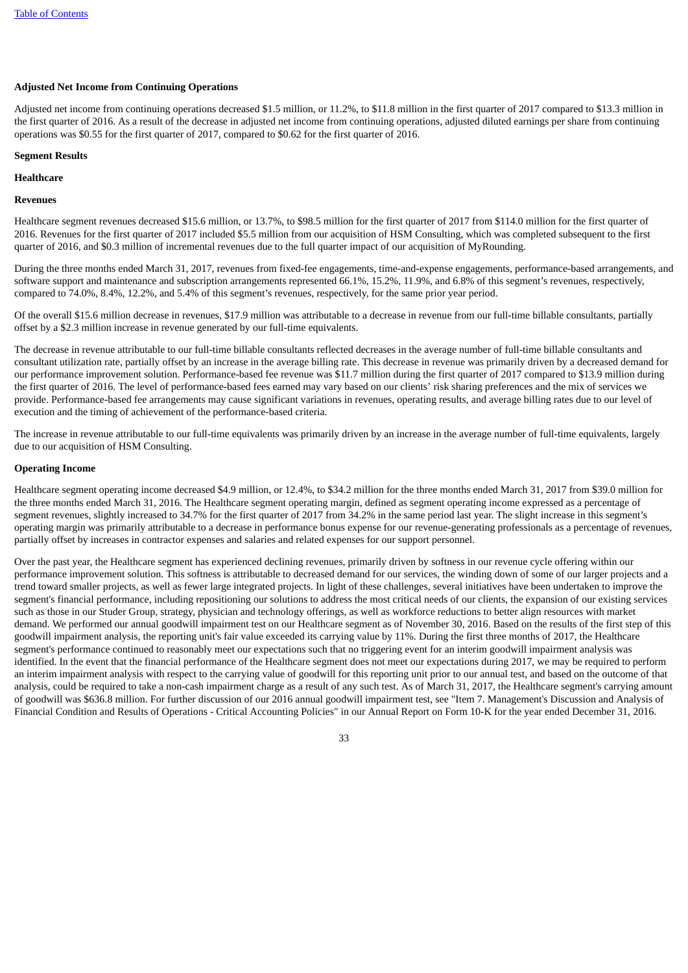# **Adjusted Net Income from Continuing Operations**

Adjusted net income from continuing operations decreased \$1.5 million, or 11.2%, to \$11.8 million in the first quarter of 2017 compared to \$13.3 million in the first quarter of 2016. As a result of the decrease in adjusted net income from continuing operations, adjusted diluted earnings per share from continuing operations was \$0.55 for the first quarter of 2017, compared to \$0.62 for the first quarter of 2016.

## **Segment Results**

## **Healthcare**

#### **Revenues**

Healthcare segment revenues decreased \$15.6 million, or 13.7%, to \$98.5 million for the first quarter of 2017 from \$114.0 million for the first quarter of 2016. Revenues for the first quarter of 2017 included \$5.5 million from our acquisition of HSM Consulting, which was completed subsequent to the first quarter of 2016, and \$0.3 million of incremental revenues due to the full quarter impact of our acquisition of MyRounding.

During the three months ended March 31, 2017, revenues from fixed-fee engagements, time-and-expense engagements, performance-based arrangements, and software support and maintenance and subscription arrangements represented 66.1%, 15.2%, 11.9%, and 6.8% of this segment's revenues, respectively, compared to 74.0%, 8.4%, 12.2%, and 5.4% of this segment's revenues, respectively, for the same prior year period.

Of the overall \$15.6 million decrease in revenues, \$17.9 million was attributable to a decrease in revenue from our full-time billable consultants, partially offset by a \$2.3 million increase in revenue generated by our full-time equivalents.

The decrease in revenue attributable to our full-time billable consultants reflected decreases in the average number of full-time billable consultants and consultant utilization rate, partially offset by an increase in the average billing rate. This decrease in revenue was primarily driven by a decreased demand for our performance improvement solution. Performance-based fee revenue was \$11.7 million during the first quarter of 2017 compared to \$13.9 million during the first quarter of 2016. The level of performance-based fees earned may vary based on our clients' risk sharing preferences and the mix of services we provide. Performance-based fee arrangements may cause significant variations in revenues, operating results, and average billing rates due to our level of execution and the timing of achievement of the performance-based criteria.

The increase in revenue attributable to our full-time equivalents was primarily driven by an increase in the average number of full-time equivalents, largely due to our acquisition of HSM Consulting.

# **Operating Income**

Healthcare segment operating income decreased \$4.9 million, or 12.4%, to \$34.2 million for the three months ended March 31, 2017 from \$39.0 million for the three months ended March 31, 2016. The Healthcare segment operating margin, defined as segment operating income expressed as a percentage of segment revenues, slightly increased to 34.7% for the first quarter of 2017 from 34.2% in the same period last year. The slight increase in this segment's operating margin was primarily attributable to a decrease in performance bonus expense for our revenue-generating professionals as a percentage of revenues, partially offset by increases in contractor expenses and salaries and related expenses for our support personnel.

Over the past year, the Healthcare segment has experienced declining revenues, primarily driven by softness in our revenue cycle offering within our performance improvement solution. This softness is attributable to decreased demand for our services, the winding down of some of our larger projects and a trend toward smaller projects, as well as fewer large integrated projects. In light of these challenges, several initiatives have been undertaken to improve the segment's financial performance, including repositioning our solutions to address the most critical needs of our clients, the expansion of our existing services such as those in our Studer Group, strategy, physician and technology offerings, as well as workforce reductions to better align resources with market demand. We performed our annual goodwill impairment test on our Healthcare segment as of November 30, 2016. Based on the results of the first step of this goodwill impairment analysis, the reporting unit's fair value exceeded its carrying value by 11%. During the first three months of 2017, the Healthcare segment's performance continued to reasonably meet our expectations such that no triggering event for an interim goodwill impairment analysis was identified. In the event that the financial performance of the Healthcare segment does not meet our expectations during 2017, we may be required to perform an interim impairment analysis with respect to the carrying value of goodwill for this reporting unit prior to our annual test, and based on the outcome of that analysis, could be required to take a non-cash impairment charge as a result of any such test. As of March 31, 2017, the Healthcare segment's carrying amount of goodwill was \$636.8 million. For further discussion of our 2016 annual goodwill impairment test, see "Item 7. Management's Discussion and Analysis of Financial Condition and Results of Operations - Critical Accounting Policies" in our Annual Report on Form 10-K for the year ended December 31, 2016.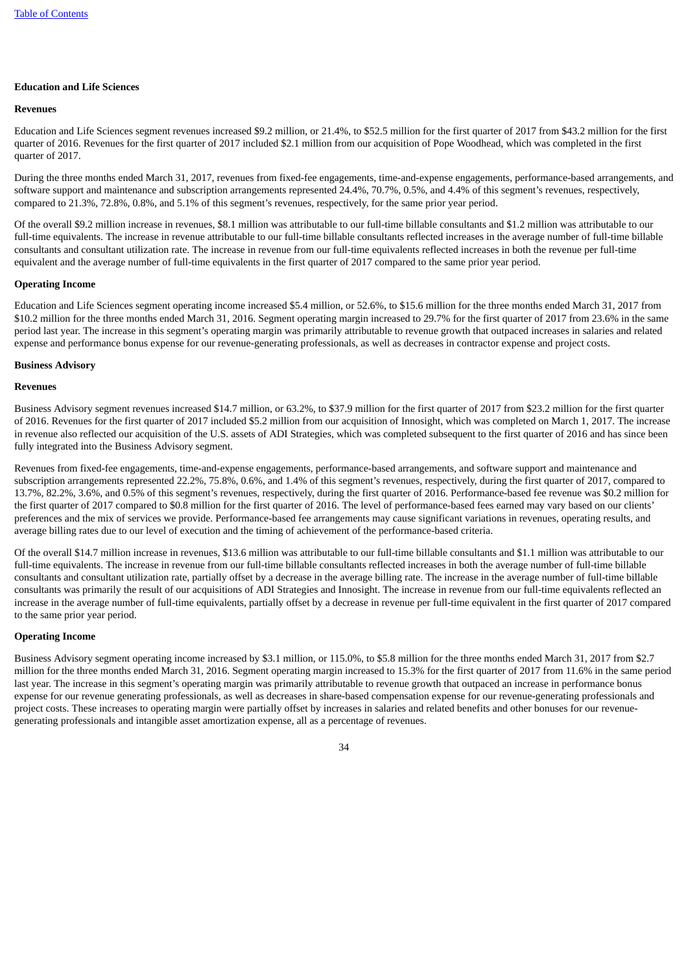# **Education and Life Sciences**

#### **Revenues**

Education and Life Sciences segment revenues increased \$9.2 million, or 21.4%, to \$52.5 million for the first quarter of 2017 from \$43.2 million for the first quarter of 2016. Revenues for the first quarter of 2017 included \$2.1 million from our acquisition of Pope Woodhead, which was completed in the first quarter of 2017.

During the three months ended March 31, 2017, revenues from fixed-fee engagements, time-and-expense engagements, performance-based arrangements, and software support and maintenance and subscription arrangements represented 24.4%, 70.7%, 0.5%, and 4.4% of this segment's revenues, respectively, compared to 21.3%, 72.8%, 0.8%, and 5.1% of this segment's revenues, respectively, for the same prior year period.

Of the overall \$9.2 million increase in revenues, \$8.1 million was attributable to our full-time billable consultants and \$1.2 million was attributable to our full-time equivalents. The increase in revenue attributable to our full-time billable consultants reflected increases in the average number of full-time billable consultants and consultant utilization rate. The increase in revenue from our full-time equivalents reflected increases in both the revenue per full-time equivalent and the average number of full-time equivalents in the first quarter of 2017 compared to the same prior year period.

#### **Operating Income**

Education and Life Sciences segment operating income increased \$5.4 million, or 52.6%, to \$15.6 million for the three months ended March 31, 2017 from \$10.2 million for the three months ended March 31, 2016. Segment operating margin increased to 29.7% for the first quarter of 2017 from 23.6% in the same period last year. The increase in this segment's operating margin was primarily attributable to revenue growth that outpaced increases in salaries and related expense and performance bonus expense for our revenue-generating professionals, as well as decreases in contractor expense and project costs.

#### **Business Advisory**

#### **Revenues**

Business Advisory segment revenues increased \$14.7 million, or 63.2%, to \$37.9 million for the first quarter of 2017 from \$23.2 million for the first quarter of 2016. Revenues for the first quarter of 2017 included \$5.2 million from our acquisition of Innosight, which was completed on March 1, 2017. The increase in revenue also reflected our acquisition of the U.S. assets of ADI Strategies, which was completed subsequent to the first quarter of 2016 and has since been fully integrated into the Business Advisory segment.

Revenues from fixed-fee engagements, time-and-expense engagements, performance-based arrangements, and software support and maintenance and subscription arrangements represented 22.2%, 75.8%, 0.6%, and 1.4% of this segment's revenues, respectively, during the first quarter of 2017, compared to 13.7%, 82.2%, 3.6%, and 0.5% of this segment's revenues, respectively, during the first quarter of 2016. Performance-based fee revenue was \$0.2 million for the first quarter of 2017 compared to \$0.8 million for the first quarter of 2016. The level of performance-based fees earned may vary based on our clients' preferences and the mix of services we provide. Performance-based fee arrangements may cause significant variations in revenues, operating results, and average billing rates due to our level of execution and the timing of achievement of the performance-based criteria.

Of the overall \$14.7 million increase in revenues, \$13.6 million was attributable to our full-time billable consultants and \$1.1 million was attributable to our full-time equivalents. The increase in revenue from our full-time billable consultants reflected increases in both the average number of full-time billable consultants and consultant utilization rate, partially offset by a decrease in the average billing rate. The increase in the average number of full-time billable consultants was primarily the result of our acquisitions of ADI Strategies and Innosight. The increase in revenue from our full-time equivalents reflected an increase in the average number of full-time equivalents, partially offset by a decrease in revenue per full-time equivalent in the first quarter of 2017 compared to the same prior year period.

#### **Operating Income**

Business Advisory segment operating income increased by \$3.1 million, or 115.0%, to \$5.8 million for the three months ended March 31, 2017 from \$2.7 million for the three months ended March 31, 2016. Segment operating margin increased to 15.3% for the first quarter of 2017 from 11.6% in the same period last year. The increase in this segment's operating margin was primarily attributable to revenue growth that outpaced an increase in performance bonus expense for our revenue generating professionals, as well as decreases in share-based compensation expense for our revenue-generating professionals and project costs. These increases to operating margin were partially offset by increases in salaries and related benefits and other bonuses for our revenuegenerating professionals and intangible asset amortization expense, all as a percentage of revenues.

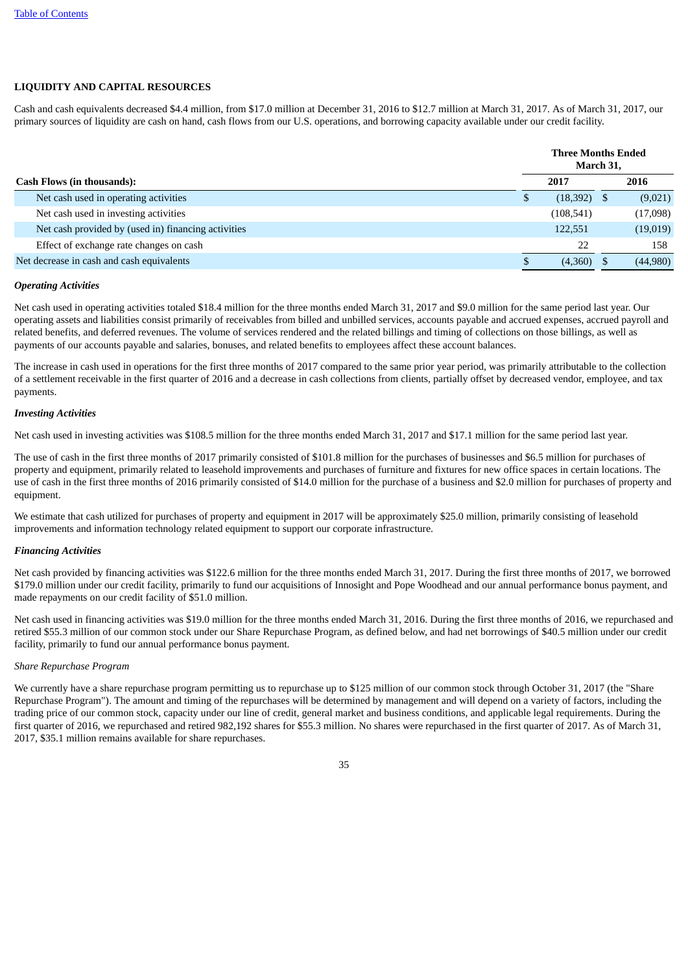# **LIQUIDITY AND CAPITAL RESOURCES**

Cash and cash equivalents decreased \$4.4 million, from \$17.0 million at December 31, 2016 to \$12.7 million at March 31, 2017. As of March 31, 2017, our primary sources of liquidity are cash on hand, cash flows from our U.S. operations, and borrowing capacity available under our credit facility.

|                                                     | <b>Three Months Ended</b><br>March 31, |            |      |          |
|-----------------------------------------------------|----------------------------------------|------------|------|----------|
| <b>Cash Flows (in thousands):</b>                   |                                        | 2017       |      | 2016     |
| Net cash used in operating activities               | \$                                     | (18, 392)  | - \$ | (9,021)  |
| Net cash used in investing activities               |                                        | (108, 541) |      | (17,098) |
| Net cash provided by (used in) financing activities |                                        | 122,551    |      | (19,019) |
| Effect of exchange rate changes on cash             |                                        | 22         |      | 158      |
| Net decrease in cash and cash equivalents           | S                                      | (4,360)    |      | (44,980) |

### *Operating Activities*

Net cash used in operating activities totaled \$18.4 million for the three months ended March 31, 2017 and \$9.0 million for the same period last year. Our operating assets and liabilities consist primarily of receivables from billed and unbilled services, accounts payable and accrued expenses, accrued payroll and related benefits, and deferred revenues. The volume of services rendered and the related billings and timing of collections on those billings, as well as payments of our accounts payable and salaries, bonuses, and related benefits to employees affect these account balances.

The increase in cash used in operations for the first three months of 2017 compared to the same prior year period, was primarily attributable to the collection of a settlement receivable in the first quarter of 2016 and a decrease in cash collections from clients, partially offset by decreased vendor, employee, and tax payments.

#### *Investing Activities*

Net cash used in investing activities was \$108.5 million for the three months ended March 31, 2017 and \$17.1 million for the same period last year.

The use of cash in the first three months of 2017 primarily consisted of \$101.8 million for the purchases of businesses and \$6.5 million for purchases of property and equipment, primarily related to leasehold improvements and purchases of furniture and fixtures for new office spaces in certain locations. The use of cash in the first three months of 2016 primarily consisted of \$14.0 million for the purchase of a business and \$2.0 million for purchases of property and equipment.

We estimate that cash utilized for purchases of property and equipment in 2017 will be approximately \$25.0 million, primarily consisting of leasehold improvements and information technology related equipment to support our corporate infrastructure.

#### *Financing Activities*

Net cash provided by financing activities was \$122.6 million for the three months ended March 31, 2017. During the first three months of 2017, we borrowed \$179.0 million under our credit facility, primarily to fund our acquisitions of Innosight and Pope Woodhead and our annual performance bonus payment, and made repayments on our credit facility of \$51.0 million.

Net cash used in financing activities was \$19.0 million for the three months ended March 31, 2016. During the first three months of 2016, we repurchased and retired \$55.3 million of our common stock under our Share Repurchase Program, as defined below, and had net borrowings of \$40.5 million under our credit facility, primarily to fund our annual performance bonus payment.

# *Share Repurchase Program*

We currently have a share repurchase program permitting us to repurchase up to \$125 million of our common stock through October 31, 2017 (the "Share Repurchase Program"). The amount and timing of the repurchases will be determined by management and will depend on a variety of factors, including the trading price of our common stock, capacity under our line of credit, general market and business conditions, and applicable legal requirements. During the first quarter of 2016, we repurchased and retired 982,192 shares for \$55.3 million. No shares were repurchased in the first quarter of 2017. As of March 31, 2017, \$35.1 million remains available for share repurchases.

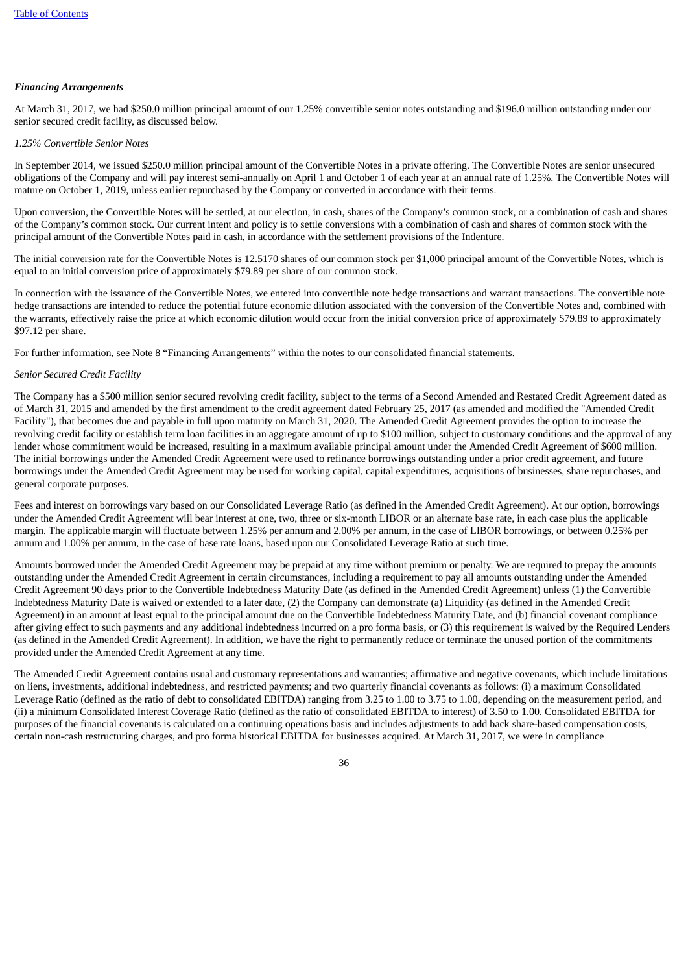# *Financing Arrangements*

At March 31, 2017, we had \$250.0 million principal amount of our 1.25% convertible senior notes outstanding and \$196.0 million outstanding under our senior secured credit facility, as discussed below.

#### *1.25% Convertible Senior Notes*

In September 2014, we issued \$250.0 million principal amount of the Convertible Notes in a private offering. The Convertible Notes are senior unsecured obligations of the Company and will pay interest semi-annually on April 1 and October 1 of each year at an annual rate of 1.25%. The Convertible Notes will mature on October 1, 2019, unless earlier repurchased by the Company or converted in accordance with their terms.

Upon conversion, the Convertible Notes will be settled, at our election, in cash, shares of the Company's common stock, or a combination of cash and shares of the Company's common stock. Our current intent and policy is to settle conversions with a combination of cash and shares of common stock with the principal amount of the Convertible Notes paid in cash, in accordance with the settlement provisions of the Indenture.

The initial conversion rate for the Convertible Notes is 12.5170 shares of our common stock per \$1,000 principal amount of the Convertible Notes, which is equal to an initial conversion price of approximately \$79.89 per share of our common stock.

In connection with the issuance of the Convertible Notes, we entered into convertible note hedge transactions and warrant transactions. The convertible note hedge transactions are intended to reduce the potential future economic dilution associated with the conversion of the Convertible Notes and, combined with the warrants, effectively raise the price at which economic dilution would occur from the initial conversion price of approximately \$79.89 to approximately \$97.12 per share.

For further information, see Note 8 "Financing Arrangements" within the notes to our consolidated financial statements.

#### *Senior Secured Credit Facility*

The Company has a \$500 million senior secured revolving credit facility, subject to the terms of a Second Amended and Restated Credit Agreement dated as of March 31, 2015 and amended by the first amendment to the credit agreement dated February 25, 2017 (as amended and modified the "Amended Credit Facility"), that becomes due and payable in full upon maturity on March 31, 2020. The Amended Credit Agreement provides the option to increase the revolving credit facility or establish term loan facilities in an aggregate amount of up to \$100 million, subject to customary conditions and the approval of any lender whose commitment would be increased, resulting in a maximum available principal amount under the Amended Credit Agreement of \$600 million. The initial borrowings under the Amended Credit Agreement were used to refinance borrowings outstanding under a prior credit agreement, and future borrowings under the Amended Credit Agreement may be used for working capital, capital expenditures, acquisitions of businesses, share repurchases, and general corporate purposes.

Fees and interest on borrowings vary based on our Consolidated Leverage Ratio (as defined in the Amended Credit Agreement). At our option, borrowings under the Amended Credit Agreement will bear interest at one, two, three or six-month LIBOR or an alternate base rate, in each case plus the applicable margin. The applicable margin will fluctuate between 1.25% per annum and 2.00% per annum, in the case of LIBOR borrowings, or between 0.25% per annum and 1.00% per annum, in the case of base rate loans, based upon our Consolidated Leverage Ratio at such time.

Amounts borrowed under the Amended Credit Agreement may be prepaid at any time without premium or penalty. We are required to prepay the amounts outstanding under the Amended Credit Agreement in certain circumstances, including a requirement to pay all amounts outstanding under the Amended Credit Agreement 90 days prior to the Convertible Indebtedness Maturity Date (as defined in the Amended Credit Agreement) unless (1) the Convertible Indebtedness Maturity Date is waived or extended to a later date, (2) the Company can demonstrate (a) Liquidity (as defined in the Amended Credit Agreement) in an amount at least equal to the principal amount due on the Convertible Indebtedness Maturity Date, and (b) financial covenant compliance after giving effect to such payments and any additional indebtedness incurred on a pro forma basis, or (3) this requirement is waived by the Required Lenders (as defined in the Amended Credit Agreement). In addition, we have the right to permanently reduce or terminate the unused portion of the commitments provided under the Amended Credit Agreement at any time.

The Amended Credit Agreement contains usual and customary representations and warranties; affirmative and negative covenants, which include limitations on liens, investments, additional indebtedness, and restricted payments; and two quarterly financial covenants as follows: (i) a maximum Consolidated Leverage Ratio (defined as the ratio of debt to consolidated EBITDA) ranging from 3.25 to 1.00 to 3.75 to 1.00, depending on the measurement period, and (ii) a minimum Consolidated Interest Coverage Ratio (defined as the ratio of consolidated EBITDA to interest) of 3.50 to 1.00. Consolidated EBITDA for purposes of the financial covenants is calculated on a continuing operations basis and includes adjustments to add back share-based compensation costs, certain non-cash restructuring charges, and pro forma historical EBITDA for businesses acquired. At March 31, 2017, we were in compliance

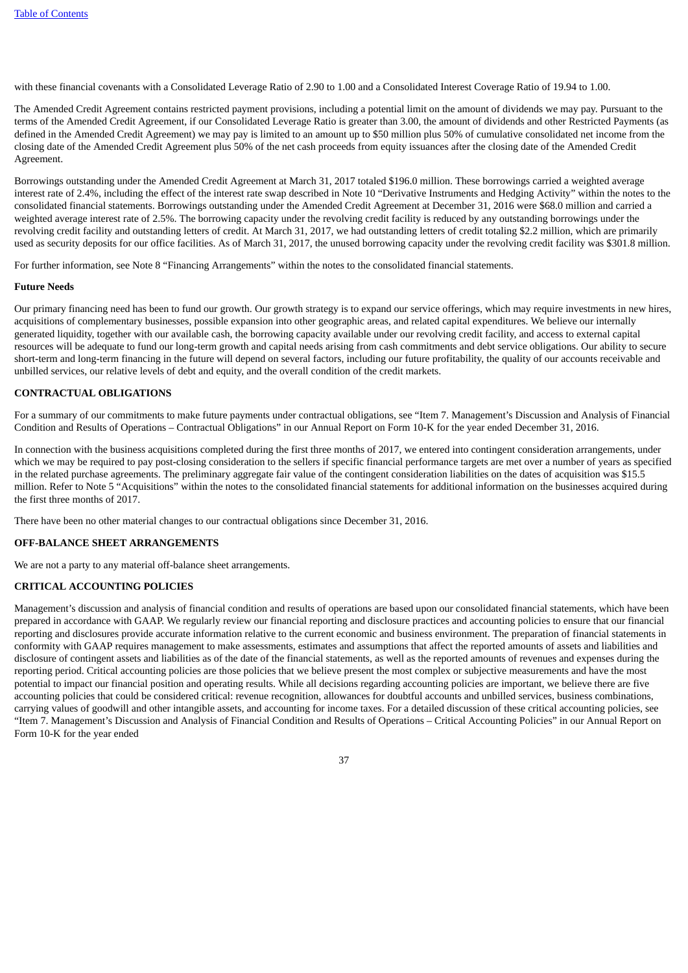with these financial covenants with a Consolidated Leverage Ratio of 2.90 to 1.00 and a Consolidated Interest Coverage Ratio of 19.94 to 1.00.

The Amended Credit Agreement contains restricted payment provisions, including a potential limit on the amount of dividends we may pay. Pursuant to the terms of the Amended Credit Agreement, if our Consolidated Leverage Ratio is greater than 3.00, the amount of dividends and other Restricted Payments (as defined in the Amended Credit Agreement) we may pay is limited to an amount up to \$50 million plus 50% of cumulative consolidated net income from the closing date of the Amended Credit Agreement plus 50% of the net cash proceeds from equity issuances after the closing date of the Amended Credit Agreement.

Borrowings outstanding under the Amended Credit Agreement at March 31, 2017 totaled \$196.0 million. These borrowings carried a weighted average interest rate of 2.4%, including the effect of the interest rate swap described in Note 10 "Derivative Instruments and Hedging Activity" within the notes to the consolidated financial statements. Borrowings outstanding under the Amended Credit Agreement at December 31, 2016 were \$68.0 million and carried a weighted average interest rate of 2.5%. The borrowing capacity under the revolving credit facility is reduced by any outstanding borrowings under the revolving credit facility and outstanding letters of credit. At March 31, 2017, we had outstanding letters of credit totaling \$2.2 million, which are primarily used as security deposits for our office facilities. As of March 31, 2017, the unused borrowing capacity under the revolving credit facility was \$301.8 million.

For further information, see Note 8 "Financing Arrangements" within the notes to the consolidated financial statements.

#### **Future Needs**

Our primary financing need has been to fund our growth. Our growth strategy is to expand our service offerings, which may require investments in new hires, acquisitions of complementary businesses, possible expansion into other geographic areas, and related capital expenditures. We believe our internally generated liquidity, together with our available cash, the borrowing capacity available under our revolving credit facility, and access to external capital resources will be adequate to fund our long-term growth and capital needs arising from cash commitments and debt service obligations. Our ability to secure short-term and long-term financing in the future will depend on several factors, including our future profitability, the quality of our accounts receivable and unbilled services, our relative levels of debt and equity, and the overall condition of the credit markets.

#### **CONTRACTUAL OBLIGATIONS**

For a summary of our commitments to make future payments under contractual obligations, see "Item 7. Management's Discussion and Analysis of Financial Condition and Results of Operations – Contractual Obligations" in our Annual Report on Form 10-K for the year ended December 31, 2016.

In connection with the business acquisitions completed during the first three months of 2017, we entered into contingent consideration arrangements, under which we may be required to pay post-closing consideration to the sellers if specific financial performance targets are met over a number of years as specified in the related purchase agreements. The preliminary aggregate fair value of the contingent consideration liabilities on the dates of acquisition was \$15.5 million. Refer to Note 5 "Acquisitions" within the notes to the consolidated financial statements for additional information on the businesses acquired during the first three months of 2017.

There have been no other material changes to our contractual obligations since December 31, 2016.

#### **OFF-BALANCE SHEET ARRANGEMENTS**

We are not a party to any material off-balance sheet arrangements.

#### **CRITICAL ACCOUNTING POLICIES**

Management's discussion and analysis of financial condition and results of operations are based upon our consolidated financial statements, which have been prepared in accordance with GAAP. We regularly review our financial reporting and disclosure practices and accounting policies to ensure that our financial reporting and disclosures provide accurate information relative to the current economic and business environment. The preparation of financial statements in conformity with GAAP requires management to make assessments, estimates and assumptions that affect the reported amounts of assets and liabilities and disclosure of contingent assets and liabilities as of the date of the financial statements, as well as the reported amounts of revenues and expenses during the reporting period. Critical accounting policies are those policies that we believe present the most complex or subjective measurements and have the most potential to impact our financial position and operating results. While all decisions regarding accounting policies are important, we believe there are five accounting policies that could be considered critical: revenue recognition, allowances for doubtful accounts and unbilled services, business combinations, carrying values of goodwill and other intangible assets, and accounting for income taxes. For a detailed discussion of these critical accounting policies, see "Item 7. Management's Discussion and Analysis of Financial Condition and Results of Operations – Critical Accounting Policies" in our Annual Report on Form 10-K for the year ended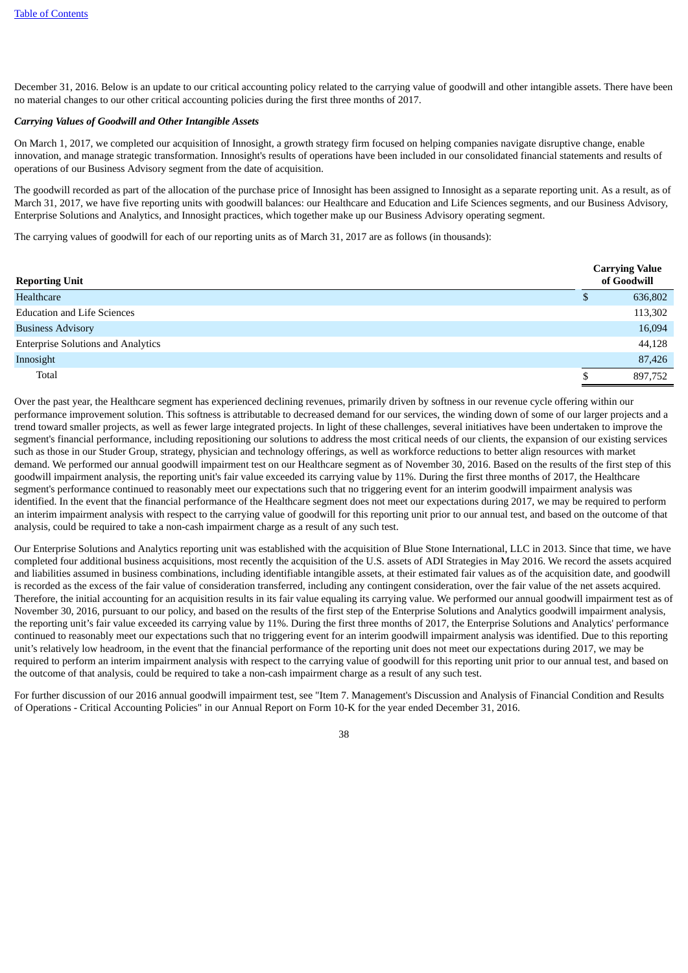December 31, 2016. Below is an update to our critical accounting policy related to the carrying value of goodwill and other intangible assets. There have been no material changes to our other critical accounting policies during the first three months of 2017.

### *Carrying Values of Goodwill and Other Intangible Assets*

On March 1, 2017, we completed our acquisition of Innosight, a growth strategy firm focused on helping companies navigate disruptive change, enable innovation, and manage strategic transformation. Innosight's results of operations have been included in our consolidated financial statements and results of operations of our Business Advisory segment from the date of acquisition.

The goodwill recorded as part of the allocation of the purchase price of Innosight has been assigned to Innosight as a separate reporting unit. As a result, as of March 31, 2017, we have five reporting units with goodwill balances: our Healthcare and Education and Life Sciences segments, and our Business Advisory, Enterprise Solutions and Analytics, and Innosight practices, which together make up our Business Advisory operating segment.

The carrying values of goodwill for each of our reporting units as of March 31, 2017 are as follows (in thousands):

| <b>Reporting Unit</b>                     |   | <b>Carrying Value</b><br>of Goodwill |
|-------------------------------------------|---|--------------------------------------|
| Healthcare                                | D | 636,802                              |
| <b>Education and Life Sciences</b>        |   | 113,302                              |
| <b>Business Advisory</b>                  |   | 16,094                               |
| <b>Enterprise Solutions and Analytics</b> |   | 44,128                               |
| Innosight                                 |   | 87,426                               |
| Total                                     |   | 897,752                              |

Over the past year, the Healthcare segment has experienced declining revenues, primarily driven by softness in our revenue cycle offering within our performance improvement solution. This softness is attributable to decreased demand for our services, the winding down of some of our larger projects and a trend toward smaller projects, as well as fewer large integrated projects. In light of these challenges, several initiatives have been undertaken to improve the segment's financial performance, including repositioning our solutions to address the most critical needs of our clients, the expansion of our existing services such as those in our Studer Group, strategy, physician and technology offerings, as well as workforce reductions to better align resources with market demand. We performed our annual goodwill impairment test on our Healthcare segment as of November 30, 2016. Based on the results of the first step of this goodwill impairment analysis, the reporting unit's fair value exceeded its carrying value by 11%. During the first three months of 2017, the Healthcare segment's performance continued to reasonably meet our expectations such that no triggering event for an interim goodwill impairment analysis was identified. In the event that the financial performance of the Healthcare segment does not meet our expectations during 2017, we may be required to perform an interim impairment analysis with respect to the carrying value of goodwill for this reporting unit prior to our annual test, and based on the outcome of that analysis, could be required to take a non-cash impairment charge as a result of any such test.

Our Enterprise Solutions and Analytics reporting unit was established with the acquisition of Blue Stone International, LLC in 2013. Since that time, we have completed four additional business acquisitions, most recently the acquisition of the U.S. assets of ADI Strategies in May 2016. We record the assets acquired and liabilities assumed in business combinations, including identifiable intangible assets, at their estimated fair values as of the acquisition date, and goodwill is recorded as the excess of the fair value of consideration transferred, including any contingent consideration, over the fair value of the net assets acquired. Therefore, the initial accounting for an acquisition results in its fair value equaling its carrying value. We performed our annual goodwill impairment test as of November 30, 2016, pursuant to our policy, and based on the results of the first step of the Enterprise Solutions and Analytics goodwill impairment analysis, the reporting unit's fair value exceeded its carrying value by 11%. During the first three months of 2017, the Enterprise Solutions and Analytics' performance continued to reasonably meet our expectations such that no triggering event for an interim goodwill impairment analysis was identified. Due to this reporting unit's relatively low headroom, in the event that the financial performance of the reporting unit does not meet our expectations during 2017, we may be required to perform an interim impairment analysis with respect to the carrying value of goodwill for this reporting unit prior to our annual test, and based on the outcome of that analysis, could be required to take a non-cash impairment charge as a result of any such test.

For further discussion of our 2016 annual goodwill impairment test, see "Item 7. Management's Discussion and Analysis of Financial Condition and Results of Operations - Critical Accounting Policies" in our Annual Report on Form 10-K for the year ended December 31, 2016.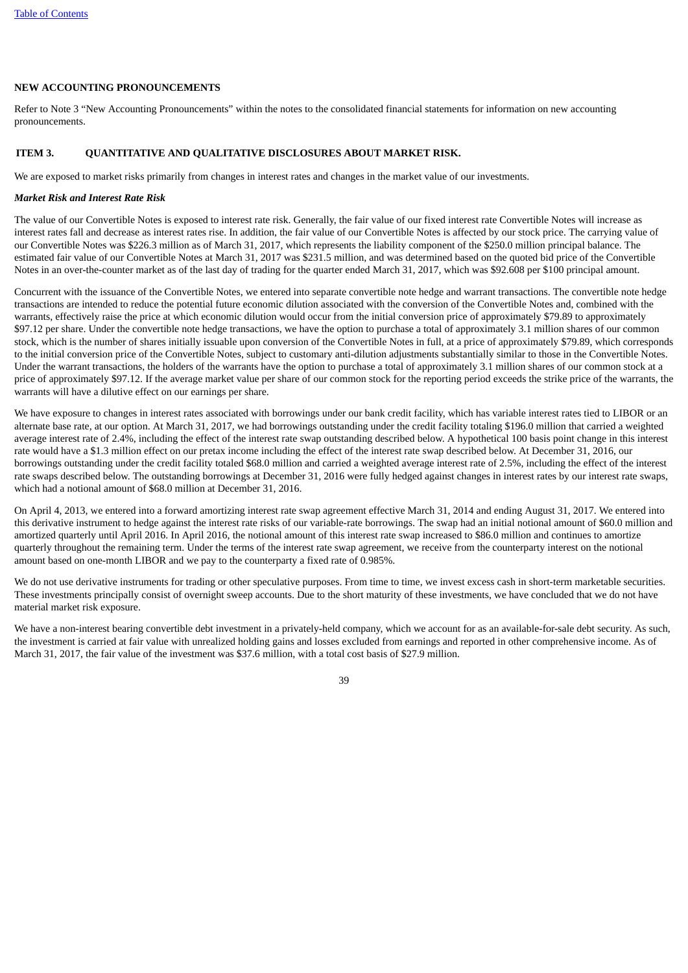#### **NEW ACCOUNTING PRONOUNCEMENTS**

Refer to Note 3 "New Accounting Pronouncements" within the notes to the consolidated financial statements for information on new accounting pronouncements.

#### <span id="page-40-0"></span>**ITEM 3. QUANTITATIVE AND QUALITATIVE DISCLOSURES ABOUT MARKET RISK.**

We are exposed to market risks primarily from changes in interest rates and changes in the market value of our investments.

#### *Market Risk and Interest Rate Risk*

The value of our Convertible Notes is exposed to interest rate risk. Generally, the fair value of our fixed interest rate Convertible Notes will increase as interest rates fall and decrease as interest rates rise. In addition, the fair value of our Convertible Notes is affected by our stock price. The carrying value of our Convertible Notes was \$226.3 million as of March 31, 2017, which represents the liability component of the \$250.0 million principal balance. The estimated fair value of our Convertible Notes at March 31, 2017 was \$231.5 million, and was determined based on the quoted bid price of the Convertible Notes in an over-the-counter market as of the last day of trading for the quarter ended March 31, 2017, which was \$92.608 per \$100 principal amount.

Concurrent with the issuance of the Convertible Notes, we entered into separate convertible note hedge and warrant transactions. The convertible note hedge transactions are intended to reduce the potential future economic dilution associated with the conversion of the Convertible Notes and, combined with the warrants, effectively raise the price at which economic dilution would occur from the initial conversion price of approximately \$79.89 to approximately \$97.12 per share. Under the convertible note hedge transactions, we have the option to purchase a total of approximately 3.1 million shares of our common stock, which is the number of shares initially issuable upon conversion of the Convertible Notes in full, at a price of approximately \$79.89, which corresponds to the initial conversion price of the Convertible Notes, subject to customary anti-dilution adjustments substantially similar to those in the Convertible Notes. Under the warrant transactions, the holders of the warrants have the option to purchase a total of approximately 3.1 million shares of our common stock at a price of approximately \$97.12. If the average market value per share of our common stock for the reporting period exceeds the strike price of the warrants, the warrants will have a dilutive effect on our earnings per share.

We have exposure to changes in interest rates associated with borrowings under our bank credit facility, which has variable interest rates tied to LIBOR or an alternate base rate, at our option. At March 31, 2017, we had borrowings outstanding under the credit facility totaling \$196.0 million that carried a weighted average interest rate of 2.4%, including the effect of the interest rate swap outstanding described below. A hypothetical 100 basis point change in this interest rate would have a \$1.3 million effect on our pretax income including the effect of the interest rate swap described below. At December 31, 2016, our borrowings outstanding under the credit facility totaled \$68.0 million and carried a weighted average interest rate of 2.5%, including the effect of the interest rate swaps described below. The outstanding borrowings at December 31, 2016 were fully hedged against changes in interest rates by our interest rate swaps, which had a notional amount of \$68.0 million at December 31, 2016.

On April 4, 2013, we entered into a forward amortizing interest rate swap agreement effective March 31, 2014 and ending August 31, 2017. We entered into this derivative instrument to hedge against the interest rate risks of our variable-rate borrowings. The swap had an initial notional amount of \$60.0 million and amortized quarterly until April 2016. In April 2016, the notional amount of this interest rate swap increased to \$86.0 million and continues to amortize quarterly throughout the remaining term. Under the terms of the interest rate swap agreement, we receive from the counterparty interest on the notional amount based on one-month LIBOR and we pay to the counterparty a fixed rate of 0.985%.

We do not use derivative instruments for trading or other speculative purposes. From time to time, we invest excess cash in short-term marketable securities. These investments principally consist of overnight sweep accounts. Due to the short maturity of these investments, we have concluded that we do not have material market risk exposure.

We have a non-interest bearing convertible debt investment in a privately-held company, which we account for as an available-for-sale debt security. As such, the investment is carried at fair value with unrealized holding gains and losses excluded from earnings and reported in other comprehensive income. As of March 31, 2017, the fair value of the investment was \$37.6 million, with a total cost basis of \$27.9 million.

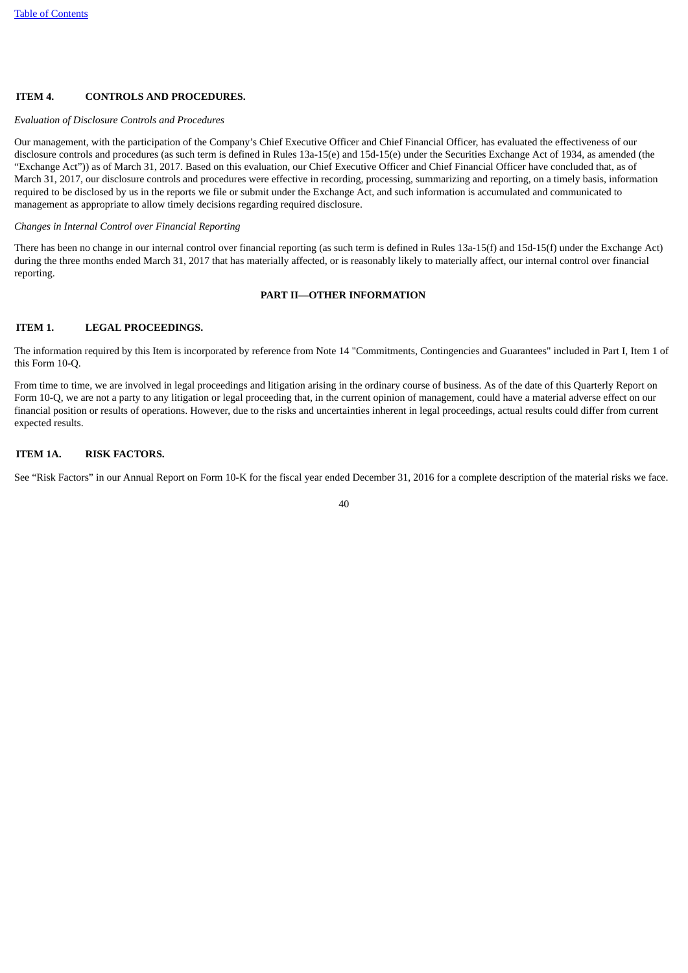# <span id="page-41-0"></span>**ITEM 4. CONTROLS AND PROCEDURES.**

#### *Evaluation of Disclosure Controls and Procedures*

Our management, with the participation of the Company's Chief Executive Officer and Chief Financial Officer, has evaluated the effectiveness of our disclosure controls and procedures (as such term is defined in Rules 13a-15(e) and 15d-15(e) under the Securities Exchange Act of 1934, as amended (the "Exchange Act")) as of March 31, 2017. Based on this evaluation, our Chief Executive Officer and Chief Financial Officer have concluded that, as of March 31, 2017, our disclosure controls and procedures were effective in recording, processing, summarizing and reporting, on a timely basis, information required to be disclosed by us in the reports we file or submit under the Exchange Act, and such information is accumulated and communicated to management as appropriate to allow timely decisions regarding required disclosure.

#### *Changes in Internal Control over Financial Reporting*

<span id="page-41-1"></span>There has been no change in our internal control over financial reporting (as such term is defined in Rules 13a-15(f) and 15d-15(f) under the Exchange Act) during the three months ended March 31, 2017 that has materially affected, or is reasonably likely to materially affect, our internal control over financial reporting.

#### **PART II—OTHER INFORMATION**

### <span id="page-41-2"></span>**ITEM 1. LEGAL PROCEEDINGS.**

The information required by this Item is incorporated by reference from Note 14 "Commitments, Contingencies and Guarantees" included in Part I, Item 1 of this Form 10-Q.

From time to time, we are involved in legal proceedings and litigation arising in the ordinary course of business. As of the date of this Quarterly Report on Form 10-Q, we are not a party to any litigation or legal proceeding that, in the current opinion of management, could have a material adverse effect on our financial position or results of operations. However, due to the risks and uncertainties inherent in legal proceedings, actual results could differ from current expected results.

#### <span id="page-41-3"></span>**ITEM 1A. RISK FACTORS.**

See "Risk Factors" in our Annual Report on Form 10-K for the fiscal year ended December 31, 2016 for a complete description of the material risks we face.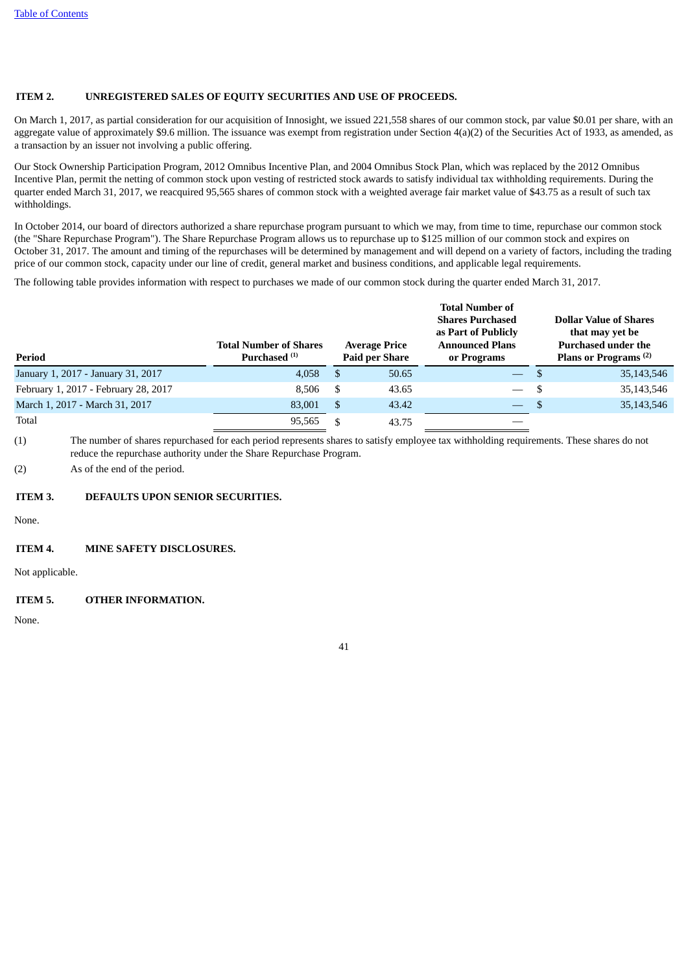# <span id="page-42-0"></span>**ITEM 2. UNREGISTERED SALES OF EQUITY SECURITIES AND USE OF PROCEEDS.**

On March 1, 2017, as partial consideration for our acquisition of Innosight, we issued 221,558 shares of our common stock, par value \$0.01 per share, with an aggregate value of approximately \$9.6 million. The issuance was exempt from registration under Section  $4(a)(2)$  of the Securities Act of 1933, as amended, as a transaction by an issuer not involving a public offering.

Our Stock Ownership Participation Program, 2012 Omnibus Incentive Plan, and 2004 Omnibus Stock Plan, which was replaced by the 2012 Omnibus Incentive Plan, permit the netting of common stock upon vesting of restricted stock awards to satisfy individual tax withholding requirements. During the quarter ended March 31, 2017, we reacquired 95,565 shares of common stock with a weighted average fair market value of \$43.75 as a result of such tax withholdings.

In October 2014, our board of directors authorized a share repurchase program pursuant to which we may, from time to time, repurchase our common stock (the "Share Repurchase Program"). The Share Repurchase Program allows us to repurchase up to \$125 million of our common stock and expires on October 31, 2017. The amount and timing of the repurchases will be determined by management and will depend on a variety of factors, including the trading price of our common stock, capacity under our line of credit, general market and business conditions, and applicable legal requirements.

The following table provides information with respect to purchases we made of our common stock during the quarter ended March 31, 2017.

| Period                               | <b>Total Number of Shares</b><br>Purchased <sup>(1)</sup> | <b>Average Price</b><br><b>Paid per Share</b> |       | <b>Total Number of</b><br><b>Shares Purchased</b><br>as Part of Publicly<br><b>Announced Plans</b><br>or Programs |      | <b>Dollar Value of Shares</b><br>that may yet be<br>Purchased under the<br>Plans or Programs <sup>(2)</sup> |  |
|--------------------------------------|-----------------------------------------------------------|-----------------------------------------------|-------|-------------------------------------------------------------------------------------------------------------------|------|-------------------------------------------------------------------------------------------------------------|--|
| January 1, 2017 - January 31, 2017   | 4,058                                                     | - \$                                          | 50.65 | $\overline{\phantom{m}}$                                                                                          |      | 35,143,546                                                                                                  |  |
| February 1, 2017 - February 28, 2017 | 8.506                                                     | -S                                            | 43.65 |                                                                                                                   | - \$ | 35,143,546                                                                                                  |  |
| March 1, 2017 - March 31, 2017       | 83,001                                                    | - \$                                          | 43.42 |                                                                                                                   |      | 35,143,546                                                                                                  |  |
| Total                                | 95.565                                                    |                                               | 43.75 |                                                                                                                   |      |                                                                                                             |  |

(1) The number of shares repurchased for each period represents shares to satisfy employee tax withholding requirements. These shares do not reduce the repurchase authority under the Share Repurchase Program.

<span id="page-42-1"></span>(2) As of the end of the period.

# **ITEM 3. DEFAULTS UPON SENIOR SECURITIES.**

<span id="page-42-2"></span>None.

# **ITEM 4. MINE SAFETY DISCLOSURES.**

<span id="page-42-3"></span>Not applicable.

# **ITEM 5. OTHER INFORMATION.**

None.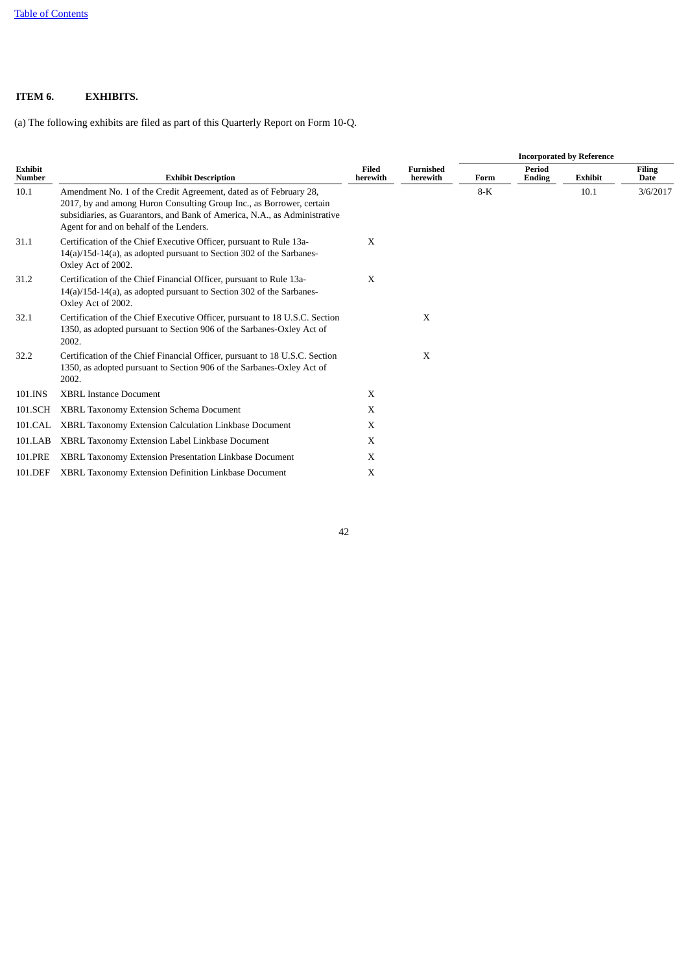# <span id="page-43-0"></span>**ITEM 6. EXHIBITS.**

(a) The following exhibits are filed as part of this Quarterly Report on Form 10-Q.

|                                 |                                                                                                                                                                                                                                                                   |                          |                              | <b>Incorporated by Reference</b> |                         |                |                              |  |
|---------------------------------|-------------------------------------------------------------------------------------------------------------------------------------------------------------------------------------------------------------------------------------------------------------------|--------------------------|------------------------------|----------------------------------|-------------------------|----------------|------------------------------|--|
| <b>Exhibit</b><br><b>Number</b> | <b>Exhibit Description</b>                                                                                                                                                                                                                                        | <b>Filed</b><br>herewith | <b>Furnished</b><br>herewith | Form                             | Period<br><b>Ending</b> | <b>Exhibit</b> | <b>Filing</b><br><b>Date</b> |  |
| 10.1                            | Amendment No. 1 of the Credit Agreement, dated as of February 28,<br>2017, by and among Huron Consulting Group Inc., as Borrower, certain<br>subsidiaries, as Guarantors, and Bank of America, N.A., as Administrative<br>Agent for and on behalf of the Lenders. |                          |                              | $8-K$                            |                         | 10.1           | 3/6/2017                     |  |
| 31.1                            | Certification of the Chief Executive Officer, pursuant to Rule 13a-<br>14(a)/15d-14(a), as adopted pursuant to Section 302 of the Sarbanes-<br>Oxley Act of 2002.                                                                                                 | X                        |                              |                                  |                         |                |                              |  |
| 31.2                            | Certification of the Chief Financial Officer, pursuant to Rule 13a-<br>14(a)/15d-14(a), as adopted pursuant to Section 302 of the Sarbanes-<br>Oxley Act of 2002.                                                                                                 | $\mathbf{x}$             |                              |                                  |                         |                |                              |  |
| 32.1                            | Certification of the Chief Executive Officer, pursuant to 18 U.S.C. Section<br>1350, as adopted pursuant to Section 906 of the Sarbanes-Oxley Act of<br>2002.                                                                                                     |                          | X                            |                                  |                         |                |                              |  |
| 32.2                            | Certification of the Chief Financial Officer, pursuant to 18 U.S.C. Section<br>1350, as adopted pursuant to Section 906 of the Sarbanes-Oxley Act of<br>2002.                                                                                                     |                          | $\mathbf{x}$                 |                                  |                         |                |                              |  |
| 101.INS                         | <b>XBRL Instance Document</b>                                                                                                                                                                                                                                     | X                        |                              |                                  |                         |                |                              |  |
| 101.SCH                         | XBRL Taxonomy Extension Schema Document                                                                                                                                                                                                                           | X                        |                              |                                  |                         |                |                              |  |
| 101.CAL                         | XBRL Taxonomy Extension Calculation Linkbase Document                                                                                                                                                                                                             | X                        |                              |                                  |                         |                |                              |  |
| 101.LAB                         | XBRL Taxonomy Extension Label Linkbase Document                                                                                                                                                                                                                   | X                        |                              |                                  |                         |                |                              |  |
| 101.PRE                         | XBRL Taxonomy Extension Presentation Linkbase Document                                                                                                                                                                                                            | X                        |                              |                                  |                         |                |                              |  |
| 101.DEF                         | XBRL Taxonomy Extension Definition Linkbase Document                                                                                                                                                                                                              | X                        |                              |                                  |                         |                |                              |  |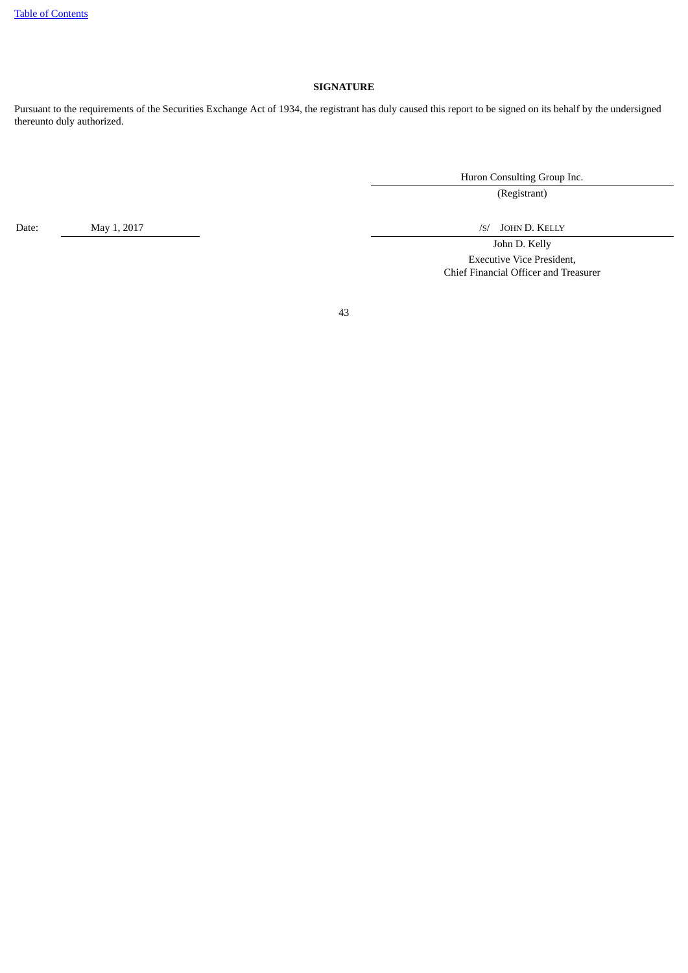# **SIGNATURE**

<span id="page-44-0"></span>Pursuant to the requirements of the Securities Exchange Act of 1934, the registrant has duly caused this report to be signed on its behalf by the undersigned thereunto duly authorized.

Huron Consulting Group Inc.

(Registrant)

Date: May 1, 2017 May 1, 2017 May 1, 2017 May 1, 2017 May 1, 2017 May 1, 2018 May 1, 2017

John D. Kelly Executive Vice President, Chief Financial Officer and Treasurer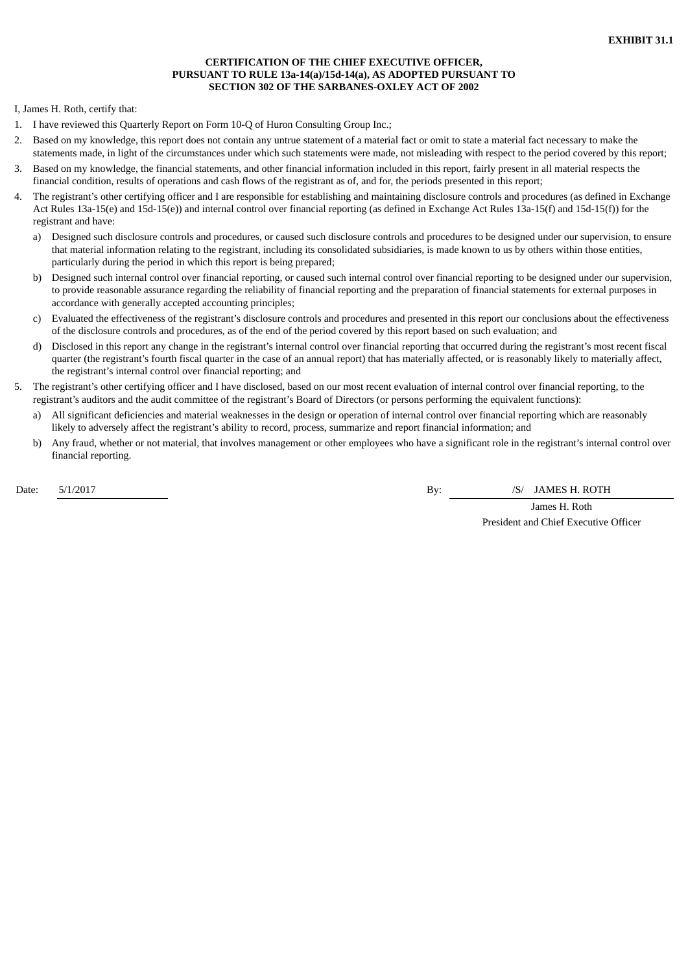# **CERTIFICATION OF THE CHIEF EXECUTIVE OFFICER, PURSUANT TO RULE 13a-14(a)/15d-14(a), AS ADOPTED PURSUANT TO SECTION 302 OF THE SARBANES-OXLEY ACT OF 2002**

I, James H. Roth, certify that:

- 1. I have reviewed this Quarterly Report on Form 10-Q of Huron Consulting Group Inc.;
- 2. Based on my knowledge, this report does not contain any untrue statement of a material fact or omit to state a material fact necessary to make the statements made, in light of the circumstances under which such statements were made, not misleading with respect to the period covered by this report;
- 3. Based on my knowledge, the financial statements, and other financial information included in this report, fairly present in all material respects the financial condition, results of operations and cash flows of the registrant as of, and for, the periods presented in this report;
- 4. The registrant's other certifying officer and I are responsible for establishing and maintaining disclosure controls and procedures (as defined in Exchange Act Rules 13a-15(e) and 15d-15(e)) and internal control over financial reporting (as defined in Exchange Act Rules 13a-15(f) and 15d-15(f)) for the registrant and have:
	- a) Designed such disclosure controls and procedures, or caused such disclosure controls and procedures to be designed under our supervision, to ensure that material information relating to the registrant, including its consolidated subsidiaries, is made known to us by others within those entities, particularly during the period in which this report is being prepared;
	- b) Designed such internal control over financial reporting, or caused such internal control over financial reporting to be designed under our supervision, to provide reasonable assurance regarding the reliability of financial reporting and the preparation of financial statements for external purposes in accordance with generally accepted accounting principles;
	- c) Evaluated the effectiveness of the registrant's disclosure controls and procedures and presented in this report our conclusions about the effectiveness of the disclosure controls and procedures, as of the end of the period covered by this report based on such evaluation; and
	- d) Disclosed in this report any change in the registrant's internal control over financial reporting that occurred during the registrant's most recent fiscal quarter (the registrant's fourth fiscal quarter in the case of an annual report) that has materially affected, or is reasonably likely to materially affect, the registrant's internal control over financial reporting; and
- 5. The registrant's other certifying officer and I have disclosed, based on our most recent evaluation of internal control over financial reporting, to the registrant's auditors and the audit committee of the registrant's Board of Directors (or persons performing the equivalent functions):
	- a) All significant deficiencies and material weaknesses in the design or operation of internal control over financial reporting which are reasonably likely to adversely affect the registrant's ability to record, process, summarize and report financial information; and
	- b) Any fraud, whether or not material, that involves management or other employees who have a significant role in the registrant's internal control over financial reporting.

Date: 5/1/2017 By: /S/ JAMES H. ROTH

James H. Roth President and Chief Executive Officer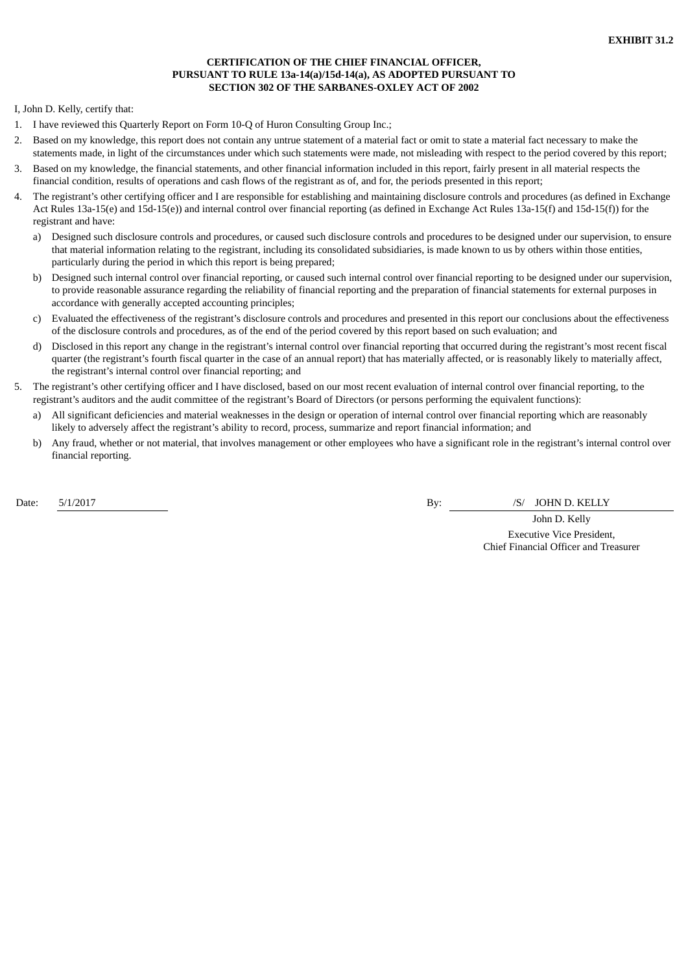# **CERTIFICATION OF THE CHIEF FINANCIAL OFFICER, PURSUANT TO RULE 13a-14(a)/15d-14(a), AS ADOPTED PURSUANT TO SECTION 302 OF THE SARBANES-OXLEY ACT OF 2002**

I, John D. Kelly, certify that:

- 1. I have reviewed this Quarterly Report on Form 10-Q of Huron Consulting Group Inc.;
- 2. Based on my knowledge, this report does not contain any untrue statement of a material fact or omit to state a material fact necessary to make the statements made, in light of the circumstances under which such statements were made, not misleading with respect to the period covered by this report;
- 3. Based on my knowledge, the financial statements, and other financial information included in this report, fairly present in all material respects the financial condition, results of operations and cash flows of the registrant as of, and for, the periods presented in this report;
- 4. The registrant's other certifying officer and I are responsible for establishing and maintaining disclosure controls and procedures (as defined in Exchange Act Rules 13a-15(e) and 15d-15(e)) and internal control over financial reporting (as defined in Exchange Act Rules 13a-15(f) and 15d-15(f)) for the registrant and have:
	- a) Designed such disclosure controls and procedures, or caused such disclosure controls and procedures to be designed under our supervision, to ensure that material information relating to the registrant, including its consolidated subsidiaries, is made known to us by others within those entities, particularly during the period in which this report is being prepared;
	- b) Designed such internal control over financial reporting, or caused such internal control over financial reporting to be designed under our supervision, to provide reasonable assurance regarding the reliability of financial reporting and the preparation of financial statements for external purposes in accordance with generally accepted accounting principles;
	- c) Evaluated the effectiveness of the registrant's disclosure controls and procedures and presented in this report our conclusions about the effectiveness of the disclosure controls and procedures, as of the end of the period covered by this report based on such evaluation; and
	- d) Disclosed in this report any change in the registrant's internal control over financial reporting that occurred during the registrant's most recent fiscal quarter (the registrant's fourth fiscal quarter in the case of an annual report) that has materially affected, or is reasonably likely to materially affect, the registrant's internal control over financial reporting; and
- 5. The registrant's other certifying officer and I have disclosed, based on our most recent evaluation of internal control over financial reporting, to the registrant's auditors and the audit committee of the registrant's Board of Directors (or persons performing the equivalent functions):
	- a) All significant deficiencies and material weaknesses in the design or operation of internal control over financial reporting which are reasonably likely to adversely affect the registrant's ability to record, process, summarize and report financial information; and
	- b) Any fraud, whether or not material, that involves management or other employees who have a significant role in the registrant's internal control over financial reporting.

Date: 5/1/2017 By: /S/ JOHN D. KELLY

John D. Kelly Executive Vice President, Chief Financial Officer and Treasurer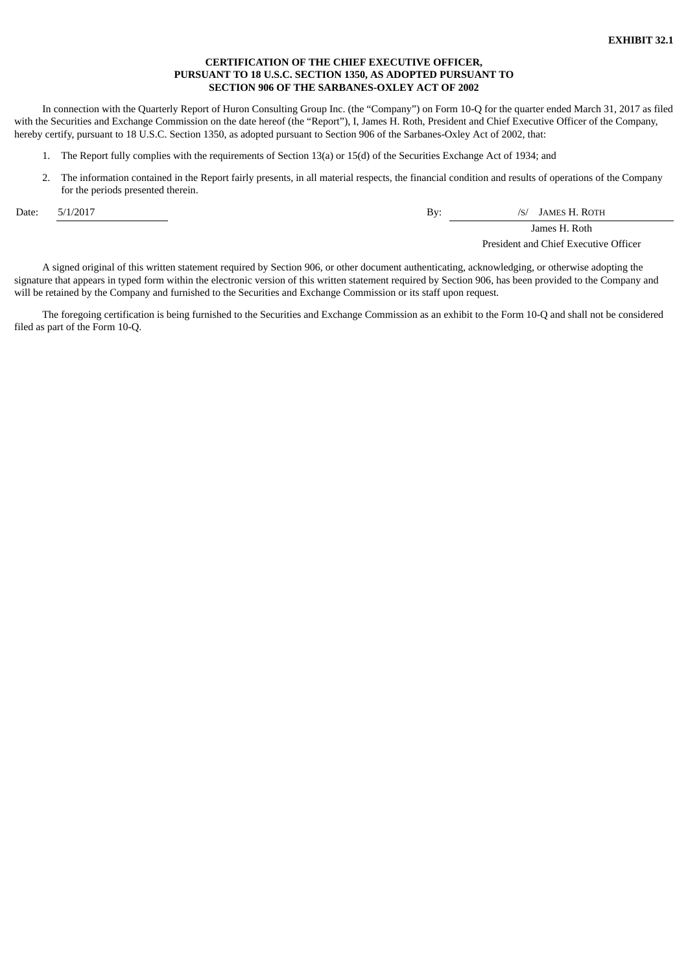# **CERTIFICATION OF THE CHIEF EXECUTIVE OFFICER, PURSUANT TO 18 U.S.C. SECTION 1350, AS ADOPTED PURSUANT TO SECTION 906 OF THE SARBANES-OXLEY ACT OF 2002**

In connection with the Quarterly Report of Huron Consulting Group Inc. (the "Company") on Form 10-Q for the quarter ended March 31, 2017 as filed with the Securities and Exchange Commission on the date hereof (the "Report"), I, James H. Roth, President and Chief Executive Officer of the Company, hereby certify, pursuant to 18 U.S.C. Section 1350, as adopted pursuant to Section 906 of the Sarbanes-Oxley Act of 2002, that:

- 1. The Report fully complies with the requirements of Section 13(a) or 15(d) of the Securities Exchange Act of 1934; and
- 2. The information contained in the Report fairly presents, in all material respects, the financial condition and results of operations of the Company for the periods presented therein.

Date: 5/1/2017 By: /S/ JAMES H. ROTH

James H. Roth

President and Chief Executive Officer

A signed original of this written statement required by Section 906, or other document authenticating, acknowledging, or otherwise adopting the signature that appears in typed form within the electronic version of this written statement required by Section 906, has been provided to the Company and will be retained by the Company and furnished to the Securities and Exchange Commission or its staff upon request.

The foregoing certification is being furnished to the Securities and Exchange Commission as an exhibit to the Form 10-Q and shall not be considered filed as part of the Form 10-Q.